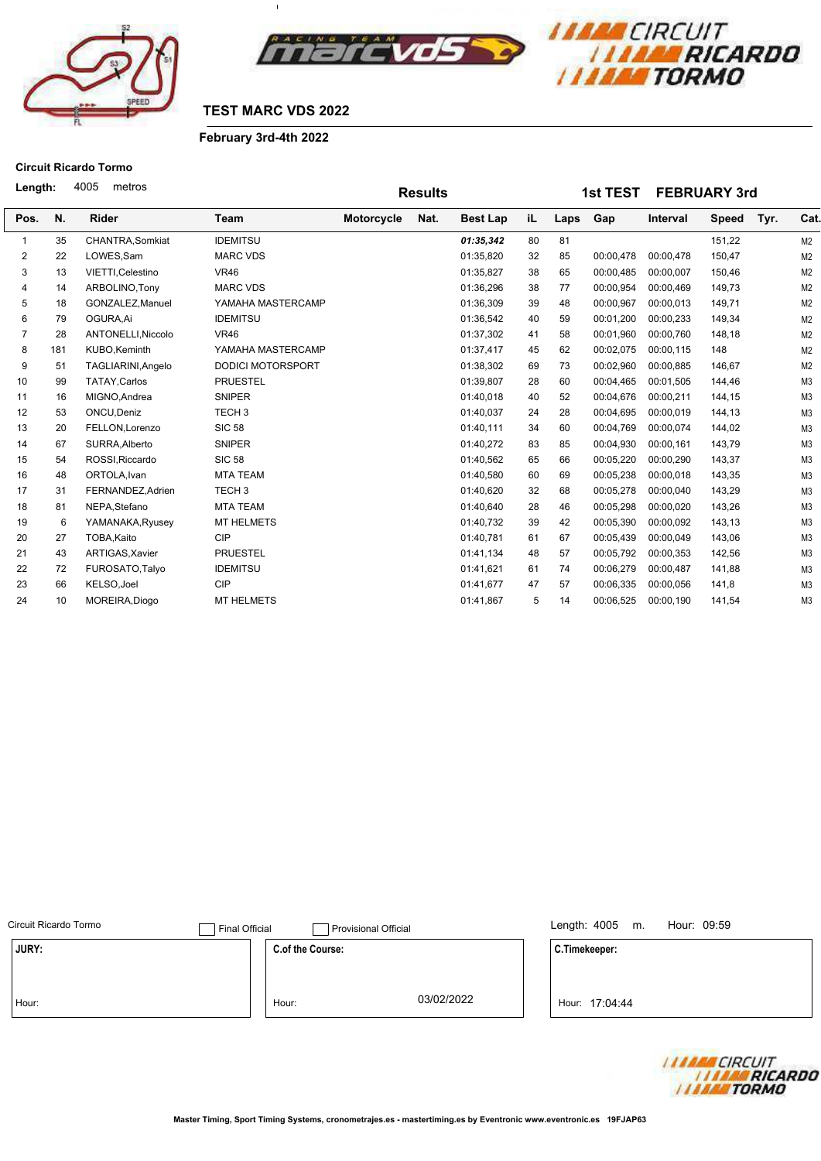



 $\bar{1}$ 

# **February 3rd-4th 2022**

# **Circuit Ricardo Tormo**

| Length:        |     | 4005<br>metros     |                          |            | <b>Results</b> |                 |    |      | <b>1st TEST</b> |           | <b>FEBRUARY 3rd</b> |      |                |
|----------------|-----|--------------------|--------------------------|------------|----------------|-----------------|----|------|-----------------|-----------|---------------------|------|----------------|
| Pos.           | N.  | <b>Rider</b>       | Team                     | Motorcycle | Nat.           | <b>Best Lap</b> | iL | Laps | Gap             | Interval  | <b>Speed</b>        | Tyr. | Cat.           |
|                | 35  | CHANTRA, Somkiat   | <b>IDEMITSU</b>          |            |                | 01:35,342       | 80 | 81   |                 |           | 151,22              |      | M2             |
| $\overline{2}$ | 22  | LOWES, Sam         | <b>MARC VDS</b>          |            |                | 01:35,820       | 32 | 85   | 00:00,478       | 00:00,478 | 150,47              |      | M2             |
| 3              | 13  | VIETTI, Celestino  | <b>VR46</b>              |            |                | 01:35,827       | 38 | 65   | 00:00,485       | 00:00,007 | 150,46              |      | M2             |
| 4              | 14  | ARBOLINO, Tony     | <b>MARC VDS</b>          |            |                | 01:36,296       | 38 | 77   | 00:00,954       | 00:00,469 | 149,73              |      | M2             |
| 5              | 18  | GONZALEZ, Manuel   | YAMAHA MASTERCAMP        |            |                | 01:36,309       | 39 | 48   | 00:00,967       | 00:00,013 | 149,71              |      | M2             |
| 6              | 79  | OGURA.Ai           | <b>IDEMITSU</b>          |            |                | 01:36,542       | 40 | 59   | 00:01.200       | 00:00,233 | 149,34              |      | M2             |
| $\overline{7}$ | 28  | ANTONELLI, Niccolo | <b>VR46</b>              |            |                | 01:37,302       | 41 | 58   | 00:01,960       | 00:00,760 | 148,18              |      | M2             |
| 8              | 181 | KUBO, Keminth      | YAMAHA MASTERCAMP        |            |                | 01:37,417       | 45 | 62   | 00:02,075       | 00:00,115 | 148                 |      | M <sub>2</sub> |
| 9              | 51  | TAGLIARINI, Angelo | <b>DODICI MOTORSPORT</b> |            |                | 01:38,302       | 69 | 73   | 00:02,960       | 00:00,885 | 146,67              |      | M2             |
| 10             | 99  | TATAY, Carlos      | <b>PRUESTEL</b>          |            |                | 01:39,807       | 28 | 60   | 00:04,465       | 00:01,505 | 144,46              |      | M <sub>3</sub> |
| 11             | 16  | MIGNO, Andrea      | <b>SNIPER</b>            |            |                | 01:40,018       | 40 | 52   | 00:04,676       | 00:00,211 | 144,15              |      | M <sub>3</sub> |
| 12             | 53  | ONCU, Deniz        | TECH <sub>3</sub>        |            |                | 01:40,037       | 24 | 28   | 00:04,695       | 00:00,019 | 144,13              |      | M <sub>3</sub> |
| 13             | 20  | FELLON, Lorenzo    | <b>SIC 58</b>            |            |                | 01:40,111       | 34 | 60   | 00:04.769       | 00:00,074 | 144,02              |      | M <sub>3</sub> |
| 14             | 67  | SURRA.Alberto      | <b>SNIPER</b>            |            |                | 01:40,272       | 83 | 85   | 00:04.930       | 00:00,161 | 143,79              |      | M <sub>3</sub> |
| 15             | 54  | ROSSI, Riccardo    | <b>SIC 58</b>            |            |                | 01:40,562       | 65 | 66   | 00:05,220       | 00:00,290 | 143,37              |      | M <sub>3</sub> |
| 16             | 48  | ORTOLA, Ivan       | <b>MTA TEAM</b>          |            |                | 01:40,580       | 60 | 69   | 00:05,238       | 00:00,018 | 143,35              |      | M <sub>3</sub> |
| 17             | 31  | FERNANDEZ, Adrien  | TECH <sub>3</sub>        |            |                | 01:40,620       | 32 | 68   | 00:05,278       | 00:00,040 | 143,29              |      | M <sub>3</sub> |
| 18             | 81  | NEPA, Stefano      | <b>MTA TEAM</b>          |            |                | 01:40,640       | 28 | 46   | 00:05,298       | 00:00,020 | 143,26              |      | M <sub>3</sub> |
| 19             | 6   | YAMANAKA, Ryusey   | <b>MT HELMETS</b>        |            |                | 01:40,732       | 39 | 42   | 00:05,390       | 00:00,092 | 143,13              |      | M <sub>3</sub> |
| 20             | 27  | TOBA.Kaito         | <b>CIP</b>               |            |                | 01:40,781       | 61 | 67   | 00:05,439       | 00:00,049 | 143,06              |      | M <sub>3</sub> |
| 21             | 43  | ARTIGAS, Xavier    | <b>PRUESTEL</b>          |            |                | 01:41,134       | 48 | 57   | 00:05,792       | 00:00,353 | 142,56              |      | M <sub>3</sub> |
| 22             | 72  | FUROSATO, Talyo    | <b>IDEMITSU</b>          |            |                | 01:41,621       | 61 | 74   | 00:06,279       | 00:00,487 | 141,88              |      | M <sub>3</sub> |
| 23             | 66  | KELSO, Joel        | <b>CIP</b>               |            |                | 01:41,677       | 47 | 57   | 00:06,335       | 00:00,056 | 141,8               |      | M <sub>3</sub> |
| 24             | 10  | MOREIRA, Diogo     | <b>MT HELMETS</b>        |            |                | 01:41.867       | 5  | 14   | 00:06.525       | 00:00,190 | 141.54              |      | M <sub>3</sub> |

| Circuit Ricardo Tormo | <b>Final Official</b> | <b>Provisional Official</b> |            | Length: $4005$ m.<br>Hour: 09:59 |
|-----------------------|-----------------------|-----------------------------|------------|----------------------------------|
| JURY:                 |                       | C.of the Course:            |            | C.Timekeeper:                    |
|                       |                       |                             |            |                                  |
| Hour:                 |                       | Hour:                       | 03/02/2022 | Hour: 17:04:44                   |

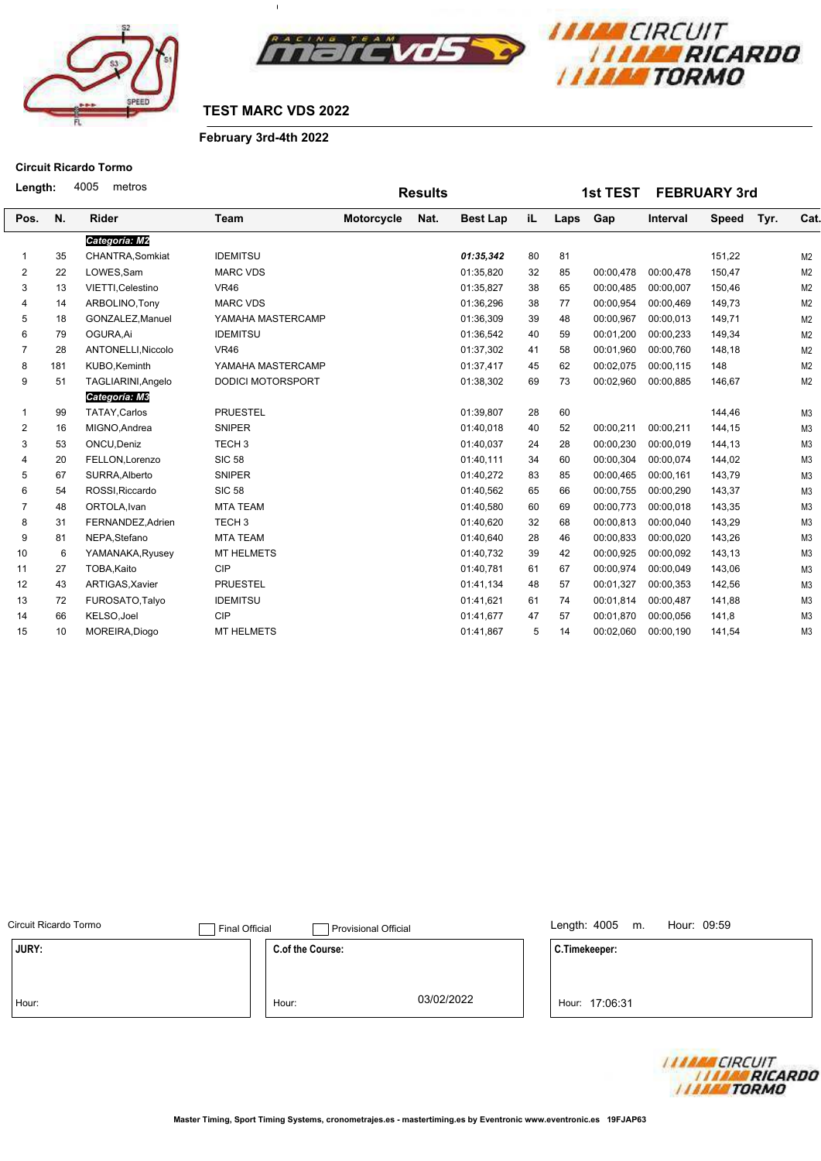



 $\overline{1}$ 

#### **February 3rd-4th 2022**

# **Circuit Ricardo Tormo**

**1st TEST FEBRUARY 3rd N. Rider Length:** Team Motorcycle Nat. Best Lap iL Laps Gap Interval Speed Tyr. Cat. 4005 metros Pos. N. Rider Team Motorcycle Nat. Best Lap iL Laps Gap Interval Speed **iL Motorcycle Nat.** Best Lap iL Laps **Results Tyr.** *Categoría: M2* 35 CHANTRA,Somkiat IDEMITSU *01:35,342* 80 81 151,22 M2 22 LOWES,Sam MARC VDS 01:35,820 32 85 00:00,478 00:00,478 150,47 M2 13 VIETTI,Celestino VR46 01:35,827 38 65 00:00,485 00:00,007 150,46 M2 14 ARBOLINO,Tony MARC VDS 01:36,296 38 77 00:00,954 00:00,469 149,73 M2 18 GONZALEZ,Manuel YAMAHA MASTERCAMP 01:36,309 39 48 00:00,967 00:00,013 149,71 M2 79 OGURA,Ai IDEMITSU 01:36,542 40 59 00:01,200 00:00,233 149,34 M2 28 ANTONELLI,Niccolo VR46 01:37,302 41 58 00:01,960 00:00,760 148,18 M2 181 KUBO,Keminth YAMAHA MASTERCAMP 01:37,417 45 62 00:02,075 00:00,115 148 M2 51 TAGLIARINI,Angelo DODICI MOTORSPORT 01:38,302 69 73 00:02,960 00:00,885 146,67 M2 *Categoría: M3* 1 99 TATAY,Carlos PRUESTEL 01:39,807 28 60 M3 16 MIGNO,Andrea SNIPER 01:40,018 40 52 00:00,211 00:00,211 144,15 M3 53 ONCU,Deniz TECH 3 01:40,037 24 28 00:00,230 00:00,019 144,13 M3 20 FELLON,Lorenzo SIC 58 01:40,111 34 60 00:00,304 00:00,074 144,02 M3 67 SURRA,Alberto SNIPER 01:40,272 83 85 00:00,465 00:00,161 143,79 M3 54 ROSSI,Riccardo SIC 58 01:40,562 65 66 00:00,755 00:00,290 143,37 M3 48 ORTOLA,Ivan MTA TEAM 01:40,580 60 69 00:00,773 00:00,018 143,35 M3 31 FERNANDEZ,Adrien TECH 3 01:40,620 32 68 00:00,813 00:00,040 143,29 M3 81 NEPA,Stefano MTA TEAM 01:40,640 28 46 00:00,833 00:00,020 143,26 M3 6 YAMANAKA,Ryusey MT HELMETS 01:40,732 39 42 00:00,925 00:00,092 143,13 M3 27 TOBA,Kaito CIP 01:40,781 61 67 00:00,974 00:00,049 143,06 M3 43 ARTIGAS,Xavier PRUESTEL 01:41,134 48 57 00:01,327 00:00,353 142,56 M3 72 FUROSATO,Talyo IDEMITSU 01:41,621 61 74 00:01,814 00:00,487 141,88 M3 66 KELSO,Joel CIP 01:41,677 47 57 00:01,870 00:00,056 141,8 M3 10 MOREIRA,Diogo MT HELMETS 01:41,867 5 14 00:02,060 00:00,190 141,54 M3

|                  |                       |                                    | Length: 4005 m.<br>Hour: 09:59 |
|------------------|-----------------------|------------------------------------|--------------------------------|
| C.of the Course: |                       |                                    | C.Timekeeper:                  |
|                  |                       |                                    |                                |
|                  |                       |                                    |                                |
| Hour:            |                       |                                    | Hour: 17:06:31                 |
|                  | <b>Final Official</b> | Provisional Official<br>03/02/2022 |                                |

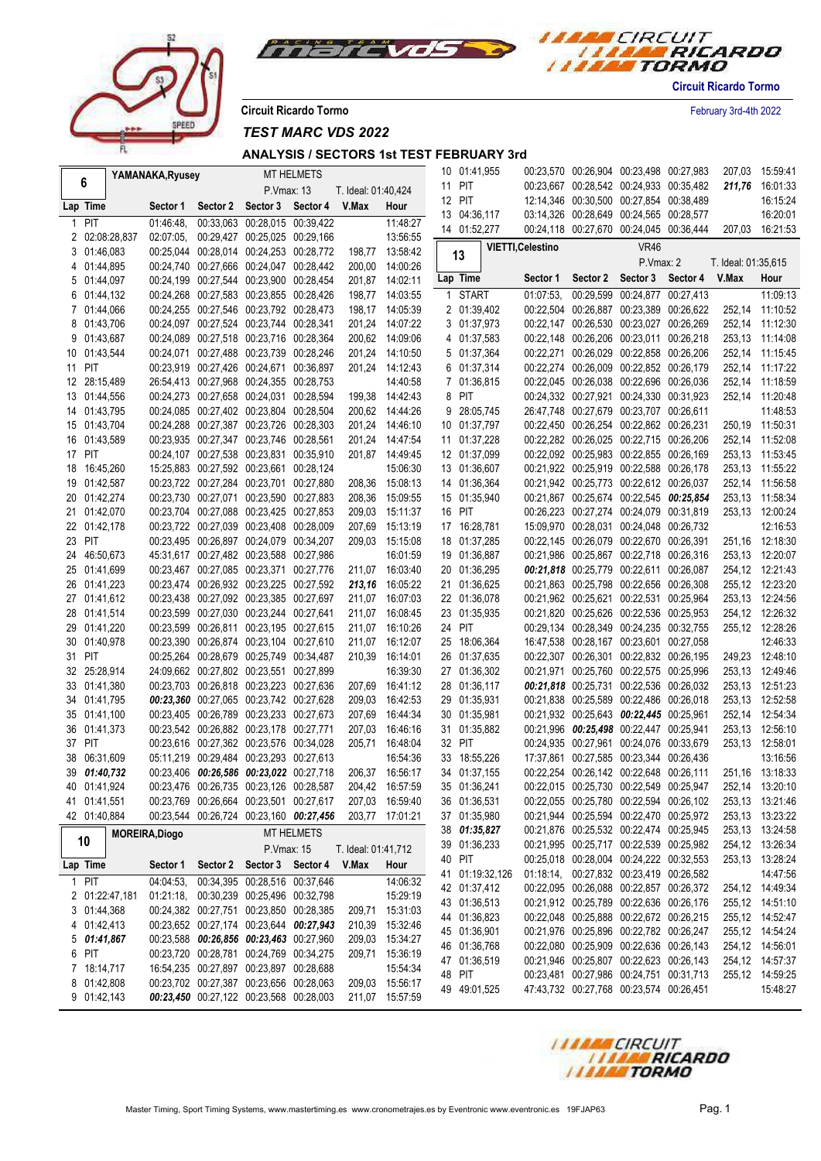



**Circuit Ricardo Tormo** February 3rd-4th 2022

*TEST MARC VDS 2022*

|        |                | YAMANAKA, Ryusey      |                                         |                               | MT HELMETS        |                     |                 | 10 01:41,955 |                 |                          | 00:23,570 00:26,904 00:23,498 00:27,983 |                                  | 207,03              | 15:59:41        |
|--------|----------------|-----------------------|-----------------------------------------|-------------------------------|-------------------|---------------------|-----------------|--------------|-----------------|--------------------------|-----------------------------------------|----------------------------------|---------------------|-----------------|
|        | 6              |                       |                                         | P.Vmax: 13                    |                   | T. Ideal: 01:40,424 |                 | 11 PIT       |                 |                          | 00:23,667 00:28,542 00:24,933 00:35,482 |                                  |                     | 211,76 16:01:33 |
|        | Lap Time       | Sector 1              | Sector 2                                | Sector 3 Sector 4             |                   | V.Max               | Hour            | 12 PIT       |                 |                          | 12:14,346 00:30,500 00:27,854 00:38,489 |                                  |                     | 16:15:24        |
| 1      | <b>PIT</b>     | 01:46:48.             |                                         | 00:33,063 00:28,015 00:39,422 |                   |                     | 11:48:27        | 13 04:36,117 |                 |                          | 03:14,326 00:28,649 00:24,565 00:28,577 |                                  |                     | 16:20:01        |
|        | 2 02:08:28,837 | 02:07:05.             | 00:29,427 00:25,025 00:29,166           |                               |                   |                     | 13:56:55        | 14 01:52,277 |                 |                          | 00:24,118 00:27,670 00:24,045 00:36,444 |                                  |                     | 207,03 16:21:53 |
|        | 3 01:46,083    |                       | 00:25,044 00:28,014 00:24,253 00:28,772 |                               |                   |                     | 198,77 13:58:42 | 13           |                 | <b>VIETTI, Celestino</b> |                                         | <b>VR46</b>                      |                     |                 |
|        | 4 01:44,895    |                       | 00:24.740 00:27.666 00:24.047 00:28.442 |                               |                   |                     | 200,00 14:00:26 |              |                 |                          |                                         | P.Vmax: 2                        | T. Ideal: 01:35,615 |                 |
|        | 5 01:44,097    |                       | 00:24,199 00:27,544 00:23,900 00:28,454 |                               |                   |                     | 201,87 14:02:11 | Lap Time     |                 | Sector 1                 |                                         | Sector 2 Sector 3 Sector 4 V.Max |                     | Hour            |
|        | 6 01:44,132    |                       | 00:24,268 00:27,583 00:23,855 00:28,426 |                               |                   |                     | 198,77 14:03:55 | 1 START      |                 | 01:07:53                 |                                         | 00:29,599 00:24,877 00:27,413    |                     | 11:09:13        |
|        | 7 01:44,066    |                       | 00:24,255 00:27,546 00:23,792 00:28,473 |                               |                   |                     | 198,17 14:05:39 | 2 01:39,402  |                 |                          | 00:22,504 00:26,887 00:23,389 00:26,622 |                                  |                     | 252,14 11:10:52 |
|        | 8 01:43,706    |                       | 00:24.097 00:27.524 00:23.744 00:28.341 |                               |                   |                     | 201,24 14:07:22 | 3 01:37,973  |                 |                          | 00:22,147 00:26,530 00:23,027 00:26,269 |                                  |                     | 252,14 11:12:30 |
|        | 9 01:43,687    |                       | 00:24,089 00:27,518 00:23,716 00:28,364 |                               |                   |                     | 200,62 14:09:06 | 4 01:37,583  |                 |                          | 00:22,148 00:26,206 00:23,011 00:26,218 |                                  |                     | 253.13 11:14:08 |
|        | 10 01:43,544   |                       | 00:24,071 00:27,488 00:23,739 00:28,246 |                               |                   |                     | 201,24 14:10:50 | 5 01:37,364  |                 |                          | 00:22,271 00:26,029 00:22,858 00:26,206 |                                  |                     | 252,14 11:15:45 |
| 11 PIT |                |                       | 00:23,919 00:27,426 00:24,671 00:36,897 |                               |                   |                     | 201,24 14:12:43 | 6 01:37,314  |                 |                          | 00:22,274 00:26,009 00:22,852 00:26,179 |                                  |                     | 252,14 11:17:22 |
|        | 12 28:15,489   |                       | 26:54,413 00:27,968 00:24,355 00:28,753 |                               |                   |                     | 14:40:58        | 7 01:36,815  |                 |                          | 00:22,045 00:26,038 00:22,696 00:26,036 |                                  |                     | 252,14 11:18:59 |
|        | 13 01:44,556   |                       | 00:24,273 00:27,658 00:24,031 00:28,594 |                               |                   |                     | 199,38 14:42:43 | 8 PIT        |                 |                          | 00:24,332 00:27,921 00:24,330 00:31,923 |                                  |                     | 252,14 11:20:48 |
|        | 14 01:43,795   |                       | 00:24,085 00:27,402 00:23,804 00:28,504 |                               |                   |                     | 200,62 14:44:26 | 9 28:05,745  |                 |                          | 26:47,748 00:27,679 00:23,707 00:26,611 |                                  |                     | 11:48:53        |
|        | 15 01:43,704   |                       | 00:24,288 00:27,387 00:23,726 00:28,303 |                               |                   |                     | 201,24 14:46:10 | 10 01:37,797 |                 |                          | 00:22,450 00:26,254 00:22,862 00:26,231 |                                  |                     | 250.19 11:50:31 |
|        | 16 01:43,589   |                       | 00:23,935 00:27,347 00:23,746 00:28,561 |                               |                   |                     | 201,24 14:47:54 | 11 01:37,228 |                 |                          | 00:22,282 00:26,025 00:22,715 00:26,206 |                                  |                     | 252,14 11:52:08 |
| 17 PIT |                |                       | 00:24,107 00:27,538 00:23,831 00:35,910 |                               |                   |                     | 201,87 14:49:45 | 12 01:37,099 |                 |                          | 00:22,092 00:25,983 00:22,855 00:26,169 |                                  |                     | 253,13 11:53:45 |
|        | 18 16:45,260   |                       | 15:25,883 00:27,592 00:23,661 00:28,124 |                               |                   |                     | 15:06:30        | 13 01:36,607 |                 |                          | 00:21,922 00:25,919 00:22,588 00:26,178 |                                  |                     | 253,13 11:55:22 |
|        | 19 01:42,587   |                       | 00:23,722 00:27,284 00:23,701 00:27,880 |                               |                   |                     | 208.36 15:08:13 | 14 01:36,364 |                 |                          | 00:21,942 00:25,773 00:22,612 00:26,037 |                                  |                     | 252,14 11:56:58 |
|        | 20 01:42,274   |                       | 00:23,730 00:27,071 00:23,590 00:27,883 |                               |                   |                     | 208,36 15:09:55 | 15 01:35,940 |                 |                          | 00:21,867 00:25,674 00:22,545 00:25,854 |                                  |                     | 253,13 11:58:34 |
|        | 21 01:42.070   |                       | 00:23,704 00:27,088 00:23,425 00:27,853 |                               |                   |                     | 209.03 15:11:37 | 16 PIT       |                 |                          | 00:26,223 00:27,274 00:24,079 00:31,819 |                                  |                     | 253.13 12:00:24 |
|        | 22 01:42,178   |                       | 00:23,722 00:27,039 00:23,408 00:28,009 |                               |                   |                     | 207.69 15:13:19 | 17 16:28,781 |                 |                          | 15:09.970 00:28.031 00:24.048 00:26.732 |                                  |                     | 12:16:53        |
| 23 PIT |                |                       | 00:23,495 00:26,897 00:24,079 00:34,207 |                               |                   |                     | 209.03 15:15:08 | 18 01:37,285 |                 |                          | 00:22,145 00:26,079 00:22,670 00:26,391 |                                  |                     | 251,16 12:18:30 |
|        | 24 46:50.673   |                       | 45:31.617 00:27.482 00:23.588 00:27.986 |                               |                   |                     | 16:01:59        | 19 01:36,887 |                 |                          | 00:21,986 00:25,867 00:22,718 00:26,316 |                                  |                     | 253.13 12:20:07 |
|        | 25 01:41,699   |                       | 00:23,467 00:27,085 00:23,371 00:27,776 |                               |                   |                     | 211,07 16:03:40 | 20 01:36,295 |                 |                          | 00:21,818 00:25,779 00:22,611 00:26,087 |                                  |                     | 254,12 12:21:43 |
|        | 26 01:41,223   |                       | 00:23,474 00:26,932 00:23,225 00:27,592 |                               |                   |                     | 213,16 16:05:22 | 21 01:36,625 |                 |                          | 00:21,863 00:25,798 00:22,656 00:26,308 |                                  |                     | 255,12 12:23:20 |
|        | 27 01:41,612   |                       | 00:23,438 00:27,092 00:23,385 00:27,697 |                               |                   |                     | 211,07 16:07:03 | 22 01:36,078 |                 |                          | 00:21,962 00:25,621 00:22,531 00:25,964 |                                  |                     | 253,13 12:24:56 |
|        | 28 01:41,514   |                       | 00:23,599 00:27,030 00:23,244 00:27,641 |                               |                   |                     | 211,07 16:08:45 | 23 01:35,935 |                 |                          | 00:21,820 00:25,626 00:22,536 00:25,953 |                                  |                     | 254,12 12:26:32 |
|        | 29 01:41,220   |                       | 00:23,599 00:26,811 00:23,195 00:27,615 |                               |                   |                     | 211,07 16:10:26 | 24 PIT       |                 |                          | 00:29,134 00:28,349 00:24,235 00:32,755 |                                  |                     | 255,12 12:28:26 |
|        | 30 01:40,978   |                       | 00:23,390 00:26,874 00:23,104 00:27,610 |                               |                   |                     | 211,07 16:12:07 | 25 18:06,364 |                 |                          | 16:47,538 00:28,167 00:23,601 00:27,058 |                                  |                     | 12:46:33        |
| 31 PIT |                |                       | 00:25,264 00:28,679 00:25,749 00:34,487 |                               |                   | 210,39              | 16:14:01        | 26 01:37,635 |                 |                          | 00:22,307 00:26,301 00:22,832 00:26,195 |                                  |                     | 249,23 12:48:10 |
|        | 32 25:28,914   |                       | 24:09,662 00:27,802 00:23,551 00:27,899 |                               |                   |                     | 16:39:30        | 27 01:36,302 |                 |                          | 00:21,971 00:25,760 00:22,575 00:25,996 |                                  |                     | 253,13 12:49:46 |
|        | 33 01:41,380   |                       | 00:23,703 00:26,818 00:23,223 00:27,636 |                               |                   |                     | 207,69 16:41:12 | 28 01:36,117 |                 |                          | 00:21,818 00:25,731 00:22,536 00:26,032 |                                  |                     | 253,13 12:51:23 |
|        | 34 01:41,795   |                       | 00:23,360 00:27,065 00:23,742 00:27,628 |                               |                   | 209,03              | 16:42:53        | 29 01:35,931 |                 |                          | 00:21,838 00:25,589 00:22,486 00:26,018 |                                  | 253,13              | 12:52:58        |
|        | 35 01:41,100   |                       | 00:23,405 00:26,789 00:23,233 00:27,673 |                               |                   | 207,69              | 16:44:34        | 30 01:35,981 |                 |                          | 00:21,932 00:25,643 00:22,445 00:25,961 |                                  | 252,14              | 12:54:34        |
|        | 36 01:41,373   |                       | 00:23,542 00:26,882 00:23,178 00:27,771 |                               |                   | 207,03              | 16:46:16        | 31 01:35,882 |                 |                          | 00:21,996 00:25,498 00:22,447 00:25,941 |                                  |                     | 253,13 12:56:10 |
| 37 PIT |                |                       | 00:23,616 00:27,362 00:23,576 00:34,028 |                               |                   | 205,71              | 16:48:04        | 32 PIT       |                 |                          | 00:24,935 00:27,961 00:24,076 00:33,679 |                                  |                     | 253,13 12:58:01 |
|        | 38 06:31,609   |                       | 05:11.219 00:29.484 00:23.293 00:27.613 |                               |                   |                     | 16:54:36        | 33 18:55,226 |                 |                          | 17:37,861 00:27,585 00:23,344 00:26,436 |                                  |                     | 13:16:56        |
|        | 39 01:40.732   |                       | 00:23,406 00:26,586 00:23,022 00:27,718 |                               |                   |                     | 206,37 16:56:17 | 34 01:37,155 |                 |                          | 00:22,254 00:26,142 00:22,648 00:26,111 |                                  |                     | 251.16 13:18:33 |
|        | 40 01:41,924   |                       | 00:23,476 00:26,735 00:23,126 00:28,587 |                               |                   |                     | 204,42 16:57:59 | 35 01:36,241 |                 |                          | 00:22,015 00:25,730 00:22,549 00:25,947 |                                  |                     | 252,14 13:20:10 |
|        | 41 01:41,551   |                       | 00:23,769 00:26,664 00:23,501 00:27,617 |                               |                   |                     | 207,03 16:59:40 | 36 01:36,531 |                 |                          | 00:22,055 00:25,780 00:22,594 00:26,102 |                                  |                     | 253,13 13:21:46 |
|        | 42 01:40,884   |                       | 00:23,544 00:26,724 00:23,160 00:27,456 |                               |                   |                     | 203,77 17:01:21 | 37 01:35,980 |                 |                          | 00:21,944 00:25,594 00:22,470 00:25,972 |                                  |                     | 253,13 13:23:22 |
|        | 10             | <b>MOREIRA, Diogo</b> |                                         |                               | <b>MT HELMETS</b> |                     |                 | 38 01:35,827 |                 |                          | 00:21,876 00:25,532 00:22,474 00:25,945 |                                  |                     | 253,13 13:24:58 |
|        |                |                       |                                         | P.Vmax: 15                    |                   | T. Ideal: 01:41,712 |                 | 39 01:36,233 |                 |                          | 00:21,995 00:25,717 00:22,539 00:25,982 |                                  |                     | 254,12 13:26:34 |
|        | Lap Time       | Sector 1              | Sector 2                                | Sector 3 Sector 4             |                   | V.Max               | Hour            | 40 PIT       |                 |                          | 00:25,018 00:28,004 00:24,222 00:32,553 |                                  |                     | 253,13 13:28:24 |
|        | 1 PIT          | 04:04:53,             |                                         | 00:34,395 00:28,516 00:37,646 |                   |                     | 14:06:32        |              | 41 01:19:32,126 |                          | 01:18:14, 00:27,832 00:23,419 00:26,582 |                                  |                     | 14:47:56        |
|        | 2 01:22:47,181 | 01:21:18              | 00:30,239 00:25,496 00:32,798           |                               |                   |                     | 15:29:19        | 42 01:37,412 |                 |                          | 00:22,095 00:26,088 00:22,857 00:26,372 |                                  |                     | 254,12 14:49:34 |
|        | 3 01:44,368    |                       | 00:24,382 00:27,751 00:23,850 00:28,385 |                               |                   | 209,71              | 15:31:03        | 43 01:36,513 |                 |                          | 00:21,912 00:25,789 00:22,636 00:26,176 |                                  |                     | 255,12 14:51:10 |
|        | 4 01:42,413    |                       | 00:23,652 00:27,174 00:23,644 00:27,943 |                               |                   | 210,39              | 15:32:46        | 44 01:36,823 |                 |                          | 00:22,048 00:25,888 00:22,672 00:26,215 |                                  |                     | 255,12 14:52:47 |
|        | 501:41,867     |                       | 00:23,588 00:26,856 00:23,463 00:27,960 |                               |                   |                     | 209.03 15:34:27 | 45 01:36,901 |                 |                          | 00:21,976 00:25,896 00:22,782 00:26,247 |                                  |                     | 255,12 14:54:24 |
|        | 6 PIT          |                       | 00:23,720 00:28,781 00:24,769 00:34,275 |                               |                   | 209,71              | 15:36:19        | 46 01:36,768 |                 |                          | 00:22,080 00:25,909 00:22,636 00:26,143 |                                  |                     | 254,12 14:56:01 |
|        | 7 18:14,717    |                       | 16:54,235 00:27,897 00:23,897 00:28,688 |                               |                   |                     | 15:54:34        | 47 01:36,519 |                 |                          | 00:21,946 00:25,807 00:22,623 00:26,143 |                                  |                     | 254,12 14:57:37 |
|        | 8 01:42,808    |                       | 00:23,702 00:27,387 00:23,656 00:28,063 |                               |                   |                     | 209,03 15:56:17 | 48 PIT       |                 |                          | 00:23,481 00:27,986 00:24,751 00:31,713 |                                  |                     | 255,12 14:59:25 |
|        | 9 01:42,143    |                       | 00:23,450 00:27,122 00:23,568 00:28,003 |                               |                   |                     | 211,07 15:57:59 | 49 49:01,525 |                 |                          | 47:43,732 00:27,768 00:23,574 00:26,451 |                                  |                     | 15:48:27        |
|        |                |                       |                                         |                               |                   |                     |                 |              |                 |                          |                                         |                                  |                     |                 |

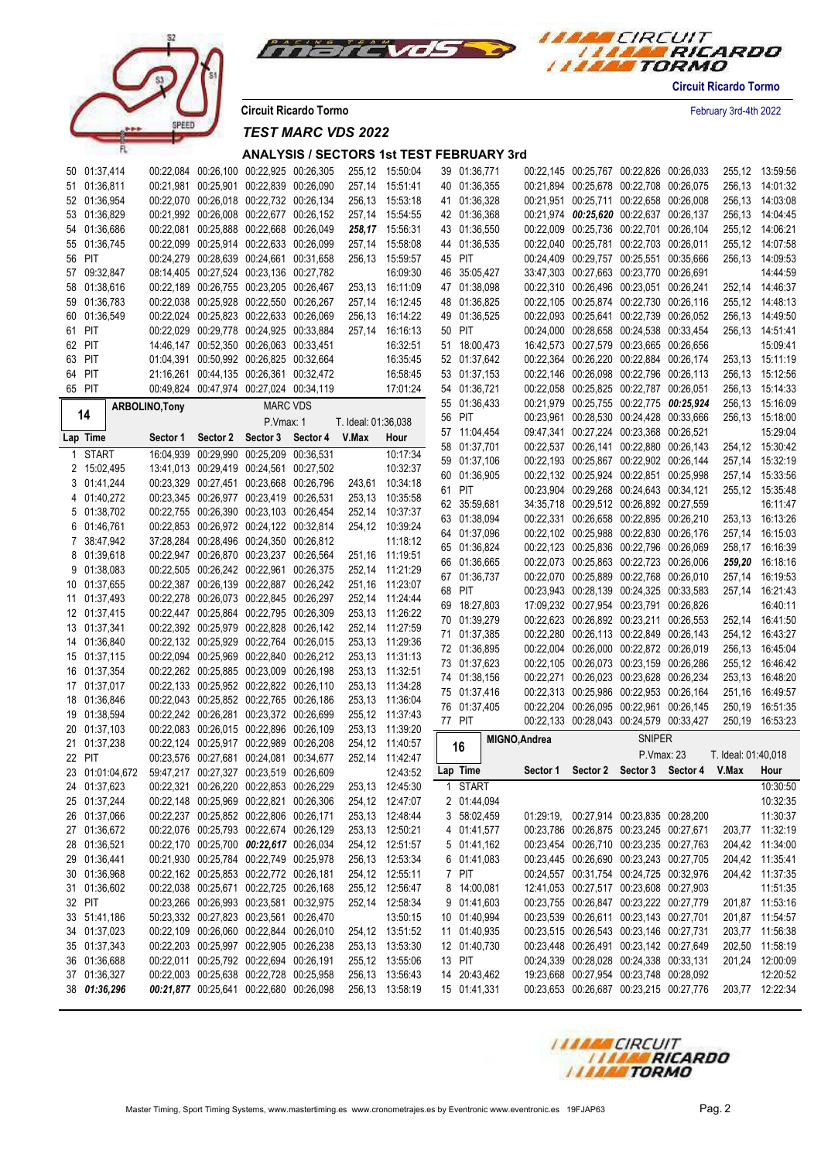



**Circuit Ricardo Tormo** February 3rd-4th 2022

*TEST MARC VDS 2022*

|              | 50 01:37,414                 |                |                                                                                    | 00:22,084 00:26,100 00:22,925 00:26,305 |                     | 255,12 15:50:04                    | 39 01:36,771                 |               |                                         | 00:22,145 00:25,767 00:22,826 00:26,033 |                                           |                     | 255,12 13:59:56                    |
|--------------|------------------------------|----------------|------------------------------------------------------------------------------------|-----------------------------------------|---------------------|------------------------------------|------------------------------|---------------|-----------------------------------------|-----------------------------------------|-------------------------------------------|---------------------|------------------------------------|
|              | 51 01:36,811                 |                | 00:21,981 00:25,901 00:22,839 00:26,090                                            |                                         | 257,14              | 15:51:41                           | 40 01:36,355                 |               | 00:21,894 00:25,678 00:22,708 00:26,075 |                                         |                                           |                     | 256,13 14:01:32                    |
|              | 52 01:36,954                 |                | 00:22,070 00:26,018 00:22,732 00:26,134                                            |                                         |                     | 256,13 15:53:18                    | 41 01:36,328                 |               | 00:21,951 00:25,711 00:22,658 00:26,008 |                                         |                                           |                     | 256,13 14:03:08                    |
|              | 53 01:36,829                 |                | 00:21,992 00:26,008 00:22,677 00:26,152                                            |                                         |                     | 257,14 15:54:55                    | 42 01:36,368                 |               | 00:21,974 00:25,620 00:22,637 00:26,137 |                                         |                                           |                     | 256,13 14:04:45                    |
|              | 54 01:36,686                 |                | 00:22,081 00:25,888 00:22,668 00:26,049                                            |                                         |                     | 258,17 15:56:31                    | 43 01:36,550                 |               | 00:22,009 00:25,736 00:22,701 00:26,104 |                                         |                                           |                     | 255,12 14:06:21                    |
|              | 55 01:36,745                 |                | 00:22,099 00:25,914 00:22,633 00:26,099                                            |                                         | 257,14              | 15:58:08                           | 44 01:36,535                 |               | 00:22,040 00:25,781 00:22,703 00:26,011 |                                         |                                           |                     | 255,12 14:07:58                    |
|              | 56 PIT                       |                | 00:24,279 00:28,639 00:24,661 00:31,658                                            |                                         |                     | 256,13 15:59:57                    | 45 PIT                       |               | 00:24,409 00:29,757 00:25,551 00:35,666 |                                         |                                           |                     | 256,13 14:09:53                    |
|              | 57 09:32,847                 |                | 08:14,405 00:27,524 00:23,136 00:27,782                                            |                                         |                     | 16:09:30                           | 46 35:05,427                 |               | 33:47,303 00:27,663 00:23,770 00:26,691 |                                         |                                           |                     | 14:44:59                           |
|              | 58 01:38,616                 |                | 00:22,189 00:26,755 00:23,205 00:26,467                                            |                                         |                     | 253,13 16:11:09                    | 47 01:38,098                 |               | 00:22,310 00:26,496 00:23,051 00:26,241 |                                         |                                           |                     | 252,14 14:46:37                    |
|              |                              |                |                                                                                    |                                         |                     |                                    |                              |               |                                         |                                         |                                           |                     |                                    |
|              | 59 01:36,783                 |                | 00:22,038 00:25,928 00:22,550 00:26,267                                            |                                         | 257,14              | 16:12:45                           | 48 01:36,825                 |               | 00:22,105 00:25,874 00:22,730 00:26,116 |                                         |                                           |                     | 255,12 14:48:13                    |
|              | 60 01:36,549                 |                | 00:22,024 00:25,823 00:22,633 00:26,069                                            |                                         | 256,13              | 16:14:22                           | 49 01:36,525                 |               | 00:22,093 00:25,641 00:22,739 00:26,052 |                                         |                                           |                     | 256,13 14:49:50                    |
|              | 61 PIT                       |                | 00:22,029 00:29,778 00:24,925 00:33,884                                            |                                         | 257,14              | 16:16:13                           | 50 PIT                       |               | 00:24,000 00:28,658 00:24,538 00:33,454 |                                         |                                           |                     | 256,13 14:51:41                    |
|              | 62 PIT                       |                | 14:46,147 00:52,350 00:26,063 00:33,451                                            |                                         |                     | 16:32:51                           | 51 18:00,473                 |               | 16:42,573 00:27,579 00:23,665 00:26,656 |                                         |                                           |                     | 15:09:41                           |
|              | 63 PIT                       |                | 01:04.391 00:50.992 00:26.825 00:32.664                                            |                                         |                     | 16:35:45                           | 52 01:37,642                 |               | 00:22,364 00:26,220 00:22,884 00:26,174 |                                         |                                           |                     | 253,13 15:11:19                    |
|              | 64 PIT                       |                | 21:16,261 00:44,135 00:26,361 00:32,472                                            |                                         |                     | 16:58:45                           | 53 01:37,153                 |               | 00:22,146 00:26,098 00:22,796 00:26,113 |                                         |                                           |                     | 256,13 15:12:56                    |
|              | 65 PIT                       |                | 00:49,824 00:47,974 00:27,024 00:34,119                                            |                                         |                     | 17:01:24                           | 54 01:36,721                 |               | 00:22,058 00:25,825 00:22,787 00:26,051 |                                         |                                           |                     | 256,13 15:14:33                    |
|              |                              | ARBOLINO, Tony |                                                                                    | <b>MARC VDS</b>                         |                     |                                    | 55 01:36,433                 |               | 00:21,979 00:25,755 00:22,775 00:25,924 |                                         |                                           |                     | 256,13 15:16:09                    |
|              | 14                           |                |                                                                                    | P.Vmax: 1                               | T. Ideal: 01:36,038 |                                    | 56 PIT                       |               | 00:23,961 00:28,530 00:24,428 00:33,666 |                                         |                                           |                     | 256,13 15:18:00                    |
|              | Lap Time                     | Sector 1       | Sector 2                                                                           | Sector 3 Sector 4                       | V.Max               | Hour                               | 57 11:04,454                 |               | 09:47,341 00:27,224 00:23,368 00:26,521 |                                         |                                           |                     | 15:29:04                           |
|              |                              |                |                                                                                    |                                         |                     |                                    | 58 01:37,701                 |               | 00:22,537 00:26,141 00:22,880 00:26,143 |                                         |                                           |                     | 254,12 15:30:42                    |
| $\mathbf{1}$ | <b>START</b>                 |                | 16:04,939 00:29,990 00:25,209 00:36,531                                            |                                         |                     | 10:17:34                           | 59 01:37,106                 |               | 00:22,193 00:25,867 00:22,902 00:26,144 |                                         |                                           |                     | 257,14 15:32:19                    |
|              | 2 15:02,495                  |                | 13:41,013 00:29,419 00:24,561 00:27,502                                            |                                         |                     | 10:32:37                           | 60 01:36,905                 |               | 00:22,132 00:25,924 00:22,851 00:25,998 |                                         |                                           |                     | 257,14 15:33:56                    |
|              | 3 01:41,244                  |                | 00:23,329 00:27,451 00:23,668 00:26,796                                            |                                         |                     | 243,61 10:34:18                    | 61 PIT                       |               | 00:23,904 00:29,268 00:24,643 00:34,121 |                                         |                                           |                     | 255,12 15:35:48                    |
|              | 4 01:40,272                  |                | 00:23,345 00:26,977 00:23,419 00:26,531                                            |                                         |                     | 253,13 10:35:58                    | 62 35:59,681                 |               | 34:35.718 00:29.512 00:26.892 00:27.559 |                                         |                                           |                     | 16:11:47                           |
|              | 5 01:38,702                  |                | 00:22,755 00:26,390 00:23,103 00:26,454                                            |                                         |                     | 252,14 10:37:37                    | 63 01:38,094                 |               | 00:22,331 00:26,658 00:22,895 00:26,210 |                                         |                                           |                     | 253,13 16:13:26                    |
|              | 6 01:46,761                  |                | 00:22,853 00:26,972 00:24,122 00:32,814                                            |                                         |                     | 254,12 10:39:24                    | 64 01:37,096                 |               | 00:22,102 00:25,988 00:22,830 00:26,176 |                                         |                                           |                     | 257,14 16:15:03                    |
|              | 7 38:47,942                  |                | 37:28.284 00:28.496 00:24.350 00:26.812                                            |                                         |                     | 11:18:12                           | 65 01:36,824                 |               | 00:22,123 00:25,836 00:22,796 00:26,069 |                                         |                                           |                     | 258,17 16:16:39                    |
|              | 8 01:39.618                  |                | 00:22,947 00:26,870 00:23,237 00:26,564                                            |                                         |                     | 251,16 11:19:51                    | 66 01:36,665                 |               | 00:22,073 00:25,863 00:22,723 00:26,006 |                                         |                                           |                     | 259,20 16:18:16                    |
|              | 9 01:38,083                  |                | 00:22,505 00:26,242 00:22,961 00:26,375                                            |                                         |                     | 252,14 11:21:29                    |                              |               |                                         |                                         |                                           |                     |                                    |
|              | 10 01:37,655                 |                | 00:22,387 00:26,139 00:22,887 00:26,242                                            |                                         |                     | 251,16 11:23:07                    | 67 01:36,737<br>68 PIT       |               | 00:22,070 00:25,889 00:22,768 00:26,010 |                                         |                                           |                     | 257,14 16:19:53<br>257,14 16:21:43 |
|              |                              |                |                                                                                    |                                         |                     |                                    |                              |               | 00:23,943 00:28,139 00:24,325 00:33,583 |                                         |                                           |                     |                                    |
|              |                              |                |                                                                                    |                                         |                     |                                    |                              |               |                                         |                                         |                                           |                     |                                    |
|              | 11 01:37,493                 |                |                                                                                    | 00:22,278 00:26,073 00:22,845 00:26,297 |                     | 252,14 11:24:44                    | 69 18:27,803                 |               | 17:09,232 00:27,954 00:23,791 00:26,826 |                                         |                                           |                     | 16:40:11                           |
|              | 12 01:37,415                 |                | 00:22,447 00:25,864 00:22,795 00:26,309                                            |                                         |                     | 253,13 11:26:22                    | 70 01:39,279                 |               | 00:22,623 00:26,892 00:23,211 00:26,553 |                                         |                                           |                     | 252,14 16:41:50                    |
|              | 13 01:37,341                 |                | 00:22,392 00:25,979 00:22,828 00:26,142                                            |                                         |                     | 252,14 11:27:59                    | 71 01:37,385                 |               | 00:22,280 00:26,113 00:22,849 00:26,143 |                                         |                                           |                     | 254,12 16:43:27                    |
|              | 14 01:36,840                 |                | 00:22,132 00:25,929 00:22,764 00:26,015                                            |                                         |                     | 253,13 11:29:36                    | 72 01:36,895                 |               | 00:22,004 00:26,000 00:22,872 00:26,019 |                                         |                                           |                     | 256,13 16:45:04                    |
|              | 15 01:37,115                 |                | 00:22,094 00:25,969 00:22,840 00:26,212                                            |                                         |                     | 253,13 11:31:13                    | 73 01:37,623                 |               | 00:22,105 00:26,073 00:23,159 00:26,286 |                                         |                                           |                     | 255,12 16:46:42                    |
|              | 16 01:37,354                 |                | 00:22,262 00:25,885 00:23,009 00:26,198                                            |                                         |                     | 253,13 11:32:51                    | 74 01:38,156                 |               | 00:22,271 00:26,023 00:23,628 00:26,234 |                                         |                                           |                     | 253,13 16:48:20                    |
|              | 17 01:37,017                 |                | 00:22,133 00:25,952 00:22,822 00:26,110                                            |                                         |                     | 253,13 11:34:28                    | 75 01:37,416                 |               | 00:22,313 00:25,986 00:22,953 00:26,164 |                                         |                                           |                     | 251,16 16:49:57                    |
|              | 18 01:36,846                 |                | 00:22,043 00:25,852 00:22,765 00:26,186                                            |                                         |                     | 253,13 11:36:04                    | 76 01:37,405                 |               | 00:22,204 00:26,095 00:22,961 00:26,145 |                                         |                                           |                     | 250,19 16:51:35                    |
|              | 19 01:38,594                 |                | 00:22,242 00:26,281 00:23,372 00:26,699                                            |                                         |                     | 255,12 11:37:43                    | 77 PIT                       |               | 00:22,133 00:28,043 00:24,579 00:33,427 |                                         |                                           |                     | 250,19 16:53:23                    |
|              | 20 01:37,103                 |                | 00:22,083 00:26,015 00:22,896 00:26,109                                            |                                         |                     | 253,13 11:39:20                    |                              |               |                                         |                                         |                                           |                     |                                    |
|              | 21 01:37,238                 |                | 00:22,124 00:25,917 00:22,989 00:26,208                                            |                                         |                     | 254,12 11:40:57                    | 16                           | MIGNO, Andrea |                                         | <b>SNIPER</b>                           |                                           |                     |                                    |
|              | 22 PIT                       |                | 00:23,576 00:27,681 00:24,081 00:34,677                                            |                                         |                     | 252,14 11:42:47                    |                              |               |                                         | P.Vmax: 23                              |                                           | T. Ideal: 01:40,018 |                                    |
|              | 23 01:01:04.672              |                | 59:47,217 00:27,327 00:23,519 00:26,609                                            |                                         |                     | 12:43:52                           | Lap Time                     |               |                                         |                                         | Sector 1 Sector 2 Sector 3 Sector 4 V.Max |                     | Hour                               |
|              | 24 01:37,623                 |                | 00:22,321 00:26,220 00:22,853 00:26,229                                            |                                         |                     | 253,13 12:45:30                    | 1 START                      |               |                                         |                                         |                                           |                     | 10:30:50                           |
|              | 25 01:37,244                 |                | 00:22,148 00:25,969 00:22,821 00:26,306                                            |                                         |                     | 254,12 12:47:07                    | 2 01:44,094                  |               |                                         |                                         |                                           |                     | 10:32:35                           |
|              | 26 01:37,066                 |                | 00:22,237 00:25,852 00:22,806 00:26,171                                            |                                         |                     | 253,13 12:48:44                    | 3 58:02,459                  |               | 01:29:19, 00:27,914 00:23,835 00:28,200 |                                         |                                           |                     | 11:30:37                           |
|              | 27 01:36,672                 |                | 00:22,076 00:25,793 00:22,674 00:26,129                                            |                                         |                     | 253,13 12:50:21                    | 4 01:41,577                  |               |                                         |                                         | 00:23,786 00:26,875 00:23,245 00:27,671   |                     | 203,77 11:32:19                    |
|              | 28 01:36,521                 |                | 00:22,170 00:25,700 00:22,617 00:26,034                                            |                                         |                     | 254,12 12:51:57                    | 5 01:41,162                  |               |                                         |                                         | 00:23,454 00:26,710 00:23,235 00:27,763   |                     | 204,42 11:34:00                    |
|              | 29 01:36,441                 |                | 00:21,930 00:25,784 00:22,749 00:25,978                                            |                                         |                     | 256,13 12:53:34                    | 6 01:41,083                  |               | 00:23,445 00:26,690 00:23,243 00:27,705 |                                         |                                           |                     | 204,42 11:35:41                    |
|              | 30 01:36,968                 |                | 00:22,162 00:25,853 00:22,772 00:26,181                                            |                                         |                     | 254,12 12:55:11                    | 7 PIT                        |               | 00:24,557 00:31,754 00:24,725 00:32,976 |                                         |                                           |                     | 204,42 11:37:35                    |
|              | 31 01:36,602                 |                | 00:22,038 00:25,671 00:22,725 00:26,168                                            |                                         |                     | 255,12 12:56:47                    | 8 14:00,081                  |               | 12:41,053 00:27,517 00:23,608 00:27,903 |                                         |                                           |                     | 11:51:35                           |
|              | 32 PIT                       |                | 00:23,266 00:26,993 00:23,581 00:32,975                                            |                                         |                     | 252,14 12:58:34                    | 9 01:41,603                  |               | 00:23,755 00:26,847 00:23,222 00:27,779 |                                         |                                           |                     | 201,87 11:53:16                    |
|              | 33 51:41,186                 |                | 50:23,332 00:27,823 00:23,561 00:26,470                                            |                                         |                     | 13:50:15                           | 10 01:40,994                 |               |                                         |                                         | 00:23,539 00:26,611 00:23,143 00:27,701   |                     | 201,87 11:54:57                    |
|              | 34 01:37,023                 |                | 00:22,109 00:26,060 00:22,844 00:26,010                                            |                                         |                     | 254,12 13:51:52                    |                              |               | 00:23,515 00:26,543 00:23,146 00:27,731 |                                         |                                           |                     | 203,77 11:56:38                    |
|              | 35 01:37,343                 |                | 00:22,203 00:25,997 00:22,905 00:26,238                                            |                                         |                     | 253,13 13:53:30                    | 11 01:40,935                 |               | 00:23,448 00:26,491 00:23,142 00:27,649 |                                         |                                           |                     |                                    |
|              | 36 01:36,688                 |                | 00:22,011 00:25,792 00:22,694 00:26,191                                            |                                         |                     | 255,12 13:55:06                    | 12 01:40,730<br>13 PIT       |               | 00:24,339 00:28,028 00:24,338 00:33,131 |                                         |                                           |                     | 202,50 11:58:19<br>201,24 12:00:09 |
|              |                              |                |                                                                                    |                                         |                     |                                    |                              |               |                                         |                                         |                                           |                     |                                    |
|              | 37 01:36,327<br>38 01:36,296 |                | 00:22,003 00:25,638 00:22,728 00:25,958<br>00:21,877 00:25,641 00:22,680 00:26,098 |                                         |                     | 256,13 13:56:43<br>256,13 13:58:19 | 14 20:43,462<br>15 01:41,331 |               | 19:23,668 00:27,954 00:23,748 00:28,092 |                                         | 00:23,653 00:26,687 00:23,215 00:27,776   |                     | 12:20:52<br>203,77 12:22:34        |

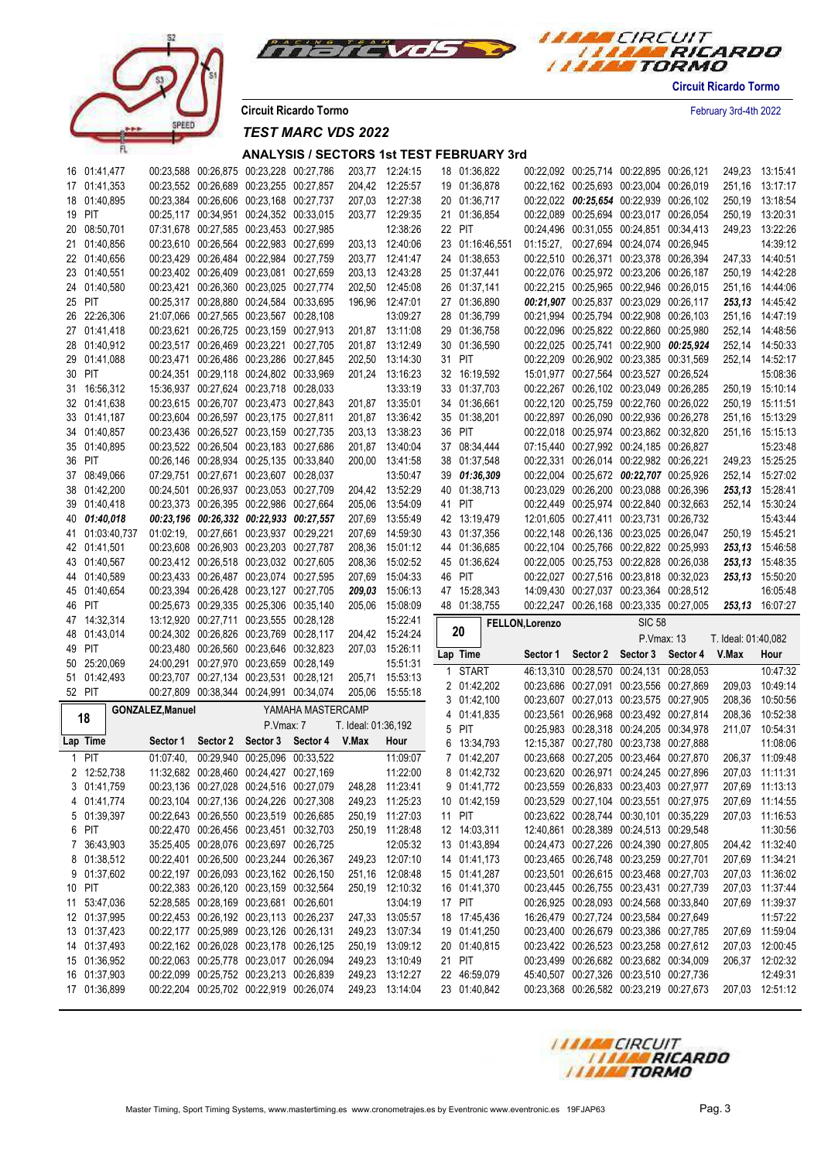



**Circuit Ricardo Tormo** February 3rd-4th 2022

*TEST MARC VDS 2022*

| 16 01:41,477    |                         | 00:23,588 00:26,875 00:23,228 00:27,786 |                                                         |                     | 203,77 12:24:15 | 18 01:36,822    |                 | 00:22,092 00:25,714 00:22,895 00:26,121 |               |                                           |                     | 249,23 13:15:41 |
|-----------------|-------------------------|-----------------------------------------|---------------------------------------------------------|---------------------|-----------------|-----------------|-----------------|-----------------------------------------|---------------|-------------------------------------------|---------------------|-----------------|
| 17 01:41,353    |                         | 00:23,552 00:26,689 00:23,255 00:27,857 |                                                         |                     | 204,42 12:25:57 | 19 01:36,878    |                 | 00:22,162 00:25,693 00:23,004 00:26,019 |               |                                           |                     | 251,16 13:17:17 |
| 18 01:40,895    |                         | 00:23,384 00:26,606 00:23,168 00:27,737 |                                                         |                     | 207,03 12:27:38 | 20 01:36,717    |                 | 00:22,022 00:25,654 00:22,939 00:26,102 |               |                                           |                     | 250,19 13:18:54 |
| 19 PIT          |                         | 00:25,117 00:34,951 00:24,352 00:33,015 |                                                         |                     | 203,77 12:29:35 | 21 01:36,854    |                 | 00:22,089 00:25,694 00:23,017 00:26,054 |               |                                           |                     | 250,19 13:20:31 |
| 20 08:50,701    |                         | 07:31,678 00:27,585 00:23,453 00:27,985 |                                                         |                     | 12:38:26        | 22 PIT          |                 | 00:24,496 00:31,055 00:24,851 00:34,413 |               |                                           |                     | 249,23 13:22:26 |
| 21 01:40,856    |                         | 00:23,610 00:26,564 00:22,983 00:27,699 |                                                         |                     | 203.13 12:40:06 | 23 01:16:46,551 |                 | 01:15:27, 00:27,694 00:24,074 00:26,945 |               |                                           |                     | 14:39:12        |
| 22 01:40,656    |                         | 00:23,429 00:26,484 00:22,984 00:27,759 |                                                         |                     | 203,77 12:41:47 | 24 01:38,653    |                 | 00:22,510 00:26,371 00:23,378 00:26,394 |               |                                           |                     | 247,33 14:40:51 |
| 23 01:40,551    |                         | 00:23,402 00:26,409 00:23,081 00:27,659 |                                                         |                     | 203,13 12:43:28 | 25 01:37,441    |                 | 00:22,076 00:25,972 00:23,206 00:26,187 |               |                                           |                     | 250,19 14:42:28 |
| 24 01:40,580    |                         | 00:23,421 00:26,360 00:23,025 00:27,774 |                                                         |                     | 202,50 12:45:08 | 26 01:37,141    |                 | 00:22,215 00:25,965 00:22,946 00:26,015 |               |                                           |                     | 251,16 14:44:06 |
| 25 PIT          |                         | 00:25,317 00:28,880 00:24,584 00:33,695 |                                                         |                     | 196,96 12:47:01 | 27 01:36,890    |                 | 00:21,907 00:25,837 00:23,029 00:26,117 |               |                                           |                     | 253,13 14:45:42 |
| 26 22:26,306    |                         | 21:07,066 00:27,565 00:23,567 00:28,108 |                                                         |                     | 13:09:27        | 28 01:36,799    |                 | 00:21,994 00:25,794 00:22,908 00:26,103 |               |                                           |                     | 251,16 14:47:19 |
| 27 01:41,418    |                         | 00:23,621 00:26,725 00:23,159 00:27,913 |                                                         |                     | 201,87 13:11:08 | 29 01:36,758    |                 | 00:22,096 00:25,822 00:22,860 00:25,980 |               |                                           |                     | 252,14 14:48:56 |
| 28 01:40,912    |                         | 00:23,517 00:26,469 00:23,221 00:27,705 |                                                         |                     | 201,87 13:12:49 | 30 01:36,590    |                 |                                         |               | 00:22,025 00:25,741 00:22,900 00:25,924   |                     | 252,14 14:50:33 |
| 29 01:41,088    |                         | 00:23,471 00:26,486 00:23,286 00:27,845 |                                                         |                     | 202,50 13:14:30 | 31 PIT          |                 | 00:22,209 00:26,902 00:23,385 00:31,569 |               |                                           |                     | 252,14 14:52:17 |
| 30 PIT          |                         | 00:24,351 00:29,118 00:24,802 00:33,969 |                                                         |                     | 201,24 13:16:23 | 32 16:19,592    |                 | 15:01,977 00:27,564 00:23,527 00:26,524 |               |                                           |                     | 15:08:36        |
| 31 16:56,312    |                         | 15:36,937 00:27,624 00:23,718 00:28,033 |                                                         |                     | 13:33:19        | 33 01:37,703    |                 | 00:22,267 00:26,102 00:23,049 00:26,285 |               |                                           |                     | 250,19 15:10:14 |
| 32 01:41,638    |                         | 00:23,615 00:26,707 00:23,473 00:27,843 |                                                         |                     | 201,87 13:35:01 | 34 01:36,661    |                 | 00:22,120 00:25,759 00:22,760 00:26,022 |               |                                           |                     | 250,19 15:11:51 |
| 33 01:41,187    |                         | 00:23,604 00:26,597 00:23,175 00:27,811 |                                                         |                     | 201,87 13:36:42 | 35 01:38,201    |                 | 00:22,897 00:26,090 00:22,936 00:26,278 |               |                                           |                     | 251,16 15:13:29 |
| 34 01:40,857    |                         | 00:23,436 00:26,527 00:23,159 00:27,735 |                                                         |                     | 203,13 13:38:23 | 36 PIT          |                 | 00:22,018 00:25,974 00:23,862 00:32,820 |               |                                           |                     | 251,16 15:15:13 |
| 35 01:40,895    |                         | 00:23,522 00:26,504 00:23,183 00:27,686 |                                                         |                     | 201,87 13:40:04 | 37 08:34,444    |                 | 07:15,440 00:27,992 00:24,185 00:26,827 |               |                                           |                     | 15:23:48        |
| 36 PIT          |                         | 00:26,146 00:28,934 00:25,135 00:33,840 |                                                         |                     | 200,00 13:41:58 | 38 01:37,548    |                 | 00:22,331 00:26,014 00:22,982 00:26,221 |               |                                           |                     | 249,23 15:25:25 |
| 37 08:49,066    |                         | 07:29,751 00:27,671 00:23,607 00:28,037 |                                                         |                     | 13:50:47        | 39 01:36,309    |                 | 00:22,004 00:25,672 00:22,707 00:25,926 |               |                                           |                     | 252,14 15:27:02 |
| 38 01:42,200    |                         | 00:24,501 00:26,937 00:23,053 00:27,709 |                                                         |                     | 204,42 13:52:29 | 40 01:38,713    |                 | 00:23,029 00:26,200 00:23,088 00:26,396 |               |                                           |                     | 253,13 15:28:41 |
| 39 01:40,418    |                         | 00:23,373 00:26,395 00:22,986 00:27,664 |                                                         |                     | 205,06 13:54:09 | 41 PIT          |                 | 00:22,449 00:25,974 00:22,840 00:32,663 |               |                                           |                     | 252,14 15:30:24 |
| 40 01:40,018    |                         | 00:23,196 00:26,332 00:22,933 00:27,557 |                                                         |                     | 207,69 13:55:49 | 42 13:19,479    |                 | 12:01,605 00:27,411 00:23,731 00:26,732 |               |                                           |                     | 15:43:44        |
| 41 01:03:40,737 |                         | 01:02:19, 00:27,661 00:23,937 00:29,221 |                                                         |                     | 207,69 14:59:30 | 43 01:37,356    |                 | 00:22,148 00:26,136 00:23,025 00:26,047 |               |                                           |                     | 250,19 15:45:21 |
| 42 01:41,501    |                         | 00:23,608 00:26,903 00:23,203 00:27,787 |                                                         |                     | 208,36 15:01:12 | 44 01:36,685    |                 | 00:22,104 00:25,766 00:22,822 00:25,993 |               |                                           |                     | 253,13 15:46:58 |
| 43 01:40,567    |                         | 00:23,412 00:26,518 00:23,032 00:27,605 |                                                         |                     | 208,36 15:02:52 | 45 01:36,624    |                 | 00:22,005 00:25,753 00:22,828 00:26,038 |               |                                           |                     | 253,13 15:48:35 |
| 44 01:40,589    |                         | 00:23,433 00:26,487 00:23,074 00:27,595 |                                                         |                     | 207,69 15:04:33 | 46 PIT          |                 | 00:22,027 00:27,516 00:23,818 00:32,023 |               |                                           |                     | 253,13 15:50:20 |
|                 |                         |                                         |                                                         |                     |                 |                 |                 |                                         |               |                                           |                     |                 |
|                 |                         |                                         |                                                         |                     |                 |                 |                 |                                         |               |                                           |                     |                 |
| 45 01:40,654    |                         | 00:23,394 00:26,428 00:23,127 00:27,705 |                                                         |                     | 209,03 15:06:13 | 47 15:28,343    |                 | 14:09,430 00:27,037 00:23,364 00:28,512 |               |                                           |                     | 16:05:48        |
| 46 PIT          |                         | 00:25,673 00:29,335 00:25,306 00:35,140 |                                                         |                     | 205,06 15:08:09 | 48 01:38,755    |                 |                                         |               | 00:22,247 00:26,168 00:23,335 00:27,005   |                     | 253,13 16:07:27 |
| 47 14:32,314    |                         | 13:12,920 00:27,711 00:23,555 00:28,128 |                                                         |                     | 15:22:41        | 20              | FELLON, Lorenzo |                                         | <b>SIC 58</b> |                                           |                     |                 |
| 48 01:43,014    |                         | 00:24,302 00:26,826 00:23,769 00:28,117 |                                                         |                     | 204,42 15:24:24 |                 |                 |                                         | P.Vmax: 13    |                                           | T. Ideal: 01:40,082 |                 |
| 49 PIT          |                         | 00:23,480 00:26,560 00:23,646 00:32,823 |                                                         |                     | 207,03 15:26:11 | Lap Time        |                 |                                         |               | Sector 1 Sector 2 Sector 3 Sector 4 V.Max |                     | Hour            |
| 50 25:20,069    |                         | 24:00,291 00:27,970 00:23,659 00:28,149 |                                                         |                     | 15:51:31        | 1 START         |                 | 46:13,310 00:28,570 00:24,131 00:28,053 |               |                                           |                     | 10:47:32        |
| 51 01:42,493    |                         | 00:23,707 00:27,134 00:23,531 00:28,121 |                                                         |                     | 205,71 15:53:13 | 2 01:42,202     |                 |                                         |               | 00:23,686 00:27,091 00:23,556 00:27,869   | 209,03              | 10:49:14        |
| 52 PIT          |                         | 00:27,809 00:38,344 00:24,991 00:34,074 |                                                         |                     | 205,06 15:55:18 | 3 01:42,100     |                 | 00:23,607 00:27,013 00:23,575 00:27,905 |               |                                           | 208,36              | 10:50:56        |
| 18              | <b>GONZALEZ, Manuel</b> |                                         | YAMAHA MASTERCAMP                                       |                     |                 | 4 01:41,835     |                 | 00:23,561 00:26,968 00:23,492 00:27,814 |               |                                           | 208,36              | 10:52:38        |
|                 |                         | P.Vmax: 7                               |                                                         | T. Ideal: 01:36,192 |                 | 5 PIT           |                 | 00:25,983 00:28,318 00:24,205 00:34,978 |               |                                           | 211,07              | 10:54:31        |
| Lap Time        | Sector 1                |                                         | Sector 2 Sector 3 Sector 4 V.Max                        |                     | Hour            | 6 13:34,793     |                 | 12:15,387 00:27,780 00:23,738 00:27,888 |               |                                           |                     | 11:08:06        |
| 1 PIT           | 01:07:40,               | 00:29,940 00:25,096 00:33,522           |                                                         |                     | 11:09:07        | 7 01:42,207     |                 |                                         |               | 00:23,668 00:27,205 00:23,464 00:27,870   |                     | 206,37 11:09:48 |
| 2 12:52,738     |                         | 11:32,682 00:28,460 00:24,427 00:27,169 |                                                         |                     | 11:22:00        | 8 01:42,732     |                 | 00:23,620 00:26,971 00:24,245 00:27,896 |               |                                           |                     | 207.03 11:11:31 |
| 3 01:41,759     |                         |                                         | 00:23,136 00:27,028 00:24,516 00:27,079 248,28 11:23:41 |                     |                 | 9 01:41,772     |                 | 00:23,559 00:26,833 00:23,403 00:27,977 |               |                                           |                     | 207,69 11:13:13 |
| 4 01:41,774     |                         | 00:23,104 00:27,136 00:24,226 00:27,308 |                                                         |                     | 249,23 11:25:23 | 10 01:42,159    |                 | 00:23,529 00:27,104 00:23,551 00:27,975 |               |                                           |                     | 207,69 11:14:55 |
| 5 01:39,397     |                         | 00:22,643 00:26,550 00:23,519 00:26,685 |                                                         |                     | 250,19 11:27:03 | 11 PIT          |                 | 00:23,622 00:28,744 00:30,101 00:35,229 |               |                                           |                     | 207,03 11:16:53 |
| 6 PIT           |                         | 00:22,470 00:26,456 00:23,451 00:32,703 |                                                         |                     | 250,19 11:28:48 | 12 14:03,311    |                 | 12:40,861 00:28,389 00:24,513 00:29,548 |               |                                           |                     | 11:30:56        |
| 7 36:43,903     |                         | 35:25.405 00:28.076 00:23.697 00:26.725 |                                                         |                     | 12:05:32        | 13 01:43,894    |                 | 00:24,473 00:27,226 00:24,390 00:27,805 |               |                                           |                     | 204,42 11:32:40 |
| 8 01:38,512     |                         | 00:22,401 00:26,500 00:23,244 00:26,367 |                                                         |                     | 249,23 12:07:10 | 14 01:41,173    |                 | 00:23,465 00:26,748 00:23,259 00:27,701 |               |                                           |                     | 207,69 11:34:21 |
| 9 01:37,602     |                         | 00:22,197 00:26,093 00:23,162 00:26,150 |                                                         |                     | 251,16 12:08:48 | 15 01:41,287    |                 | 00:23,501 00:26,615 00:23,468 00:27,703 |               |                                           |                     | 207,03 11:36:02 |
| 10 PIT          |                         | 00:22,383 00:26,120 00:23,159 00:32,564 |                                                         |                     | 250,19 12:10:32 | 16 01:41,370    |                 | 00:23,445 00:26,755 00:23,431 00:27,739 |               |                                           |                     | 207.03 11:37:44 |
| 11 53:47,036    |                         | 52:28,585 00:28,169 00:23,681 00:26,601 |                                                         |                     | 13:04:19        | 17 PIT          |                 | 00:26,925 00:28,093 00:24,568 00:33,840 |               |                                           |                     | 207,69 11:39:37 |
| 12 01:37,995    |                         | 00:22,453 00:26,192 00:23,113 00:26,237 |                                                         |                     | 247,33 13:05:57 | 18 17:45,436    |                 | 16:26,479 00:27,724 00:23,584 00:27,649 |               |                                           |                     | 11:57:22        |
| 13 01:37,423    |                         | 00:22,177 00:25,989 00:23,126 00:26,131 |                                                         |                     | 249,23 13:07:34 | 19 01:41,250    |                 | 00:23,400 00:26,679 00:23,386 00:27,785 |               |                                           |                     | 207,69 11:59:04 |
| 14 01:37,493    |                         | 00:22,162 00:26,028 00:23,178 00:26,125 |                                                         |                     | 250,19 13:09:12 | 20 01:40,815    |                 | 00:23,422 00:26,523 00:23,258 00:27,612 |               |                                           |                     | 207,03 12:00:45 |
| 15 01:36,952    |                         | 00:22.063 00:25.778 00:23.017 00:26.094 |                                                         |                     | 249,23 13:10:49 | 21 PIT          |                 | 00:23,499 00:26,682 00:23,682 00:34,009 |               |                                           |                     | 206,37 12:02:32 |
| 16 01:37,903    |                         | 00:22,099 00:25,752 00:23,213 00:26,839 |                                                         |                     | 249,23 13:12:27 | 22 46:59,079    |                 | 45:40,507 00:27,326 00:23,510 00:27,736 |               |                                           |                     | 12:49:31        |
| 17 01:36,899    |                         | 00:22,204 00:25,702 00:22,919 00:26,074 |                                                         |                     | 249,23 13:14:04 | 23 01:40,842    |                 | 00:23,368 00:26,582 00:23,219 00:27,673 |               |                                           |                     | 207,03 12:51:12 |

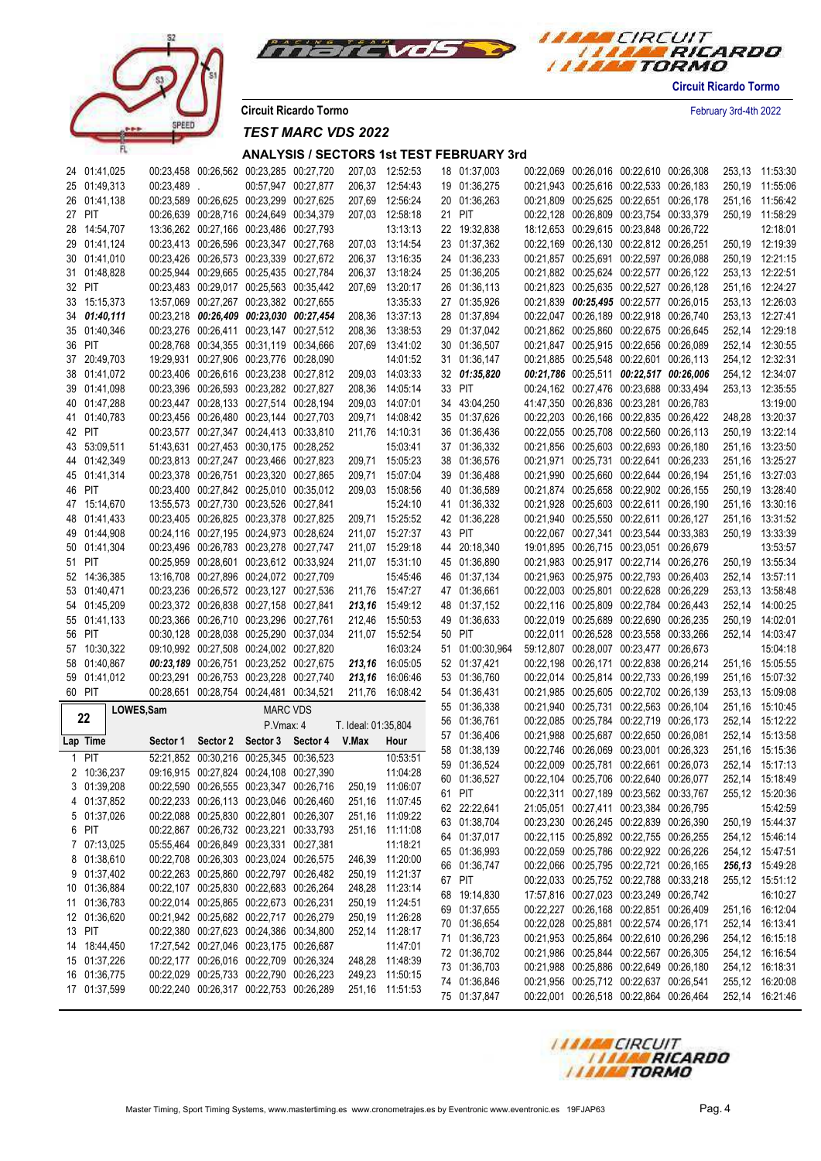



**Circuit Ricardo Tormo** February 3rd-4th 2022

# *TEST MARC VDS 2022*

| 24 01:41,025                 |            | 00:23,458 00:26,562 00:23,285 00:27,720                                            |                     | 207,03 12:52:53                    | 18 01:37,003                 |  | 00:22,069 00:26,016 00:22,610 00:26,308                                            |                 | 253,13 11:53:30                    |
|------------------------------|------------|------------------------------------------------------------------------------------|---------------------|------------------------------------|------------------------------|--|------------------------------------------------------------------------------------|-----------------|------------------------------------|
| 25 01:49,313                 | 00:23,489. | 00:57.947 00:27.877                                                                |                     | 206,37 12:54:43                    | 19 01:36,275                 |  | 00:21,943 00:25,616 00:22,533 00:26,183                                            |                 | 250,19 11:55:06                    |
| 26 01:41,138                 |            | 00:23,589 00:26,625 00:23,299 00:27,625                                            |                     | 207,69 12:56:24                    | 20 01:36,263                 |  | 00:21,809 00:25,625 00:22,651 00:26,178                                            |                 | 251,16 11:56:42                    |
| 27 PIT                       |            | 00:26.639 00:28.716 00:24.649 00:34.379                                            |                     | 207,03 12:58:18                    | 21 PIT                       |  | 00:22,128 00:26,809 00:23,754 00:33,379                                            |                 | 250,19 11:58:29                    |
| 28 14:54,707                 |            | 13:36,262 00:27,166 00:23,486 00:27,793                                            |                     | 13:13:13                           | 22 19:32,838                 |  | 18:12,653 00:29,615 00:23,848 00:26,722                                            |                 | 12:18:01                           |
| 29 01:41,124                 |            | 00:23,413 00:26,596 00:23,347 00:27,768                                            |                     | 207,03 13:14:54                    | 23 01:37,362                 |  | 00:22,169 00:26,130 00:22,812 00:26,251                                            |                 | 250,19 12:19:39                    |
| 30 01:41,010                 |            | 00:23,426 00:26,573 00:23,339 00:27,672                                            |                     | 206,37 13:16:35                    | 24 01:36,233                 |  | 00:21,857 00:25,691 00:22,597 00:26,088                                            |                 | 250,19 12:21:15                    |
| 31 01:48,828                 |            | 00:25,944 00:29,665 00:25,435 00:27,784                                            |                     | 206,37 13:18:24                    | 25 01:36,205                 |  | 00:21,882 00:25,624 00:22,577 00:26,122                                            |                 | 253,13 12:22:51                    |
| 32 PIT                       |            | 00:23,483 00:29,017 00:25,563 00:35,442                                            |                     | 207,69 13:20:17                    | 26 01:36,113                 |  | 00:21,823 00:25,635 00:22,527 00:26,128                                            |                 | 251,16 12:24:27                    |
|                              |            |                                                                                    |                     | 13:35:33                           | 27 01:35,926                 |  |                                                                                    |                 |                                    |
| 33 15:15,373                 |            | 13:57,069 00:27,267 00:23,382 00:27,655                                            |                     |                                    |                              |  | 00:21,839 00:25,495 00:22,577 00:26,015                                            |                 | 253,13 12:26:03                    |
| 34 01:40,111                 |            | 00:23,218 00:26,409 00:23,030 00:27,454                                            |                     | 208,36 13:37:13                    | 28 01:37,894                 |  | 00:22,047 00:26,189 00:22,918 00:26,740                                            |                 | 253,13 12:27:41                    |
| 35 01:40,346                 |            | 00:23,276 00:26,411 00:23,147 00:27,512                                            |                     | 208,36 13:38:53                    | 29 01:37,042                 |  | 00:21,862 00:25,860 00:22,675 00:26,645                                            |                 | 252,14 12:29:18                    |
| 36 PIT                       |            | 00:28,768 00:34,355 00:31,119 00:34,666                                            |                     | 207,69 13:41:02                    | 30 01:36,507                 |  | 00:21,847 00:25,915 00:22,656 00:26,089                                            |                 | 252,14 12:30:55                    |
| 37 20:49,703                 |            | 19:29,931 00:27,906 00:23,776 00:28,090                                            |                     | 14:01:52                           | 31 01:36,147                 |  | 00:21,885 00:25,548 00:22,601 00:26,113                                            |                 | 254,12 12:32:31                    |
| 38 01:41,072                 |            | 00:23,406 00:26,616 00:23,238 00:27,812                                            |                     | 209,03 14:03:33                    | 32 01:35,820                 |  | 00:21,786 00:25,511 00:22,517 00:26,006                                            |                 | 254,12 12:34:07                    |
| 39 01:41,098                 |            | 00:23,396 00:26,593 00:23,282 00:27,827                                            |                     | 208,36 14:05:14                    | 33 PIT                       |  | 00:24,162 00:27,476 00:23,688 00:33,494                                            |                 | 253,13 12:35:55                    |
| 40 01:47,288                 |            | 00:23,447 00:28,133 00:27,514 00:28,194                                            |                     | 209,03 14:07:01                    | 34 43:04,250                 |  | 41:47,350 00:26,836 00:23,281 00:26,783                                            |                 | 13:19:00                           |
| 41 01:40,783                 |            | 00:23,456 00:26,480 00:23,144 00:27,703                                            | 209,71              | 14:08:42                           | 35 01:37,626                 |  | 00:22,203 00:26,166 00:22,835 00:26,422                                            |                 | 248,28 13:20:37                    |
| 42 PIT                       |            | 00:23,577 00:27,347 00:24,413 00:33,810                                            | 211,76              | 14:10:31                           | 36 01:36,436                 |  | 00:22,055 00:25,708 00:22,560 00:26,113                                            |                 | 250,19 13:22:14                    |
| 43 53:09,511                 |            | 51:43,631 00:27,453 00:30,175 00:28,252                                            |                     | 15:03:41                           | 37 01:36,332                 |  | 00:21,856 00:25,603 00:22,693 00:26,180                                            |                 | 251,16 13:23:50                    |
| 44 01:42,349                 |            | 00:23,813 00:27,247 00:23,466 00:27,823                                            |                     | 209,71 15:05:23                    | 38 01:36,576                 |  | 00:21,971 00:25,731 00:22,641 00:26,233                                            |                 | 251,16 13:25:27                    |
| 45 01:41,314                 |            | 00:23,378 00:26,751 00:23,320 00:27,865                                            | 209,71              | 15:07:04                           | 39 01:36,488                 |  | 00:21,990 00:25,660 00:22,644 00:26,194                                            |                 | 251,16 13:27:03                    |
| 46 PIT                       |            | 00:23,400 00:27,842 00:25,010 00:35,012                                            | 209,03              | 15:08:56                           | 40 01:36,589                 |  | 00:21,874 00:25,658 00:22,902 00:26,155                                            |                 | 250,19 13:28:40                    |
| 47 15:14,670                 |            | 13:55,573 00:27,730 00:23,526 00:27,841                                            |                     | 15:24:10                           | 41 01:36,332                 |  | 00:21,928 00:25,603 00:22,611 00:26,190                                            |                 | 251,16 13:30:16                    |
| 48 01:41,433                 |            | 00:23,405 00:26,825 00:23,378 00:27,825                                            |                     | 209,71 15:25:52                    | 42 01:36,228                 |  | 00:21,940 00:25,550 00:22,611 00:26,127                                            |                 | 251,16 13:31:52                    |
| 49 01:44,908                 |            | 00:24,116 00:27,195 00:24,973 00:28,624                                            |                     | 211,07 15:27:37                    | 43 PIT                       |  | 00:22,067 00:27,341 00:23,544 00:33,383                                            |                 | 250,19 13:33:39                    |
| 50 01:41,304                 |            | 00:23,496 00:26,783 00:23,278 00:27,747                                            |                     | 211,07 15:29:18                    | 44 20:18,340                 |  | 19:01,895 00:26,715 00:23,051 00:26,679                                            |                 | 13:53:57                           |
| 51 PIT                       |            | 00:25,959 00:28,601 00:23,612 00:33,924                                            |                     | 211,07 15:31:10                    | 45 01:36,890                 |  | 00:21,983 00:25,917 00:22,714 00:26,276                                            |                 | 250,19 13:55:34                    |
| 52 14:36,385                 |            | 13:16,708 00:27,896 00:24,072 00:27,709                                            |                     | 15:45:46                           | 46 01:37,134                 |  | 00:21,963 00:25,975 00:22,793 00:26,403                                            |                 | 252,14 13:57:11                    |
| 53 01:40,471                 |            | 00:23,236 00:26,572 00:23,127 00:27,536                                            |                     | 211,76 15:47:27                    | 47 01:36,661                 |  | 00:22,003 00:25,801 00:22,628 00:26,229                                            |                 | 253,13 13:58:48                    |
| 54 01:45,209                 |            | 00:23,372 00:26,838 00:27,158 00:27,841                                            |                     | 213,16 15:49:12                    | 48 01:37,152                 |  | 00:22,116 00:25,809 00:22,784 00:26,443                                            |                 | 252,14 14:00:25                    |
| 55 01:41,133                 |            | 00:23,366 00:26,710 00:23,296 00:27,761                                            |                     | 212,46 15:50:53                    | 49 01:36,633                 |  | 00:22,019 00:25,689 00:22,690 00:26,235                                            |                 | 250,19 14:02:01                    |
| 56 PIT                       |            | 00:30,128 00:28,038 00:25,290 00:37,034                                            |                     | 211,07 15:52:54                    | 50 PIT                       |  | 00:22,011 00:26,528 00:23,558 00:33,266                                            |                 | 252,14 14:03:47                    |
| 57 10:30,322                 |            | 09:10,992 00:27,508 00:24,002 00:27,820                                            |                     | 16:03:24                           | 51 01:00:30,964              |  | 59:12,807 00:28,007 00:23,477 00:26,673                                            |                 | 15:04:18                           |
| 58 01:40,867                 |            | 00:23,189 00:26,751 00:23,252 00:27,675                                            |                     | 213,16 16:05:05                    | 52 01:37,421                 |  | 00:22,198 00:26,171 00:22,838 00:26,214                                            |                 | 251,16 15:05:55                    |
| 59 01:41,012                 |            | 00:23,291 00:26,753 00:23,228 00:27,740                                            |                     | 213,16 16:06:46                    | 53 01:36,760                 |  | 00:22,014 00:25,814 00:22,733 00:26,199                                            |                 | 251,16 15:07:32                    |
| 60 PIT                       |            |                                                                                    |                     |                                    |                              |  |                                                                                    |                 |                                    |
|                              |            |                                                                                    |                     |                                    |                              |  |                                                                                    |                 |                                    |
|                              |            | 00:28,651 00:28,754 00:24,481 00:34,521                                            |                     | 211,76 16:08:42                    | 54 01:36,431                 |  | 00:21,985 00:25,605 00:22,702 00:26,139                                            | 253,13 15:09:08 |                                    |
| 22                           | LOWES, Sam | <b>MARC VDS</b>                                                                    |                     |                                    | 55 01:36,338                 |  | 00:21,940 00:25,731 00:22,563 00:26,104                                            |                 | 251,16 15:10:45                    |
|                              |            | P Vmax: 4                                                                          | T. Ideal: 01:35,804 |                                    | 56 01:36,761                 |  | 00:22,085 00:25,784 00:22,719 00:26,173                                            |                 | 252,14 15:12:22                    |
| Lap Time                     | Sector 1   | Sector 2 Sector 3 Sector 4 V.Max                                                   |                     | Hour                               | 57 01:36,406                 |  | 00:21,988 00:25,687 00:22,650 00:26,081                                            |                 | 252,14 15:13:58                    |
| 1 PIT                        |            | 52:21,852 00:30,216 00:25,345 00:36,523                                            |                     | 10:53:51                           | 58 01:38,139                 |  | 00:22,746 00:26,069 00:23,001 00:26,323                                            |                 | 251,16 15:15:36                    |
| 2 10:36,237                  |            | 09:16.915 00:27.824 00:24.108 00:27.390                                            |                     | 11:04:28                           | 59 01:36,524                 |  | 00:22,009 00:25,781 00:22,661 00:26,073                                            |                 | 252.14 15:17:13                    |
| 3 01:39,208                  |            | 00:22,590 00:26,555 00:23,347 00:26,716                                            |                     | 250,19 11:06:07                    | 60 01:36,527                 |  | 00:22,104 00:25,706 00:22,640 00:26,077                                            |                 | 252,14 15:18:49                    |
| 4 01:37,852                  |            | 00:22,233 00:26,113 00:23,046 00:26,460                                            |                     | 251,16 11:07:45                    | 61 PIT                       |  | 00:22,311 00:27,189 00:23,562 00:33,767                                            |                 | 255,12 15:20:36                    |
| 5 01:37,026                  |            | 00:22,088 00:25,830 00:22,801 00:26,307                                            |                     | 251,16 11:09:22                    | 62 22:22,641                 |  | 21:05,051 00:27,411 00:23,384 00:26,795                                            |                 | 15:42:59                           |
| 6 PIT                        |            | 00:22,867 00:26,732 00:23,221 00:33,793                                            |                     | 251,16 11:11:08                    | 63 01:38,704                 |  | 00:23,230 00:26,245 00:22,839 00:26,390                                            |                 | 250,19 15:44:37                    |
| 7 07:13,025                  |            | 05:55,464 00:26,849 00:23,331 00:27,381                                            |                     | 11:18:21                           | 64 01:37,017                 |  | 00:22,115 00:25,892 00:22,755 00:26,255                                            |                 | 254,12 15:46:14                    |
| 8 01:38,610                  |            | 00:22,708 00:26,303 00:23,024 00:26,575                                            |                     | 246,39 11:20:00                    | 65 01:36,993                 |  | 00:22,059 00:25,786 00:22,922 00:26,226                                            |                 | 254,12 15:47:51                    |
| 9 01:37,402                  |            | 00:22,263 00:25,860 00:22,797 00:26,482                                            |                     | 250,19 11:21:37                    | 66 01:36,747                 |  | 00:22,066 00:25,795 00:22,721 00:26,165                                            |                 | 256,13 15:49:28                    |
| 10 01:36,884                 |            | 00:22,107 00:25,830 00:22,683 00:26,264                                            |                     | 248,28 11:23:14                    | 67 PIT                       |  | 00:22,033 00:25,752 00:22,788 00:33,218                                            |                 | 255,12 15:51:12                    |
|                              |            | 00:22,014 00:25,865 00:22,673 00:26,231                                            |                     | 250,19 11:24:51                    | 68 19:14,830                 |  | 17:57,816 00:27,023 00:23,249 00:26,742                                            |                 | 16:10:27                           |
| 11 01:36,783<br>12 01:36,620 |            | 00:21,942 00:25,682 00:22,717 00:26,279                                            |                     |                                    | 69 01:37,655                 |  | 00:22,227 00:26,168 00:22,851 00:26,409                                            |                 | 251,16 16:12:04                    |
| 13 PIT                       |            | 00:22,380 00:27,623 00:24,386 00:34,800                                            |                     | 250,19 11:26:28<br>252,14 11:28:17 | 70 01:36,654                 |  | 00:22,028 00:25,881 00:22,574 00:26,171                                            |                 | 252,14 16:13:41                    |
|                              |            |                                                                                    |                     | 11:47:01                           | 71 01:36,723                 |  | 00:21,953 00:25,864 00:22,610 00:26,296                                            |                 | 254,12 16:15:18                    |
| 14 18:44,450                 |            | 17:27,542 00:27,046 00:23,175 00:26,687                                            |                     |                                    | 72 01:36,702                 |  | 00:21,986 00:25,844 00:22,567 00:26,305                                            |                 | 254,12 16:16:54                    |
| 15 01:37,226                 |            | 00:22,177 00:26,016 00:22,709 00:26,324                                            |                     | 248,28 11:48:39                    | 73 01:36,703                 |  | 00:21,988 00:25,886 00:22,649 00:26,180                                            |                 | 254,12 16:18:31                    |
| 16 01:36,775<br>17 01:37,599 |            | 00:22,029 00:25,733 00:22,790 00:26,223<br>00:22,240 00:26,317 00:22,753 00:26,289 |                     | 249,23 11:50:15<br>251,16 11:51:53 | 74 01:36,846<br>75 01:37,847 |  | 00:21,956 00:25,712 00:22,637 00:26,541<br>00:22,001 00:26,518 00:22,864 00:26,464 |                 | 255,12 16:20:08<br>252,14 16:21:46 |

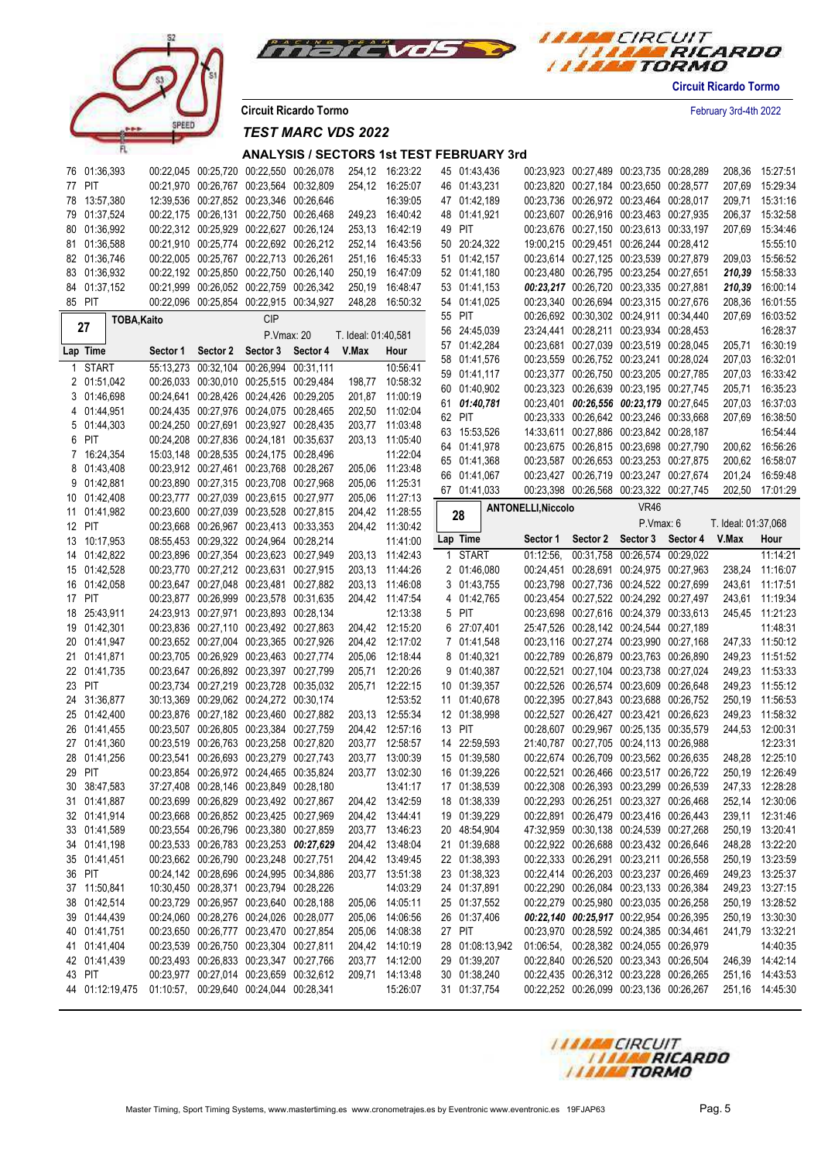



**Circuit Ricardo Tormo** February 3rd-4th 2022

*TEST MARC VDS 2022*

### **ANALYSIS / SECTORS 1st TEST FEBRUARY 3rd**

| 77 PIT<br>00:21,970 00:26,767 00:23,564 00:32,809<br>254,12 16:25:07<br>46 01:43,231<br>00:23,820 00:27,184 00:23,650 00:28,577<br>15:29:34<br>207,69<br>78 13:57,380<br>12:39.536 00:27.852 00:23.346 00:26.646<br>16:39:05<br>47 01:42,189<br>00:23,736 00:26,972 00:23,464 00:28,017<br>15:31:16<br>209,71<br>79 01:37,524<br>00:22,175 00:26,131 00:22,750 00:26,468<br>249,23 16:40:42<br>00:23,607 00:26,916 00:23,463 00:27,935<br>15:32:58<br>48 01:41,921<br>206,37<br>80 01:36,992<br>00:22,312 00:25,929 00:22,627 00:26,124<br>253,13 16:42:19<br>49 PIT<br>00:23,676 00:27,150 00:23,613 00:33,197<br>15:34:46<br>207,69<br>81 01:36.588<br>00:21,910 00:25,774 00:22,692 00:26,212<br>252,14 16:43:56<br>50 20:24,322<br>19:00.215 00:29.451 00:26.244 00:28.412<br>15:55:10<br>82 01:36,746<br>00:22,005 00:25,767 00:22,713 00:26,261<br>251,16 16:45:33<br>51 01:42,157<br>00:23,614 00:27,125 00:23,539 00:27,879<br>209.03 15:56:52<br>83 01:36,932<br>00:22,192 00:25,850 00:22,750 00:26,140<br>00:23,480 00:26,795 00:23,254 00:27,651<br>210,39 15:58:33<br>250,19 16:47:09<br>52 01:41,180<br>84 01:37,152<br>00:21,999 00:26,052 00:22,759 00:26,342<br>00:23,217 00:26,720 00:23,335 00:27,881<br>210,39 16:00:14<br>250,19 16:48:47<br>53 01:41,153<br>85 PIT<br>00:22,096 00:25,854 00:22,915 00:34,927<br>248,28 16:50:32<br>00:23,340 00:26,694 00:23,315 00:27,676<br>208,36<br>16:01:55<br>54 01:41,025<br>55 PIT<br>00:26,692 00:30,302 00:24,911 00:34,440<br>16:03:52<br>207.69<br><b>CIP</b><br>TOBA, Kaito<br>27<br>23:24,441 00:28,211 00:23,934 00:28,453<br>56 24:45,039<br>P.Vmax: 20<br>T. Ideal: 01:40,581<br>57 01:42,284<br>00:23,681 00:27,039 00:23,519 00:28,045<br>205,71<br>Sector 4<br>V.Max<br>Lap Time<br>Sector 2<br>Sector 3<br>Hour<br>Sector 1<br>00:23,559 00:26,752 00:23,241 00:28,024<br>58 01:41,576<br>207,03<br>55:13,273 00:32,104 00:26,994 00:31,111<br>10:56:41<br>1 START<br>59 01:41,117<br>00:23,377 00:26,750 00:23,205 00:27,785<br>207,03<br>00:26,033 00:30,010 00:25,515 00:29,484<br>198,77 10:58:32<br>2 01:51,042<br>00:23,323 00:26,639 00:23,195 00:27,745<br>60 01:40,902<br>205,71<br>3 01:46,698<br>00:24,641 00:28,426 00:24,426 00:29,205<br>201,87 11:00:19<br>00:23,401 00:26,556 00:23,179 00:27,645<br>01:40,781<br>207,03<br>61<br>4 01:44,951<br>00:24,435 00:27,976 00:24,075 00:28,465<br>202,50 11:02:04<br>62 PIT<br>00:23,333 00:26,642 00:23,246 00:33,668<br>207,69<br>5 01:44,303<br>00:24,250 00:27,691 00:23,927 00:28,435<br>203,77 11:03:48<br>63 15:53,526<br>14:33,611 00:27,886 00:23,842 00:28,187<br>6 PIT<br>00:24,208 00:27,836 00:24,181 00:35,637<br>203,13 11:05:40<br>64 01:41,978<br>00:23,675 00:26,815 00:23,698 00:27,790<br>200.62 16:56:26<br>15:03,148 00:28,535 00:24,175 00:28,496<br>11:22:04<br>7 16:24,354<br>00:23,587 00:26,653 00:23,253 00:27,875<br>65 01:41,368<br>200.62 16:58:07<br>8 01:43,408<br>00:23,912 00:27,461 00:23,768 00:28,267<br>205,06 11:23:48<br>00:23,427 00:26,719 00:23,247 00:27,674<br>16:59:48<br>66 01:41,067<br>201,24<br>9 01:42,881<br>00:23,890 00:27,315 00:23,708 00:27,968<br>205,06 11:25:31<br>00:23,398 00:26,568 00:23,322 00:27,745<br>202,50 17:01:29<br>67 01:41,033<br>10 01:42,408<br>00:23,777 00:27,039 00:23,615 00:27,977<br>205,06 11:27:13<br><b>VR46</b><br><b>ANTONELLI, Niccolo</b><br>00:23,600 00:27,039 00:23,528 00:27,815<br>11 01:41,982<br>204,42 11:28:55<br>28<br>P.Vmax: 6<br>T. Ideal: 01:37,068<br>12 PIT<br>00:23,668 00:26,967 00:23,413 00:33,353<br>204,42 11:30:42<br>Lap Time<br>Sector 2 Sector 3<br>Sector 4<br>V.Max<br>Hour<br>Sector 1<br>08:55.453 00:29.322 00:24.964 00:28.214<br>11:41:00<br>13 10:17,953<br>1 START<br>00:31,758 00:26,574 00:29,022<br>14 01:42,822<br>00:23,896 00:27,354 00:23,623 00:27,949<br>203,13 11:42:43<br>01:12:56.<br>11:14:21<br>00:23,770 00:27,212 00:23,631 00:27,915<br>2 01:46,080<br>238,24 11:16:07<br>15 01:42,528<br>203,13 11:44:26<br>00:24,451 00:28,691 00:24,975 00:27,963<br>16 01:42,058<br>00:23,647 00:27,048 00:23,481 00:27,882<br>3 01:43,755<br>00:23,798 00:27,736 00:24,522 00:27,699<br>243,61 11:17:51<br>203,13 11:46:08<br>17 PIT<br>00:23,877 00:26,999 00:23,578 00:31,635<br>00:23,454 00:27,522 00:24,292 00:27,497<br>243,61 11:19:34<br>204,42 11:47:54<br>4 01:42,765<br>18 25:43,911<br>24:23,913 00:27,971 00:23,893 00:28,134<br>12:13:38<br>5 PIT<br>00:23,698 00:27,616 00:24,379 00:33,613<br>245,45 11:21:23<br>19 01:42,301<br>00:23,836 00:27,110 00:23,492 00:27,863<br>204,42 12:15:20<br>6 27:07,401<br>25:47,526 00:28,142 00:24,544 00:27,189<br>00:23,652 00:27,004 00:23,365 00:27,926<br>204,42 12:17:02<br>7 01:41,548<br>00:23,116 00:27,274 00:23,990 00:27,168<br>247,33 11:50:12<br>20 01:41,947<br>00:23,705 00:26,929 00:23,463 00:27,774<br>00:22,789 00:26,879 00:23,763 00:26,890<br>249,23 11:51:52<br>21 01:41,871<br>205,06 12:18:44<br>8 01:40,321<br>00:23,647 00:26,892 00:23,397 00:27,799<br>205,71 12:20:26<br>9 01:40,387<br>00:22,521 00:27,104 00:23,738 00:27,024<br>249,23 11:53:33<br>22 01:41,735<br>PIT<br>00:23,734 00:27,219 00:23,728 00:35,032<br>205,71 12:22:15<br>00:22,526 00:26,574 00:23,609 00:26,648<br>23<br>10 01:39,357<br>249,23 11:55:12<br>12:53:52<br>24 31:36,877<br>30:13,369 00:29,062 00:24,272 00:30,174<br>00:22,395 00:27,843 00:23,688 00:26,752<br>250,19 11:56:53<br>11 01:40,678<br>25 01:42,400<br>00:23,876 00:27,182 00:23,460 00:27,882<br>203,13 12:55:34<br>00:22,527 00:26,427 00:23,421 00:26,623<br>249,23<br>12 01:38,998<br>00:23,507 00:26,805 00:23,384 00:27,759<br>204,42 12:57:16<br>00:28,607 00:29,967 00:25,135 00:35,579<br>244,53 12:00:31<br>26 01:41,455<br>13 PIT<br>00:23,519 00:26,763 00:23,258 00:27,820<br>203,77 12:58:57<br>14 22:59,593<br>27 01:41,360<br>21:40,787 00:27,705 00:24,113 00:26,988<br>248,28 12:25:10<br>01:41,256<br>00:23,541 00:26,693 00:23,279 00:27,743<br>13:00:39<br>15 01:39,580<br>00:22,674 00:26,709 00:23,562 00:26,635<br>28<br>203,77<br>29 PIT<br>00:23,854 00:26,972 00:24,465 00:35,824<br>203,77 13:02:30<br>16 01:39,226<br>00:22,521 00:26,466 00:23,517 00:26,722<br>250,19 12:26:49<br>30 38:47,583<br>37:27,408 00:28,146 00:23,849 00:28,180<br>13:41:17<br>17 01:38,539<br>00:22,308 00:26,393 00:23,299 00:26,539<br>247,33 12:28:28<br>31 01:41,887<br>00:23,699 00:26,829 00:23,492 00:27,867<br>204,42 13:42:59<br>18 01:38,339<br>00:22,293 00:26,251 00:23,327 00:26,468<br>252,14 12:30:06<br>32 01:41,914<br>00:23,668 00:26,852 00:23,425 00:27,969<br>204,42 13:44:41<br>19 01:39,229<br>00:22,891 00:26,479 00:23,416 00:26,443<br>239,11 12:31:46<br>33 01:41,589<br>00:23,554 00:26,796 00:23,380 00:27,859<br>203,77 13:46:23<br>20 48:54,904<br>47:32.959 00:30.138 00:24.539 00:27.268<br>250,19 13:20:41<br>34 01:41,198<br>00:23,533 00:26,783 00:23,253 00:27,629<br>204,42 13:48:04<br>21 01:39,688<br>00:22,922 00:26,688 00:23,432 00:26,646<br>248,28 13:22:20<br>00:23,662 00:26,790 00:23,248 00:27,751<br>22 01:38,393<br>00:22,333 00:26,291 00:23,211 00:26,558<br>250,19 13:23:59<br>35 01:41,451<br>204,42 13:49:45<br>36 PIT<br>00:22,414 00:26,203 00:23,237 00:26,469<br>00:24,142 00:28,696 00:24,995 00:34,886<br>203,77 13:51:38<br>23 01:38,323<br>249,23 13:25:37<br>14:03:29<br>37 11:50,841<br>10:30,450 00:28,371 00:23,794 00:28,226<br>24 01:37,891<br>00:22,290 00:26,084 00:23,133 00:26,384<br>249,23 13:27:15<br>38 01:42,514<br>205,06 14:05:11<br>00:23,729 00:26,957 00:23,640 00:28,188<br>25 01:37,552<br>00:22,279 00:25,980 00:23,035 00:26,258<br>250,19 13:28:52<br>39 01:44,439<br>00:24.060 00:28.276 00:24.026 00:28.077<br>205,06 14:06:56<br>26 01:37,406<br>00:22,140 00:25,917 00:22,954 00:26,395<br>250,19 13:30:30<br>00:23,650 00:26,777 00:23,470 00:27,854<br>241,79 13:32:21<br>40 01:41,751<br>205,06 14:08:38<br>27 PIT<br>00:23,970 00:28,592 00:24,385 00:34,461<br>41 01:41,404<br>00:23,539 00:26,750 00:23,304 00:27,811<br>204,42 14:10:19<br>28 01:08:13,942<br>01:06:54, 00:28,382 00:24,055 00:26,979<br>00:22,840 00:26,520 00:23,343 00:26,504<br>42 01:41,439<br>00:23,493 00:26,833 00:23,347 00:27,766<br>203,77 14:12:00<br>29 01:39,207<br>246,39 14:42:14<br>43 PIT<br>00:23,977 00:27,014 00:23,659 00:32,612<br>209,71 14:13:48<br>30 01:38,240<br>00:22,435 00:26,312 00:23,228 00:26,265<br>251,16 14:43:53<br>15:26:07<br>44 01:12:19,475 01:10:57, 00:29,640 00:24,044 00:28,341<br>31 01:37,754<br>00:22,252 00:26,099 00:23,136 00:26,267<br>251,16 14:45:30 | 76 01:36,393 | 00:22,045 00:25,720 00:22,550 00:26,078 |  | 254,12 16:23:22 | 45 01:43,436 | 00:23,923 00:27,489 00:23,735 00:28,289 |  | 208,36 | 15:27:51 |
|-------------------------------------------------------------------------------------------------------------------------------------------------------------------------------------------------------------------------------------------------------------------------------------------------------------------------------------------------------------------------------------------------------------------------------------------------------------------------------------------------------------------------------------------------------------------------------------------------------------------------------------------------------------------------------------------------------------------------------------------------------------------------------------------------------------------------------------------------------------------------------------------------------------------------------------------------------------------------------------------------------------------------------------------------------------------------------------------------------------------------------------------------------------------------------------------------------------------------------------------------------------------------------------------------------------------------------------------------------------------------------------------------------------------------------------------------------------------------------------------------------------------------------------------------------------------------------------------------------------------------------------------------------------------------------------------------------------------------------------------------------------------------------------------------------------------------------------------------------------------------------------------------------------------------------------------------------------------------------------------------------------------------------------------------------------------------------------------------------------------------------------------------------------------------------------------------------------------------------------------------------------------------------------------------------------------------------------------------------------------------------------------------------------------------------------------------------------------------------------------------------------------------------------------------------------------------------------------------------------------------------------------------------------------------------------------------------------------------------------------------------------------------------------------------------------------------------------------------------------------------------------------------------------------------------------------------------------------------------------------------------------------------------------------------------------------------------------------------------------------------------------------------------------------------------------------------------------------------------------------------------------------------------------------------------------------------------------------------------------------------------------------------------------------------------------------------------------------------------------------------------------------------------------------------------------------------------------------------------------------------------------------------------------------------------------------------------------------------------------------------------------------------------------------------------------------------------------------------------------------------------------------------------------------------------------------------------------------------------------------------------------------------------------------------------------------------------------------------------------------------------------------------------------------------------------------------------------------------------------------------------------------------------------------------------------------------------------------------------------------------------------------------------------------------------------------------------------------------------------------------------------------------------------------------------------------------------------------------------------------------------------------------------------------------------------------------------------------------------------------------------------------------------------------------------------------------------------------------------------------------------------------------------------------------------------------------------------------------------------------------------------------------------------------------------------------------------------------------------------------------------------------------------------------------------------------------------------------------------------------------------------------------------------------------------------------------------------------------------------------------------------------------------------------------------------------------------------------------------------------------------------------------------------------------------------------------------------------------------------------------------------------------------------------------------------------------------------------------------------------------------------------------------------------------------------------------------------------------------------------------------------------------------------------------------------------------------------------------------------------------------------------------------------------------------------------------------------------------------------------------------------------------------------------------------------------------------------------------------------------------------------------------------------------------------------------------------------------------------------------------------------------------------------------------------------------------------------------------------------------------------------------------------------------------------------------------------------------------------------------------------------------------------------------------------------------------------------------------------------------------------------------------------------------------------------------------------------------------------------------------------------------------------------------------------------------------------------------------------------------------------------------------------------------------------------------------------------------------------------------------------------------------------------------------------------------------------------------------------------------------------------------------------------------------------------------------------------------------------------------------------------------------------------------------------------------------------------------------------------------------------------------------------------------------------------------------------------------------------------------------------------------------------------------------------------------------------------------------------------------------------------------------------------------------------------------------------------------------------------------------------------------------------------------------------------------------------------------------------------------------------------------------------------------------------------------------------------------------------------------------------------------------------------------------------------------------------------------------------------------------------------------------------------------------------------------------------------------------------------------------------------------------------------------------------------------------------------------------------------------------------------------------------------------------------------------------------------------------------|--------------|-----------------------------------------|--|-----------------|--------------|-----------------------------------------|--|--------|----------|
|                                                                                                                                                                                                                                                                                                                                                                                                                                                                                                                                                                                                                                                                                                                                                                                                                                                                                                                                                                                                                                                                                                                                                                                                                                                                                                                                                                                                                                                                                                                                                                                                                                                                                                                                                                                                                                                                                                                                                                                                                                                                                                                                                                                                                                                                                                                                                                                                                                                                                                                                                                                                                                                                                                                                                                                                                                                                                                                                                                                                                                                                                                                                                                                                                                                                                                                                                                                                                                                                                                                                                                                                                                                                                                                                                                                                                                                                                                                                                                                                                                                                                                                                                                                                                                                                                                                                                                                                                                                                                                                                                                                                                                                                                                                                                                                                                                                                                                                                                                                                                                                                                                                                                                                                                                                                                                                                                                                                                                                                                                                                                                                                                                                                                                                                                                                                                                                                                                                                                                                                                                                                                                                                                                                                                                                                                                                                                                                                                                                                                                                                                                                                                                                                                                                                                                                                                                                                                                                                                                                                                                                                                                                                                                                                                                                                                                                                                                                                                                                                                                                                                                                                                                                                                                                                                                                                                                                                                                                                                                                                                                                                                                                                                                                                                                                                                                                                                                                                                                                                                                                                                                                                       |              |                                         |  |                 |              |                                         |  |        |          |
|                                                                                                                                                                                                                                                                                                                                                                                                                                                                                                                                                                                                                                                                                                                                                                                                                                                                                                                                                                                                                                                                                                                                                                                                                                                                                                                                                                                                                                                                                                                                                                                                                                                                                                                                                                                                                                                                                                                                                                                                                                                                                                                                                                                                                                                                                                                                                                                                                                                                                                                                                                                                                                                                                                                                                                                                                                                                                                                                                                                                                                                                                                                                                                                                                                                                                                                                                                                                                                                                                                                                                                                                                                                                                                                                                                                                                                                                                                                                                                                                                                                                                                                                                                                                                                                                                                                                                                                                                                                                                                                                                                                                                                                                                                                                                                                                                                                                                                                                                                                                                                                                                                                                                                                                                                                                                                                                                                                                                                                                                                                                                                                                                                                                                                                                                                                                                                                                                                                                                                                                                                                                                                                                                                                                                                                                                                                                                                                                                                                                                                                                                                                                                                                                                                                                                                                                                                                                                                                                                                                                                                                                                                                                                                                                                                                                                                                                                                                                                                                                                                                                                                                                                                                                                                                                                                                                                                                                                                                                                                                                                                                                                                                                                                                                                                                                                                                                                                                                                                                                                                                                                                                                       |              |                                         |  |                 |              |                                         |  |        |          |
|                                                                                                                                                                                                                                                                                                                                                                                                                                                                                                                                                                                                                                                                                                                                                                                                                                                                                                                                                                                                                                                                                                                                                                                                                                                                                                                                                                                                                                                                                                                                                                                                                                                                                                                                                                                                                                                                                                                                                                                                                                                                                                                                                                                                                                                                                                                                                                                                                                                                                                                                                                                                                                                                                                                                                                                                                                                                                                                                                                                                                                                                                                                                                                                                                                                                                                                                                                                                                                                                                                                                                                                                                                                                                                                                                                                                                                                                                                                                                                                                                                                                                                                                                                                                                                                                                                                                                                                                                                                                                                                                                                                                                                                                                                                                                                                                                                                                                                                                                                                                                                                                                                                                                                                                                                                                                                                                                                                                                                                                                                                                                                                                                                                                                                                                                                                                                                                                                                                                                                                                                                                                                                                                                                                                                                                                                                                                                                                                                                                                                                                                                                                                                                                                                                                                                                                                                                                                                                                                                                                                                                                                                                                                                                                                                                                                                                                                                                                                                                                                                                                                                                                                                                                                                                                                                                                                                                                                                                                                                                                                                                                                                                                                                                                                                                                                                                                                                                                                                                                                                                                                                                                                       |              |                                         |  |                 |              |                                         |  |        |          |
|                                                                                                                                                                                                                                                                                                                                                                                                                                                                                                                                                                                                                                                                                                                                                                                                                                                                                                                                                                                                                                                                                                                                                                                                                                                                                                                                                                                                                                                                                                                                                                                                                                                                                                                                                                                                                                                                                                                                                                                                                                                                                                                                                                                                                                                                                                                                                                                                                                                                                                                                                                                                                                                                                                                                                                                                                                                                                                                                                                                                                                                                                                                                                                                                                                                                                                                                                                                                                                                                                                                                                                                                                                                                                                                                                                                                                                                                                                                                                                                                                                                                                                                                                                                                                                                                                                                                                                                                                                                                                                                                                                                                                                                                                                                                                                                                                                                                                                                                                                                                                                                                                                                                                                                                                                                                                                                                                                                                                                                                                                                                                                                                                                                                                                                                                                                                                                                                                                                                                                                                                                                                                                                                                                                                                                                                                                                                                                                                                                                                                                                                                                                                                                                                                                                                                                                                                                                                                                                                                                                                                                                                                                                                                                                                                                                                                                                                                                                                                                                                                                                                                                                                                                                                                                                                                                                                                                                                                                                                                                                                                                                                                                                                                                                                                                                                                                                                                                                                                                                                                                                                                                                                       |              |                                         |  |                 |              |                                         |  |        |          |
|                                                                                                                                                                                                                                                                                                                                                                                                                                                                                                                                                                                                                                                                                                                                                                                                                                                                                                                                                                                                                                                                                                                                                                                                                                                                                                                                                                                                                                                                                                                                                                                                                                                                                                                                                                                                                                                                                                                                                                                                                                                                                                                                                                                                                                                                                                                                                                                                                                                                                                                                                                                                                                                                                                                                                                                                                                                                                                                                                                                                                                                                                                                                                                                                                                                                                                                                                                                                                                                                                                                                                                                                                                                                                                                                                                                                                                                                                                                                                                                                                                                                                                                                                                                                                                                                                                                                                                                                                                                                                                                                                                                                                                                                                                                                                                                                                                                                                                                                                                                                                                                                                                                                                                                                                                                                                                                                                                                                                                                                                                                                                                                                                                                                                                                                                                                                                                                                                                                                                                                                                                                                                                                                                                                                                                                                                                                                                                                                                                                                                                                                                                                                                                                                                                                                                                                                                                                                                                                                                                                                                                                                                                                                                                                                                                                                                                                                                                                                                                                                                                                                                                                                                                                                                                                                                                                                                                                                                                                                                                                                                                                                                                                                                                                                                                                                                                                                                                                                                                                                                                                                                                                                       |              |                                         |  |                 |              |                                         |  |        |          |
|                                                                                                                                                                                                                                                                                                                                                                                                                                                                                                                                                                                                                                                                                                                                                                                                                                                                                                                                                                                                                                                                                                                                                                                                                                                                                                                                                                                                                                                                                                                                                                                                                                                                                                                                                                                                                                                                                                                                                                                                                                                                                                                                                                                                                                                                                                                                                                                                                                                                                                                                                                                                                                                                                                                                                                                                                                                                                                                                                                                                                                                                                                                                                                                                                                                                                                                                                                                                                                                                                                                                                                                                                                                                                                                                                                                                                                                                                                                                                                                                                                                                                                                                                                                                                                                                                                                                                                                                                                                                                                                                                                                                                                                                                                                                                                                                                                                                                                                                                                                                                                                                                                                                                                                                                                                                                                                                                                                                                                                                                                                                                                                                                                                                                                                                                                                                                                                                                                                                                                                                                                                                                                                                                                                                                                                                                                                                                                                                                                                                                                                                                                                                                                                                                                                                                                                                                                                                                                                                                                                                                                                                                                                                                                                                                                                                                                                                                                                                                                                                                                                                                                                                                                                                                                                                                                                                                                                                                                                                                                                                                                                                                                                                                                                                                                                                                                                                                                                                                                                                                                                                                                                                       |              |                                         |  |                 |              |                                         |  |        |          |
|                                                                                                                                                                                                                                                                                                                                                                                                                                                                                                                                                                                                                                                                                                                                                                                                                                                                                                                                                                                                                                                                                                                                                                                                                                                                                                                                                                                                                                                                                                                                                                                                                                                                                                                                                                                                                                                                                                                                                                                                                                                                                                                                                                                                                                                                                                                                                                                                                                                                                                                                                                                                                                                                                                                                                                                                                                                                                                                                                                                                                                                                                                                                                                                                                                                                                                                                                                                                                                                                                                                                                                                                                                                                                                                                                                                                                                                                                                                                                                                                                                                                                                                                                                                                                                                                                                                                                                                                                                                                                                                                                                                                                                                                                                                                                                                                                                                                                                                                                                                                                                                                                                                                                                                                                                                                                                                                                                                                                                                                                                                                                                                                                                                                                                                                                                                                                                                                                                                                                                                                                                                                                                                                                                                                                                                                                                                                                                                                                                                                                                                                                                                                                                                                                                                                                                                                                                                                                                                                                                                                                                                                                                                                                                                                                                                                                                                                                                                                                                                                                                                                                                                                                                                                                                                                                                                                                                                                                                                                                                                                                                                                                                                                                                                                                                                                                                                                                                                                                                                                                                                                                                                                       |              |                                         |  |                 |              |                                         |  |        |          |
|                                                                                                                                                                                                                                                                                                                                                                                                                                                                                                                                                                                                                                                                                                                                                                                                                                                                                                                                                                                                                                                                                                                                                                                                                                                                                                                                                                                                                                                                                                                                                                                                                                                                                                                                                                                                                                                                                                                                                                                                                                                                                                                                                                                                                                                                                                                                                                                                                                                                                                                                                                                                                                                                                                                                                                                                                                                                                                                                                                                                                                                                                                                                                                                                                                                                                                                                                                                                                                                                                                                                                                                                                                                                                                                                                                                                                                                                                                                                                                                                                                                                                                                                                                                                                                                                                                                                                                                                                                                                                                                                                                                                                                                                                                                                                                                                                                                                                                                                                                                                                                                                                                                                                                                                                                                                                                                                                                                                                                                                                                                                                                                                                                                                                                                                                                                                                                                                                                                                                                                                                                                                                                                                                                                                                                                                                                                                                                                                                                                                                                                                                                                                                                                                                                                                                                                                                                                                                                                                                                                                                                                                                                                                                                                                                                                                                                                                                                                                                                                                                                                                                                                                                                                                                                                                                                                                                                                                                                                                                                                                                                                                                                                                                                                                                                                                                                                                                                                                                                                                                                                                                                                                       |              |                                         |  |                 |              |                                         |  |        |          |
|                                                                                                                                                                                                                                                                                                                                                                                                                                                                                                                                                                                                                                                                                                                                                                                                                                                                                                                                                                                                                                                                                                                                                                                                                                                                                                                                                                                                                                                                                                                                                                                                                                                                                                                                                                                                                                                                                                                                                                                                                                                                                                                                                                                                                                                                                                                                                                                                                                                                                                                                                                                                                                                                                                                                                                                                                                                                                                                                                                                                                                                                                                                                                                                                                                                                                                                                                                                                                                                                                                                                                                                                                                                                                                                                                                                                                                                                                                                                                                                                                                                                                                                                                                                                                                                                                                                                                                                                                                                                                                                                                                                                                                                                                                                                                                                                                                                                                                                                                                                                                                                                                                                                                                                                                                                                                                                                                                                                                                                                                                                                                                                                                                                                                                                                                                                                                                                                                                                                                                                                                                                                                                                                                                                                                                                                                                                                                                                                                                                                                                                                                                                                                                                                                                                                                                                                                                                                                                                                                                                                                                                                                                                                                                                                                                                                                                                                                                                                                                                                                                                                                                                                                                                                                                                                                                                                                                                                                                                                                                                                                                                                                                                                                                                                                                                                                                                                                                                                                                                                                                                                                                                                       |              |                                         |  |                 |              |                                         |  |        |          |
|                                                                                                                                                                                                                                                                                                                                                                                                                                                                                                                                                                                                                                                                                                                                                                                                                                                                                                                                                                                                                                                                                                                                                                                                                                                                                                                                                                                                                                                                                                                                                                                                                                                                                                                                                                                                                                                                                                                                                                                                                                                                                                                                                                                                                                                                                                                                                                                                                                                                                                                                                                                                                                                                                                                                                                                                                                                                                                                                                                                                                                                                                                                                                                                                                                                                                                                                                                                                                                                                                                                                                                                                                                                                                                                                                                                                                                                                                                                                                                                                                                                                                                                                                                                                                                                                                                                                                                                                                                                                                                                                                                                                                                                                                                                                                                                                                                                                                                                                                                                                                                                                                                                                                                                                                                                                                                                                                                                                                                                                                                                                                                                                                                                                                                                                                                                                                                                                                                                                                                                                                                                                                                                                                                                                                                                                                                                                                                                                                                                                                                                                                                                                                                                                                                                                                                                                                                                                                                                                                                                                                                                                                                                                                                                                                                                                                                                                                                                                                                                                                                                                                                                                                                                                                                                                                                                                                                                                                                                                                                                                                                                                                                                                                                                                                                                                                                                                                                                                                                                                                                                                                                                                       |              |                                         |  |                 |              |                                         |  |        |          |
|                                                                                                                                                                                                                                                                                                                                                                                                                                                                                                                                                                                                                                                                                                                                                                                                                                                                                                                                                                                                                                                                                                                                                                                                                                                                                                                                                                                                                                                                                                                                                                                                                                                                                                                                                                                                                                                                                                                                                                                                                                                                                                                                                                                                                                                                                                                                                                                                                                                                                                                                                                                                                                                                                                                                                                                                                                                                                                                                                                                                                                                                                                                                                                                                                                                                                                                                                                                                                                                                                                                                                                                                                                                                                                                                                                                                                                                                                                                                                                                                                                                                                                                                                                                                                                                                                                                                                                                                                                                                                                                                                                                                                                                                                                                                                                                                                                                                                                                                                                                                                                                                                                                                                                                                                                                                                                                                                                                                                                                                                                                                                                                                                                                                                                                                                                                                                                                                                                                                                                                                                                                                                                                                                                                                                                                                                                                                                                                                                                                                                                                                                                                                                                                                                                                                                                                                                                                                                                                                                                                                                                                                                                                                                                                                                                                                                                                                                                                                                                                                                                                                                                                                                                                                                                                                                                                                                                                                                                                                                                                                                                                                                                                                                                                                                                                                                                                                                                                                                                                                                                                                                                                                       |              |                                         |  |                 |              |                                         |  |        |          |
|                                                                                                                                                                                                                                                                                                                                                                                                                                                                                                                                                                                                                                                                                                                                                                                                                                                                                                                                                                                                                                                                                                                                                                                                                                                                                                                                                                                                                                                                                                                                                                                                                                                                                                                                                                                                                                                                                                                                                                                                                                                                                                                                                                                                                                                                                                                                                                                                                                                                                                                                                                                                                                                                                                                                                                                                                                                                                                                                                                                                                                                                                                                                                                                                                                                                                                                                                                                                                                                                                                                                                                                                                                                                                                                                                                                                                                                                                                                                                                                                                                                                                                                                                                                                                                                                                                                                                                                                                                                                                                                                                                                                                                                                                                                                                                                                                                                                                                                                                                                                                                                                                                                                                                                                                                                                                                                                                                                                                                                                                                                                                                                                                                                                                                                                                                                                                                                                                                                                                                                                                                                                                                                                                                                                                                                                                                                                                                                                                                                                                                                                                                                                                                                                                                                                                                                                                                                                                                                                                                                                                                                                                                                                                                                                                                                                                                                                                                                                                                                                                                                                                                                                                                                                                                                                                                                                                                                                                                                                                                                                                                                                                                                                                                                                                                                                                                                                                                                                                                                                                                                                                                                                       |              |                                         |  |                 |              |                                         |  |        | 16:28:37 |
|                                                                                                                                                                                                                                                                                                                                                                                                                                                                                                                                                                                                                                                                                                                                                                                                                                                                                                                                                                                                                                                                                                                                                                                                                                                                                                                                                                                                                                                                                                                                                                                                                                                                                                                                                                                                                                                                                                                                                                                                                                                                                                                                                                                                                                                                                                                                                                                                                                                                                                                                                                                                                                                                                                                                                                                                                                                                                                                                                                                                                                                                                                                                                                                                                                                                                                                                                                                                                                                                                                                                                                                                                                                                                                                                                                                                                                                                                                                                                                                                                                                                                                                                                                                                                                                                                                                                                                                                                                                                                                                                                                                                                                                                                                                                                                                                                                                                                                                                                                                                                                                                                                                                                                                                                                                                                                                                                                                                                                                                                                                                                                                                                                                                                                                                                                                                                                                                                                                                                                                                                                                                                                                                                                                                                                                                                                                                                                                                                                                                                                                                                                                                                                                                                                                                                                                                                                                                                                                                                                                                                                                                                                                                                                                                                                                                                                                                                                                                                                                                                                                                                                                                                                                                                                                                                                                                                                                                                                                                                                                                                                                                                                                                                                                                                                                                                                                                                                                                                                                                                                                                                                                                       |              |                                         |  |                 |              |                                         |  |        | 16:30:19 |
|                                                                                                                                                                                                                                                                                                                                                                                                                                                                                                                                                                                                                                                                                                                                                                                                                                                                                                                                                                                                                                                                                                                                                                                                                                                                                                                                                                                                                                                                                                                                                                                                                                                                                                                                                                                                                                                                                                                                                                                                                                                                                                                                                                                                                                                                                                                                                                                                                                                                                                                                                                                                                                                                                                                                                                                                                                                                                                                                                                                                                                                                                                                                                                                                                                                                                                                                                                                                                                                                                                                                                                                                                                                                                                                                                                                                                                                                                                                                                                                                                                                                                                                                                                                                                                                                                                                                                                                                                                                                                                                                                                                                                                                                                                                                                                                                                                                                                                                                                                                                                                                                                                                                                                                                                                                                                                                                                                                                                                                                                                                                                                                                                                                                                                                                                                                                                                                                                                                                                                                                                                                                                                                                                                                                                                                                                                                                                                                                                                                                                                                                                                                                                                                                                                                                                                                                                                                                                                                                                                                                                                                                                                                                                                                                                                                                                                                                                                                                                                                                                                                                                                                                                                                                                                                                                                                                                                                                                                                                                                                                                                                                                                                                                                                                                                                                                                                                                                                                                                                                                                                                                                                                       |              |                                         |  |                 |              |                                         |  |        | 16:32:01 |
|                                                                                                                                                                                                                                                                                                                                                                                                                                                                                                                                                                                                                                                                                                                                                                                                                                                                                                                                                                                                                                                                                                                                                                                                                                                                                                                                                                                                                                                                                                                                                                                                                                                                                                                                                                                                                                                                                                                                                                                                                                                                                                                                                                                                                                                                                                                                                                                                                                                                                                                                                                                                                                                                                                                                                                                                                                                                                                                                                                                                                                                                                                                                                                                                                                                                                                                                                                                                                                                                                                                                                                                                                                                                                                                                                                                                                                                                                                                                                                                                                                                                                                                                                                                                                                                                                                                                                                                                                                                                                                                                                                                                                                                                                                                                                                                                                                                                                                                                                                                                                                                                                                                                                                                                                                                                                                                                                                                                                                                                                                                                                                                                                                                                                                                                                                                                                                                                                                                                                                                                                                                                                                                                                                                                                                                                                                                                                                                                                                                                                                                                                                                                                                                                                                                                                                                                                                                                                                                                                                                                                                                                                                                                                                                                                                                                                                                                                                                                                                                                                                                                                                                                                                                                                                                                                                                                                                                                                                                                                                                                                                                                                                                                                                                                                                                                                                                                                                                                                                                                                                                                                                                                       |              |                                         |  |                 |              |                                         |  |        | 16:33:42 |
|                                                                                                                                                                                                                                                                                                                                                                                                                                                                                                                                                                                                                                                                                                                                                                                                                                                                                                                                                                                                                                                                                                                                                                                                                                                                                                                                                                                                                                                                                                                                                                                                                                                                                                                                                                                                                                                                                                                                                                                                                                                                                                                                                                                                                                                                                                                                                                                                                                                                                                                                                                                                                                                                                                                                                                                                                                                                                                                                                                                                                                                                                                                                                                                                                                                                                                                                                                                                                                                                                                                                                                                                                                                                                                                                                                                                                                                                                                                                                                                                                                                                                                                                                                                                                                                                                                                                                                                                                                                                                                                                                                                                                                                                                                                                                                                                                                                                                                                                                                                                                                                                                                                                                                                                                                                                                                                                                                                                                                                                                                                                                                                                                                                                                                                                                                                                                                                                                                                                                                                                                                                                                                                                                                                                                                                                                                                                                                                                                                                                                                                                                                                                                                                                                                                                                                                                                                                                                                                                                                                                                                                                                                                                                                                                                                                                                                                                                                                                                                                                                                                                                                                                                                                                                                                                                                                                                                                                                                                                                                                                                                                                                                                                                                                                                                                                                                                                                                                                                                                                                                                                                                                                       |              |                                         |  |                 |              |                                         |  |        | 16:35:23 |
|                                                                                                                                                                                                                                                                                                                                                                                                                                                                                                                                                                                                                                                                                                                                                                                                                                                                                                                                                                                                                                                                                                                                                                                                                                                                                                                                                                                                                                                                                                                                                                                                                                                                                                                                                                                                                                                                                                                                                                                                                                                                                                                                                                                                                                                                                                                                                                                                                                                                                                                                                                                                                                                                                                                                                                                                                                                                                                                                                                                                                                                                                                                                                                                                                                                                                                                                                                                                                                                                                                                                                                                                                                                                                                                                                                                                                                                                                                                                                                                                                                                                                                                                                                                                                                                                                                                                                                                                                                                                                                                                                                                                                                                                                                                                                                                                                                                                                                                                                                                                                                                                                                                                                                                                                                                                                                                                                                                                                                                                                                                                                                                                                                                                                                                                                                                                                                                                                                                                                                                                                                                                                                                                                                                                                                                                                                                                                                                                                                                                                                                                                                                                                                                                                                                                                                                                                                                                                                                                                                                                                                                                                                                                                                                                                                                                                                                                                                                                                                                                                                                                                                                                                                                                                                                                                                                                                                                                                                                                                                                                                                                                                                                                                                                                                                                                                                                                                                                                                                                                                                                                                                                                       |              |                                         |  |                 |              |                                         |  |        | 16:37:03 |
|                                                                                                                                                                                                                                                                                                                                                                                                                                                                                                                                                                                                                                                                                                                                                                                                                                                                                                                                                                                                                                                                                                                                                                                                                                                                                                                                                                                                                                                                                                                                                                                                                                                                                                                                                                                                                                                                                                                                                                                                                                                                                                                                                                                                                                                                                                                                                                                                                                                                                                                                                                                                                                                                                                                                                                                                                                                                                                                                                                                                                                                                                                                                                                                                                                                                                                                                                                                                                                                                                                                                                                                                                                                                                                                                                                                                                                                                                                                                                                                                                                                                                                                                                                                                                                                                                                                                                                                                                                                                                                                                                                                                                                                                                                                                                                                                                                                                                                                                                                                                                                                                                                                                                                                                                                                                                                                                                                                                                                                                                                                                                                                                                                                                                                                                                                                                                                                                                                                                                                                                                                                                                                                                                                                                                                                                                                                                                                                                                                                                                                                                                                                                                                                                                                                                                                                                                                                                                                                                                                                                                                                                                                                                                                                                                                                                                                                                                                                                                                                                                                                                                                                                                                                                                                                                                                                                                                                                                                                                                                                                                                                                                                                                                                                                                                                                                                                                                                                                                                                                                                                                                                                                       |              |                                         |  |                 |              |                                         |  |        | 16:38:50 |
|                                                                                                                                                                                                                                                                                                                                                                                                                                                                                                                                                                                                                                                                                                                                                                                                                                                                                                                                                                                                                                                                                                                                                                                                                                                                                                                                                                                                                                                                                                                                                                                                                                                                                                                                                                                                                                                                                                                                                                                                                                                                                                                                                                                                                                                                                                                                                                                                                                                                                                                                                                                                                                                                                                                                                                                                                                                                                                                                                                                                                                                                                                                                                                                                                                                                                                                                                                                                                                                                                                                                                                                                                                                                                                                                                                                                                                                                                                                                                                                                                                                                                                                                                                                                                                                                                                                                                                                                                                                                                                                                                                                                                                                                                                                                                                                                                                                                                                                                                                                                                                                                                                                                                                                                                                                                                                                                                                                                                                                                                                                                                                                                                                                                                                                                                                                                                                                                                                                                                                                                                                                                                                                                                                                                                                                                                                                                                                                                                                                                                                                                                                                                                                                                                                                                                                                                                                                                                                                                                                                                                                                                                                                                                                                                                                                                                                                                                                                                                                                                                                                                                                                                                                                                                                                                                                                                                                                                                                                                                                                                                                                                                                                                                                                                                                                                                                                                                                                                                                                                                                                                                                                                       |              |                                         |  |                 |              |                                         |  |        | 16:54:44 |
|                                                                                                                                                                                                                                                                                                                                                                                                                                                                                                                                                                                                                                                                                                                                                                                                                                                                                                                                                                                                                                                                                                                                                                                                                                                                                                                                                                                                                                                                                                                                                                                                                                                                                                                                                                                                                                                                                                                                                                                                                                                                                                                                                                                                                                                                                                                                                                                                                                                                                                                                                                                                                                                                                                                                                                                                                                                                                                                                                                                                                                                                                                                                                                                                                                                                                                                                                                                                                                                                                                                                                                                                                                                                                                                                                                                                                                                                                                                                                                                                                                                                                                                                                                                                                                                                                                                                                                                                                                                                                                                                                                                                                                                                                                                                                                                                                                                                                                                                                                                                                                                                                                                                                                                                                                                                                                                                                                                                                                                                                                                                                                                                                                                                                                                                                                                                                                                                                                                                                                                                                                                                                                                                                                                                                                                                                                                                                                                                                                                                                                                                                                                                                                                                                                                                                                                                                                                                                                                                                                                                                                                                                                                                                                                                                                                                                                                                                                                                                                                                                                                                                                                                                                                                                                                                                                                                                                                                                                                                                                                                                                                                                                                                                                                                                                                                                                                                                                                                                                                                                                                                                                                                       |              |                                         |  |                 |              |                                         |  |        |          |
|                                                                                                                                                                                                                                                                                                                                                                                                                                                                                                                                                                                                                                                                                                                                                                                                                                                                                                                                                                                                                                                                                                                                                                                                                                                                                                                                                                                                                                                                                                                                                                                                                                                                                                                                                                                                                                                                                                                                                                                                                                                                                                                                                                                                                                                                                                                                                                                                                                                                                                                                                                                                                                                                                                                                                                                                                                                                                                                                                                                                                                                                                                                                                                                                                                                                                                                                                                                                                                                                                                                                                                                                                                                                                                                                                                                                                                                                                                                                                                                                                                                                                                                                                                                                                                                                                                                                                                                                                                                                                                                                                                                                                                                                                                                                                                                                                                                                                                                                                                                                                                                                                                                                                                                                                                                                                                                                                                                                                                                                                                                                                                                                                                                                                                                                                                                                                                                                                                                                                                                                                                                                                                                                                                                                                                                                                                                                                                                                                                                                                                                                                                                                                                                                                                                                                                                                                                                                                                                                                                                                                                                                                                                                                                                                                                                                                                                                                                                                                                                                                                                                                                                                                                                                                                                                                                                                                                                                                                                                                                                                                                                                                                                                                                                                                                                                                                                                                                                                                                                                                                                                                                                                       |              |                                         |  |                 |              |                                         |  |        |          |
|                                                                                                                                                                                                                                                                                                                                                                                                                                                                                                                                                                                                                                                                                                                                                                                                                                                                                                                                                                                                                                                                                                                                                                                                                                                                                                                                                                                                                                                                                                                                                                                                                                                                                                                                                                                                                                                                                                                                                                                                                                                                                                                                                                                                                                                                                                                                                                                                                                                                                                                                                                                                                                                                                                                                                                                                                                                                                                                                                                                                                                                                                                                                                                                                                                                                                                                                                                                                                                                                                                                                                                                                                                                                                                                                                                                                                                                                                                                                                                                                                                                                                                                                                                                                                                                                                                                                                                                                                                                                                                                                                                                                                                                                                                                                                                                                                                                                                                                                                                                                                                                                                                                                                                                                                                                                                                                                                                                                                                                                                                                                                                                                                                                                                                                                                                                                                                                                                                                                                                                                                                                                                                                                                                                                                                                                                                                                                                                                                                                                                                                                                                                                                                                                                                                                                                                                                                                                                                                                                                                                                                                                                                                                                                                                                                                                                                                                                                                                                                                                                                                                                                                                                                                                                                                                                                                                                                                                                                                                                                                                                                                                                                                                                                                                                                                                                                                                                                                                                                                                                                                                                                                                       |              |                                         |  |                 |              |                                         |  |        |          |
|                                                                                                                                                                                                                                                                                                                                                                                                                                                                                                                                                                                                                                                                                                                                                                                                                                                                                                                                                                                                                                                                                                                                                                                                                                                                                                                                                                                                                                                                                                                                                                                                                                                                                                                                                                                                                                                                                                                                                                                                                                                                                                                                                                                                                                                                                                                                                                                                                                                                                                                                                                                                                                                                                                                                                                                                                                                                                                                                                                                                                                                                                                                                                                                                                                                                                                                                                                                                                                                                                                                                                                                                                                                                                                                                                                                                                                                                                                                                                                                                                                                                                                                                                                                                                                                                                                                                                                                                                                                                                                                                                                                                                                                                                                                                                                                                                                                                                                                                                                                                                                                                                                                                                                                                                                                                                                                                                                                                                                                                                                                                                                                                                                                                                                                                                                                                                                                                                                                                                                                                                                                                                                                                                                                                                                                                                                                                                                                                                                                                                                                                                                                                                                                                                                                                                                                                                                                                                                                                                                                                                                                                                                                                                                                                                                                                                                                                                                                                                                                                                                                                                                                                                                                                                                                                                                                                                                                                                                                                                                                                                                                                                                                                                                                                                                                                                                                                                                                                                                                                                                                                                                                                       |              |                                         |  |                 |              |                                         |  |        |          |
|                                                                                                                                                                                                                                                                                                                                                                                                                                                                                                                                                                                                                                                                                                                                                                                                                                                                                                                                                                                                                                                                                                                                                                                                                                                                                                                                                                                                                                                                                                                                                                                                                                                                                                                                                                                                                                                                                                                                                                                                                                                                                                                                                                                                                                                                                                                                                                                                                                                                                                                                                                                                                                                                                                                                                                                                                                                                                                                                                                                                                                                                                                                                                                                                                                                                                                                                                                                                                                                                                                                                                                                                                                                                                                                                                                                                                                                                                                                                                                                                                                                                                                                                                                                                                                                                                                                                                                                                                                                                                                                                                                                                                                                                                                                                                                                                                                                                                                                                                                                                                                                                                                                                                                                                                                                                                                                                                                                                                                                                                                                                                                                                                                                                                                                                                                                                                                                                                                                                                                                                                                                                                                                                                                                                                                                                                                                                                                                                                                                                                                                                                                                                                                                                                                                                                                                                                                                                                                                                                                                                                                                                                                                                                                                                                                                                                                                                                                                                                                                                                                                                                                                                                                                                                                                                                                                                                                                                                                                                                                                                                                                                                                                                                                                                                                                                                                                                                                                                                                                                                                                                                                                                       |              |                                         |  |                 |              |                                         |  |        |          |
|                                                                                                                                                                                                                                                                                                                                                                                                                                                                                                                                                                                                                                                                                                                                                                                                                                                                                                                                                                                                                                                                                                                                                                                                                                                                                                                                                                                                                                                                                                                                                                                                                                                                                                                                                                                                                                                                                                                                                                                                                                                                                                                                                                                                                                                                                                                                                                                                                                                                                                                                                                                                                                                                                                                                                                                                                                                                                                                                                                                                                                                                                                                                                                                                                                                                                                                                                                                                                                                                                                                                                                                                                                                                                                                                                                                                                                                                                                                                                                                                                                                                                                                                                                                                                                                                                                                                                                                                                                                                                                                                                                                                                                                                                                                                                                                                                                                                                                                                                                                                                                                                                                                                                                                                                                                                                                                                                                                                                                                                                                                                                                                                                                                                                                                                                                                                                                                                                                                                                                                                                                                                                                                                                                                                                                                                                                                                                                                                                                                                                                                                                                                                                                                                                                                                                                                                                                                                                                                                                                                                                                                                                                                                                                                                                                                                                                                                                                                                                                                                                                                                                                                                                                                                                                                                                                                                                                                                                                                                                                                                                                                                                                                                                                                                                                                                                                                                                                                                                                                                                                                                                                                                       |              |                                         |  |                 |              |                                         |  |        |          |
|                                                                                                                                                                                                                                                                                                                                                                                                                                                                                                                                                                                                                                                                                                                                                                                                                                                                                                                                                                                                                                                                                                                                                                                                                                                                                                                                                                                                                                                                                                                                                                                                                                                                                                                                                                                                                                                                                                                                                                                                                                                                                                                                                                                                                                                                                                                                                                                                                                                                                                                                                                                                                                                                                                                                                                                                                                                                                                                                                                                                                                                                                                                                                                                                                                                                                                                                                                                                                                                                                                                                                                                                                                                                                                                                                                                                                                                                                                                                                                                                                                                                                                                                                                                                                                                                                                                                                                                                                                                                                                                                                                                                                                                                                                                                                                                                                                                                                                                                                                                                                                                                                                                                                                                                                                                                                                                                                                                                                                                                                                                                                                                                                                                                                                                                                                                                                                                                                                                                                                                                                                                                                                                                                                                                                                                                                                                                                                                                                                                                                                                                                                                                                                                                                                                                                                                                                                                                                                                                                                                                                                                                                                                                                                                                                                                                                                                                                                                                                                                                                                                                                                                                                                                                                                                                                                                                                                                                                                                                                                                                                                                                                                                                                                                                                                                                                                                                                                                                                                                                                                                                                                                                       |              |                                         |  |                 |              |                                         |  |        |          |
|                                                                                                                                                                                                                                                                                                                                                                                                                                                                                                                                                                                                                                                                                                                                                                                                                                                                                                                                                                                                                                                                                                                                                                                                                                                                                                                                                                                                                                                                                                                                                                                                                                                                                                                                                                                                                                                                                                                                                                                                                                                                                                                                                                                                                                                                                                                                                                                                                                                                                                                                                                                                                                                                                                                                                                                                                                                                                                                                                                                                                                                                                                                                                                                                                                                                                                                                                                                                                                                                                                                                                                                                                                                                                                                                                                                                                                                                                                                                                                                                                                                                                                                                                                                                                                                                                                                                                                                                                                                                                                                                                                                                                                                                                                                                                                                                                                                                                                                                                                                                                                                                                                                                                                                                                                                                                                                                                                                                                                                                                                                                                                                                                                                                                                                                                                                                                                                                                                                                                                                                                                                                                                                                                                                                                                                                                                                                                                                                                                                                                                                                                                                                                                                                                                                                                                                                                                                                                                                                                                                                                                                                                                                                                                                                                                                                                                                                                                                                                                                                                                                                                                                                                                                                                                                                                                                                                                                                                                                                                                                                                                                                                                                                                                                                                                                                                                                                                                                                                                                                                                                                                                                                       |              |                                         |  |                 |              |                                         |  |        |          |
|                                                                                                                                                                                                                                                                                                                                                                                                                                                                                                                                                                                                                                                                                                                                                                                                                                                                                                                                                                                                                                                                                                                                                                                                                                                                                                                                                                                                                                                                                                                                                                                                                                                                                                                                                                                                                                                                                                                                                                                                                                                                                                                                                                                                                                                                                                                                                                                                                                                                                                                                                                                                                                                                                                                                                                                                                                                                                                                                                                                                                                                                                                                                                                                                                                                                                                                                                                                                                                                                                                                                                                                                                                                                                                                                                                                                                                                                                                                                                                                                                                                                                                                                                                                                                                                                                                                                                                                                                                                                                                                                                                                                                                                                                                                                                                                                                                                                                                                                                                                                                                                                                                                                                                                                                                                                                                                                                                                                                                                                                                                                                                                                                                                                                                                                                                                                                                                                                                                                                                                                                                                                                                                                                                                                                                                                                                                                                                                                                                                                                                                                                                                                                                                                                                                                                                                                                                                                                                                                                                                                                                                                                                                                                                                                                                                                                                                                                                                                                                                                                                                                                                                                                                                                                                                                                                                                                                                                                                                                                                                                                                                                                                                                                                                                                                                                                                                                                                                                                                                                                                                                                                                                       |              |                                         |  |                 |              |                                         |  |        |          |
|                                                                                                                                                                                                                                                                                                                                                                                                                                                                                                                                                                                                                                                                                                                                                                                                                                                                                                                                                                                                                                                                                                                                                                                                                                                                                                                                                                                                                                                                                                                                                                                                                                                                                                                                                                                                                                                                                                                                                                                                                                                                                                                                                                                                                                                                                                                                                                                                                                                                                                                                                                                                                                                                                                                                                                                                                                                                                                                                                                                                                                                                                                                                                                                                                                                                                                                                                                                                                                                                                                                                                                                                                                                                                                                                                                                                                                                                                                                                                                                                                                                                                                                                                                                                                                                                                                                                                                                                                                                                                                                                                                                                                                                                                                                                                                                                                                                                                                                                                                                                                                                                                                                                                                                                                                                                                                                                                                                                                                                                                                                                                                                                                                                                                                                                                                                                                                                                                                                                                                                                                                                                                                                                                                                                                                                                                                                                                                                                                                                                                                                                                                                                                                                                                                                                                                                                                                                                                                                                                                                                                                                                                                                                                                                                                                                                                                                                                                                                                                                                                                                                                                                                                                                                                                                                                                                                                                                                                                                                                                                                                                                                                                                                                                                                                                                                                                                                                                                                                                                                                                                                                                                                       |              |                                         |  |                 |              |                                         |  |        |          |
|                                                                                                                                                                                                                                                                                                                                                                                                                                                                                                                                                                                                                                                                                                                                                                                                                                                                                                                                                                                                                                                                                                                                                                                                                                                                                                                                                                                                                                                                                                                                                                                                                                                                                                                                                                                                                                                                                                                                                                                                                                                                                                                                                                                                                                                                                                                                                                                                                                                                                                                                                                                                                                                                                                                                                                                                                                                                                                                                                                                                                                                                                                                                                                                                                                                                                                                                                                                                                                                                                                                                                                                                                                                                                                                                                                                                                                                                                                                                                                                                                                                                                                                                                                                                                                                                                                                                                                                                                                                                                                                                                                                                                                                                                                                                                                                                                                                                                                                                                                                                                                                                                                                                                                                                                                                                                                                                                                                                                                                                                                                                                                                                                                                                                                                                                                                                                                                                                                                                                                                                                                                                                                                                                                                                                                                                                                                                                                                                                                                                                                                                                                                                                                                                                                                                                                                                                                                                                                                                                                                                                                                                                                                                                                                                                                                                                                                                                                                                                                                                                                                                                                                                                                                                                                                                                                                                                                                                                                                                                                                                                                                                                                                                                                                                                                                                                                                                                                                                                                                                                                                                                                                                       |              |                                         |  |                 |              |                                         |  |        |          |
|                                                                                                                                                                                                                                                                                                                                                                                                                                                                                                                                                                                                                                                                                                                                                                                                                                                                                                                                                                                                                                                                                                                                                                                                                                                                                                                                                                                                                                                                                                                                                                                                                                                                                                                                                                                                                                                                                                                                                                                                                                                                                                                                                                                                                                                                                                                                                                                                                                                                                                                                                                                                                                                                                                                                                                                                                                                                                                                                                                                                                                                                                                                                                                                                                                                                                                                                                                                                                                                                                                                                                                                                                                                                                                                                                                                                                                                                                                                                                                                                                                                                                                                                                                                                                                                                                                                                                                                                                                                                                                                                                                                                                                                                                                                                                                                                                                                                                                                                                                                                                                                                                                                                                                                                                                                                                                                                                                                                                                                                                                                                                                                                                                                                                                                                                                                                                                                                                                                                                                                                                                                                                                                                                                                                                                                                                                                                                                                                                                                                                                                                                                                                                                                                                                                                                                                                                                                                                                                                                                                                                                                                                                                                                                                                                                                                                                                                                                                                                                                                                                                                                                                                                                                                                                                                                                                                                                                                                                                                                                                                                                                                                                                                                                                                                                                                                                                                                                                                                                                                                                                                                                                                       |              |                                         |  |                 |              |                                         |  |        |          |
|                                                                                                                                                                                                                                                                                                                                                                                                                                                                                                                                                                                                                                                                                                                                                                                                                                                                                                                                                                                                                                                                                                                                                                                                                                                                                                                                                                                                                                                                                                                                                                                                                                                                                                                                                                                                                                                                                                                                                                                                                                                                                                                                                                                                                                                                                                                                                                                                                                                                                                                                                                                                                                                                                                                                                                                                                                                                                                                                                                                                                                                                                                                                                                                                                                                                                                                                                                                                                                                                                                                                                                                                                                                                                                                                                                                                                                                                                                                                                                                                                                                                                                                                                                                                                                                                                                                                                                                                                                                                                                                                                                                                                                                                                                                                                                                                                                                                                                                                                                                                                                                                                                                                                                                                                                                                                                                                                                                                                                                                                                                                                                                                                                                                                                                                                                                                                                                                                                                                                                                                                                                                                                                                                                                                                                                                                                                                                                                                                                                                                                                                                                                                                                                                                                                                                                                                                                                                                                                                                                                                                                                                                                                                                                                                                                                                                                                                                                                                                                                                                                                                                                                                                                                                                                                                                                                                                                                                                                                                                                                                                                                                                                                                                                                                                                                                                                                                                                                                                                                                                                                                                                                                       |              |                                         |  |                 |              |                                         |  |        |          |
|                                                                                                                                                                                                                                                                                                                                                                                                                                                                                                                                                                                                                                                                                                                                                                                                                                                                                                                                                                                                                                                                                                                                                                                                                                                                                                                                                                                                                                                                                                                                                                                                                                                                                                                                                                                                                                                                                                                                                                                                                                                                                                                                                                                                                                                                                                                                                                                                                                                                                                                                                                                                                                                                                                                                                                                                                                                                                                                                                                                                                                                                                                                                                                                                                                                                                                                                                                                                                                                                                                                                                                                                                                                                                                                                                                                                                                                                                                                                                                                                                                                                                                                                                                                                                                                                                                                                                                                                                                                                                                                                                                                                                                                                                                                                                                                                                                                                                                                                                                                                                                                                                                                                                                                                                                                                                                                                                                                                                                                                                                                                                                                                                                                                                                                                                                                                                                                                                                                                                                                                                                                                                                                                                                                                                                                                                                                                                                                                                                                                                                                                                                                                                                                                                                                                                                                                                                                                                                                                                                                                                                                                                                                                                                                                                                                                                                                                                                                                                                                                                                                                                                                                                                                                                                                                                                                                                                                                                                                                                                                                                                                                                                                                                                                                                                                                                                                                                                                                                                                                                                                                                                                                       |              |                                         |  |                 |              |                                         |  |        |          |
|                                                                                                                                                                                                                                                                                                                                                                                                                                                                                                                                                                                                                                                                                                                                                                                                                                                                                                                                                                                                                                                                                                                                                                                                                                                                                                                                                                                                                                                                                                                                                                                                                                                                                                                                                                                                                                                                                                                                                                                                                                                                                                                                                                                                                                                                                                                                                                                                                                                                                                                                                                                                                                                                                                                                                                                                                                                                                                                                                                                                                                                                                                                                                                                                                                                                                                                                                                                                                                                                                                                                                                                                                                                                                                                                                                                                                                                                                                                                                                                                                                                                                                                                                                                                                                                                                                                                                                                                                                                                                                                                                                                                                                                                                                                                                                                                                                                                                                                                                                                                                                                                                                                                                                                                                                                                                                                                                                                                                                                                                                                                                                                                                                                                                                                                                                                                                                                                                                                                                                                                                                                                                                                                                                                                                                                                                                                                                                                                                                                                                                                                                                                                                                                                                                                                                                                                                                                                                                                                                                                                                                                                                                                                                                                                                                                                                                                                                                                                                                                                                                                                                                                                                                                                                                                                                                                                                                                                                                                                                                                                                                                                                                                                                                                                                                                                                                                                                                                                                                                                                                                                                                                                       |              |                                         |  |                 |              |                                         |  |        | 11:48:31 |
|                                                                                                                                                                                                                                                                                                                                                                                                                                                                                                                                                                                                                                                                                                                                                                                                                                                                                                                                                                                                                                                                                                                                                                                                                                                                                                                                                                                                                                                                                                                                                                                                                                                                                                                                                                                                                                                                                                                                                                                                                                                                                                                                                                                                                                                                                                                                                                                                                                                                                                                                                                                                                                                                                                                                                                                                                                                                                                                                                                                                                                                                                                                                                                                                                                                                                                                                                                                                                                                                                                                                                                                                                                                                                                                                                                                                                                                                                                                                                                                                                                                                                                                                                                                                                                                                                                                                                                                                                                                                                                                                                                                                                                                                                                                                                                                                                                                                                                                                                                                                                                                                                                                                                                                                                                                                                                                                                                                                                                                                                                                                                                                                                                                                                                                                                                                                                                                                                                                                                                                                                                                                                                                                                                                                                                                                                                                                                                                                                                                                                                                                                                                                                                                                                                                                                                                                                                                                                                                                                                                                                                                                                                                                                                                                                                                                                                                                                                                                                                                                                                                                                                                                                                                                                                                                                                                                                                                                                                                                                                                                                                                                                                                                                                                                                                                                                                                                                                                                                                                                                                                                                                                                       |              |                                         |  |                 |              |                                         |  |        |          |
|                                                                                                                                                                                                                                                                                                                                                                                                                                                                                                                                                                                                                                                                                                                                                                                                                                                                                                                                                                                                                                                                                                                                                                                                                                                                                                                                                                                                                                                                                                                                                                                                                                                                                                                                                                                                                                                                                                                                                                                                                                                                                                                                                                                                                                                                                                                                                                                                                                                                                                                                                                                                                                                                                                                                                                                                                                                                                                                                                                                                                                                                                                                                                                                                                                                                                                                                                                                                                                                                                                                                                                                                                                                                                                                                                                                                                                                                                                                                                                                                                                                                                                                                                                                                                                                                                                                                                                                                                                                                                                                                                                                                                                                                                                                                                                                                                                                                                                                                                                                                                                                                                                                                                                                                                                                                                                                                                                                                                                                                                                                                                                                                                                                                                                                                                                                                                                                                                                                                                                                                                                                                                                                                                                                                                                                                                                                                                                                                                                                                                                                                                                                                                                                                                                                                                                                                                                                                                                                                                                                                                                                                                                                                                                                                                                                                                                                                                                                                                                                                                                                                                                                                                                                                                                                                                                                                                                                                                                                                                                                                                                                                                                                                                                                                                                                                                                                                                                                                                                                                                                                                                                                                       |              |                                         |  |                 |              |                                         |  |        |          |
|                                                                                                                                                                                                                                                                                                                                                                                                                                                                                                                                                                                                                                                                                                                                                                                                                                                                                                                                                                                                                                                                                                                                                                                                                                                                                                                                                                                                                                                                                                                                                                                                                                                                                                                                                                                                                                                                                                                                                                                                                                                                                                                                                                                                                                                                                                                                                                                                                                                                                                                                                                                                                                                                                                                                                                                                                                                                                                                                                                                                                                                                                                                                                                                                                                                                                                                                                                                                                                                                                                                                                                                                                                                                                                                                                                                                                                                                                                                                                                                                                                                                                                                                                                                                                                                                                                                                                                                                                                                                                                                                                                                                                                                                                                                                                                                                                                                                                                                                                                                                                                                                                                                                                                                                                                                                                                                                                                                                                                                                                                                                                                                                                                                                                                                                                                                                                                                                                                                                                                                                                                                                                                                                                                                                                                                                                                                                                                                                                                                                                                                                                                                                                                                                                                                                                                                                                                                                                                                                                                                                                                                                                                                                                                                                                                                                                                                                                                                                                                                                                                                                                                                                                                                                                                                                                                                                                                                                                                                                                                                                                                                                                                                                                                                                                                                                                                                                                                                                                                                                                                                                                                                                       |              |                                         |  |                 |              |                                         |  |        |          |
|                                                                                                                                                                                                                                                                                                                                                                                                                                                                                                                                                                                                                                                                                                                                                                                                                                                                                                                                                                                                                                                                                                                                                                                                                                                                                                                                                                                                                                                                                                                                                                                                                                                                                                                                                                                                                                                                                                                                                                                                                                                                                                                                                                                                                                                                                                                                                                                                                                                                                                                                                                                                                                                                                                                                                                                                                                                                                                                                                                                                                                                                                                                                                                                                                                                                                                                                                                                                                                                                                                                                                                                                                                                                                                                                                                                                                                                                                                                                                                                                                                                                                                                                                                                                                                                                                                                                                                                                                                                                                                                                                                                                                                                                                                                                                                                                                                                                                                                                                                                                                                                                                                                                                                                                                                                                                                                                                                                                                                                                                                                                                                                                                                                                                                                                                                                                                                                                                                                                                                                                                                                                                                                                                                                                                                                                                                                                                                                                                                                                                                                                                                                                                                                                                                                                                                                                                                                                                                                                                                                                                                                                                                                                                                                                                                                                                                                                                                                                                                                                                                                                                                                                                                                                                                                                                                                                                                                                                                                                                                                                                                                                                                                                                                                                                                                                                                                                                                                                                                                                                                                                                                                                       |              |                                         |  |                 |              |                                         |  |        |          |
|                                                                                                                                                                                                                                                                                                                                                                                                                                                                                                                                                                                                                                                                                                                                                                                                                                                                                                                                                                                                                                                                                                                                                                                                                                                                                                                                                                                                                                                                                                                                                                                                                                                                                                                                                                                                                                                                                                                                                                                                                                                                                                                                                                                                                                                                                                                                                                                                                                                                                                                                                                                                                                                                                                                                                                                                                                                                                                                                                                                                                                                                                                                                                                                                                                                                                                                                                                                                                                                                                                                                                                                                                                                                                                                                                                                                                                                                                                                                                                                                                                                                                                                                                                                                                                                                                                                                                                                                                                                                                                                                                                                                                                                                                                                                                                                                                                                                                                                                                                                                                                                                                                                                                                                                                                                                                                                                                                                                                                                                                                                                                                                                                                                                                                                                                                                                                                                                                                                                                                                                                                                                                                                                                                                                                                                                                                                                                                                                                                                                                                                                                                                                                                                                                                                                                                                                                                                                                                                                                                                                                                                                                                                                                                                                                                                                                                                                                                                                                                                                                                                                                                                                                                                                                                                                                                                                                                                                                                                                                                                                                                                                                                                                                                                                                                                                                                                                                                                                                                                                                                                                                                                                       |              |                                         |  |                 |              |                                         |  |        |          |
|                                                                                                                                                                                                                                                                                                                                                                                                                                                                                                                                                                                                                                                                                                                                                                                                                                                                                                                                                                                                                                                                                                                                                                                                                                                                                                                                                                                                                                                                                                                                                                                                                                                                                                                                                                                                                                                                                                                                                                                                                                                                                                                                                                                                                                                                                                                                                                                                                                                                                                                                                                                                                                                                                                                                                                                                                                                                                                                                                                                                                                                                                                                                                                                                                                                                                                                                                                                                                                                                                                                                                                                                                                                                                                                                                                                                                                                                                                                                                                                                                                                                                                                                                                                                                                                                                                                                                                                                                                                                                                                                                                                                                                                                                                                                                                                                                                                                                                                                                                                                                                                                                                                                                                                                                                                                                                                                                                                                                                                                                                                                                                                                                                                                                                                                                                                                                                                                                                                                                                                                                                                                                                                                                                                                                                                                                                                                                                                                                                                                                                                                                                                                                                                                                                                                                                                                                                                                                                                                                                                                                                                                                                                                                                                                                                                                                                                                                                                                                                                                                                                                                                                                                                                                                                                                                                                                                                                                                                                                                                                                                                                                                                                                                                                                                                                                                                                                                                                                                                                                                                                                                                                                       |              |                                         |  |                 |              |                                         |  |        | 11:58:32 |
|                                                                                                                                                                                                                                                                                                                                                                                                                                                                                                                                                                                                                                                                                                                                                                                                                                                                                                                                                                                                                                                                                                                                                                                                                                                                                                                                                                                                                                                                                                                                                                                                                                                                                                                                                                                                                                                                                                                                                                                                                                                                                                                                                                                                                                                                                                                                                                                                                                                                                                                                                                                                                                                                                                                                                                                                                                                                                                                                                                                                                                                                                                                                                                                                                                                                                                                                                                                                                                                                                                                                                                                                                                                                                                                                                                                                                                                                                                                                                                                                                                                                                                                                                                                                                                                                                                                                                                                                                                                                                                                                                                                                                                                                                                                                                                                                                                                                                                                                                                                                                                                                                                                                                                                                                                                                                                                                                                                                                                                                                                                                                                                                                                                                                                                                                                                                                                                                                                                                                                                                                                                                                                                                                                                                                                                                                                                                                                                                                                                                                                                                                                                                                                                                                                                                                                                                                                                                                                                                                                                                                                                                                                                                                                                                                                                                                                                                                                                                                                                                                                                                                                                                                                                                                                                                                                                                                                                                                                                                                                                                                                                                                                                                                                                                                                                                                                                                                                                                                                                                                                                                                                                                       |              |                                         |  |                 |              |                                         |  |        |          |
|                                                                                                                                                                                                                                                                                                                                                                                                                                                                                                                                                                                                                                                                                                                                                                                                                                                                                                                                                                                                                                                                                                                                                                                                                                                                                                                                                                                                                                                                                                                                                                                                                                                                                                                                                                                                                                                                                                                                                                                                                                                                                                                                                                                                                                                                                                                                                                                                                                                                                                                                                                                                                                                                                                                                                                                                                                                                                                                                                                                                                                                                                                                                                                                                                                                                                                                                                                                                                                                                                                                                                                                                                                                                                                                                                                                                                                                                                                                                                                                                                                                                                                                                                                                                                                                                                                                                                                                                                                                                                                                                                                                                                                                                                                                                                                                                                                                                                                                                                                                                                                                                                                                                                                                                                                                                                                                                                                                                                                                                                                                                                                                                                                                                                                                                                                                                                                                                                                                                                                                                                                                                                                                                                                                                                                                                                                                                                                                                                                                                                                                                                                                                                                                                                                                                                                                                                                                                                                                                                                                                                                                                                                                                                                                                                                                                                                                                                                                                                                                                                                                                                                                                                                                                                                                                                                                                                                                                                                                                                                                                                                                                                                                                                                                                                                                                                                                                                                                                                                                                                                                                                                                                       |              |                                         |  |                 |              |                                         |  |        | 12:23:31 |
|                                                                                                                                                                                                                                                                                                                                                                                                                                                                                                                                                                                                                                                                                                                                                                                                                                                                                                                                                                                                                                                                                                                                                                                                                                                                                                                                                                                                                                                                                                                                                                                                                                                                                                                                                                                                                                                                                                                                                                                                                                                                                                                                                                                                                                                                                                                                                                                                                                                                                                                                                                                                                                                                                                                                                                                                                                                                                                                                                                                                                                                                                                                                                                                                                                                                                                                                                                                                                                                                                                                                                                                                                                                                                                                                                                                                                                                                                                                                                                                                                                                                                                                                                                                                                                                                                                                                                                                                                                                                                                                                                                                                                                                                                                                                                                                                                                                                                                                                                                                                                                                                                                                                                                                                                                                                                                                                                                                                                                                                                                                                                                                                                                                                                                                                                                                                                                                                                                                                                                                                                                                                                                                                                                                                                                                                                                                                                                                                                                                                                                                                                                                                                                                                                                                                                                                                                                                                                                                                                                                                                                                                                                                                                                                                                                                                                                                                                                                                                                                                                                                                                                                                                                                                                                                                                                                                                                                                                                                                                                                                                                                                                                                                                                                                                                                                                                                                                                                                                                                                                                                                                                                                       |              |                                         |  |                 |              |                                         |  |        |          |
|                                                                                                                                                                                                                                                                                                                                                                                                                                                                                                                                                                                                                                                                                                                                                                                                                                                                                                                                                                                                                                                                                                                                                                                                                                                                                                                                                                                                                                                                                                                                                                                                                                                                                                                                                                                                                                                                                                                                                                                                                                                                                                                                                                                                                                                                                                                                                                                                                                                                                                                                                                                                                                                                                                                                                                                                                                                                                                                                                                                                                                                                                                                                                                                                                                                                                                                                                                                                                                                                                                                                                                                                                                                                                                                                                                                                                                                                                                                                                                                                                                                                                                                                                                                                                                                                                                                                                                                                                                                                                                                                                                                                                                                                                                                                                                                                                                                                                                                                                                                                                                                                                                                                                                                                                                                                                                                                                                                                                                                                                                                                                                                                                                                                                                                                                                                                                                                                                                                                                                                                                                                                                                                                                                                                                                                                                                                                                                                                                                                                                                                                                                                                                                                                                                                                                                                                                                                                                                                                                                                                                                                                                                                                                                                                                                                                                                                                                                                                                                                                                                                                                                                                                                                                                                                                                                                                                                                                                                                                                                                                                                                                                                                                                                                                                                                                                                                                                                                                                                                                                                                                                                                                       |              |                                         |  |                 |              |                                         |  |        |          |
|                                                                                                                                                                                                                                                                                                                                                                                                                                                                                                                                                                                                                                                                                                                                                                                                                                                                                                                                                                                                                                                                                                                                                                                                                                                                                                                                                                                                                                                                                                                                                                                                                                                                                                                                                                                                                                                                                                                                                                                                                                                                                                                                                                                                                                                                                                                                                                                                                                                                                                                                                                                                                                                                                                                                                                                                                                                                                                                                                                                                                                                                                                                                                                                                                                                                                                                                                                                                                                                                                                                                                                                                                                                                                                                                                                                                                                                                                                                                                                                                                                                                                                                                                                                                                                                                                                                                                                                                                                                                                                                                                                                                                                                                                                                                                                                                                                                                                                                                                                                                                                                                                                                                                                                                                                                                                                                                                                                                                                                                                                                                                                                                                                                                                                                                                                                                                                                                                                                                                                                                                                                                                                                                                                                                                                                                                                                                                                                                                                                                                                                                                                                                                                                                                                                                                                                                                                                                                                                                                                                                                                                                                                                                                                                                                                                                                                                                                                                                                                                                                                                                                                                                                                                                                                                                                                                                                                                                                                                                                                                                                                                                                                                                                                                                                                                                                                                                                                                                                                                                                                                                                                                                       |              |                                         |  |                 |              |                                         |  |        |          |
|                                                                                                                                                                                                                                                                                                                                                                                                                                                                                                                                                                                                                                                                                                                                                                                                                                                                                                                                                                                                                                                                                                                                                                                                                                                                                                                                                                                                                                                                                                                                                                                                                                                                                                                                                                                                                                                                                                                                                                                                                                                                                                                                                                                                                                                                                                                                                                                                                                                                                                                                                                                                                                                                                                                                                                                                                                                                                                                                                                                                                                                                                                                                                                                                                                                                                                                                                                                                                                                                                                                                                                                                                                                                                                                                                                                                                                                                                                                                                                                                                                                                                                                                                                                                                                                                                                                                                                                                                                                                                                                                                                                                                                                                                                                                                                                                                                                                                                                                                                                                                                                                                                                                                                                                                                                                                                                                                                                                                                                                                                                                                                                                                                                                                                                                                                                                                                                                                                                                                                                                                                                                                                                                                                                                                                                                                                                                                                                                                                                                                                                                                                                                                                                                                                                                                                                                                                                                                                                                                                                                                                                                                                                                                                                                                                                                                                                                                                                                                                                                                                                                                                                                                                                                                                                                                                                                                                                                                                                                                                                                                                                                                                                                                                                                                                                                                                                                                                                                                                                                                                                                                                                                       |              |                                         |  |                 |              |                                         |  |        |          |
|                                                                                                                                                                                                                                                                                                                                                                                                                                                                                                                                                                                                                                                                                                                                                                                                                                                                                                                                                                                                                                                                                                                                                                                                                                                                                                                                                                                                                                                                                                                                                                                                                                                                                                                                                                                                                                                                                                                                                                                                                                                                                                                                                                                                                                                                                                                                                                                                                                                                                                                                                                                                                                                                                                                                                                                                                                                                                                                                                                                                                                                                                                                                                                                                                                                                                                                                                                                                                                                                                                                                                                                                                                                                                                                                                                                                                                                                                                                                                                                                                                                                                                                                                                                                                                                                                                                                                                                                                                                                                                                                                                                                                                                                                                                                                                                                                                                                                                                                                                                                                                                                                                                                                                                                                                                                                                                                                                                                                                                                                                                                                                                                                                                                                                                                                                                                                                                                                                                                                                                                                                                                                                                                                                                                                                                                                                                                                                                                                                                                                                                                                                                                                                                                                                                                                                                                                                                                                                                                                                                                                                                                                                                                                                                                                                                                                                                                                                                                                                                                                                                                                                                                                                                                                                                                                                                                                                                                                                                                                                                                                                                                                                                                                                                                                                                                                                                                                                                                                                                                                                                                                                                                       |              |                                         |  |                 |              |                                         |  |        |          |
|                                                                                                                                                                                                                                                                                                                                                                                                                                                                                                                                                                                                                                                                                                                                                                                                                                                                                                                                                                                                                                                                                                                                                                                                                                                                                                                                                                                                                                                                                                                                                                                                                                                                                                                                                                                                                                                                                                                                                                                                                                                                                                                                                                                                                                                                                                                                                                                                                                                                                                                                                                                                                                                                                                                                                                                                                                                                                                                                                                                                                                                                                                                                                                                                                                                                                                                                                                                                                                                                                                                                                                                                                                                                                                                                                                                                                                                                                                                                                                                                                                                                                                                                                                                                                                                                                                                                                                                                                                                                                                                                                                                                                                                                                                                                                                                                                                                                                                                                                                                                                                                                                                                                                                                                                                                                                                                                                                                                                                                                                                                                                                                                                                                                                                                                                                                                                                                                                                                                                                                                                                                                                                                                                                                                                                                                                                                                                                                                                                                                                                                                                                                                                                                                                                                                                                                                                                                                                                                                                                                                                                                                                                                                                                                                                                                                                                                                                                                                                                                                                                                                                                                                                                                                                                                                                                                                                                                                                                                                                                                                                                                                                                                                                                                                                                                                                                                                                                                                                                                                                                                                                                                                       |              |                                         |  |                 |              |                                         |  |        |          |
|                                                                                                                                                                                                                                                                                                                                                                                                                                                                                                                                                                                                                                                                                                                                                                                                                                                                                                                                                                                                                                                                                                                                                                                                                                                                                                                                                                                                                                                                                                                                                                                                                                                                                                                                                                                                                                                                                                                                                                                                                                                                                                                                                                                                                                                                                                                                                                                                                                                                                                                                                                                                                                                                                                                                                                                                                                                                                                                                                                                                                                                                                                                                                                                                                                                                                                                                                                                                                                                                                                                                                                                                                                                                                                                                                                                                                                                                                                                                                                                                                                                                                                                                                                                                                                                                                                                                                                                                                                                                                                                                                                                                                                                                                                                                                                                                                                                                                                                                                                                                                                                                                                                                                                                                                                                                                                                                                                                                                                                                                                                                                                                                                                                                                                                                                                                                                                                                                                                                                                                                                                                                                                                                                                                                                                                                                                                                                                                                                                                                                                                                                                                                                                                                                                                                                                                                                                                                                                                                                                                                                                                                                                                                                                                                                                                                                                                                                                                                                                                                                                                                                                                                                                                                                                                                                                                                                                                                                                                                                                                                                                                                                                                                                                                                                                                                                                                                                                                                                                                                                                                                                                                                       |              |                                         |  |                 |              |                                         |  |        |          |
|                                                                                                                                                                                                                                                                                                                                                                                                                                                                                                                                                                                                                                                                                                                                                                                                                                                                                                                                                                                                                                                                                                                                                                                                                                                                                                                                                                                                                                                                                                                                                                                                                                                                                                                                                                                                                                                                                                                                                                                                                                                                                                                                                                                                                                                                                                                                                                                                                                                                                                                                                                                                                                                                                                                                                                                                                                                                                                                                                                                                                                                                                                                                                                                                                                                                                                                                                                                                                                                                                                                                                                                                                                                                                                                                                                                                                                                                                                                                                                                                                                                                                                                                                                                                                                                                                                                                                                                                                                                                                                                                                                                                                                                                                                                                                                                                                                                                                                                                                                                                                                                                                                                                                                                                                                                                                                                                                                                                                                                                                                                                                                                                                                                                                                                                                                                                                                                                                                                                                                                                                                                                                                                                                                                                                                                                                                                                                                                                                                                                                                                                                                                                                                                                                                                                                                                                                                                                                                                                                                                                                                                                                                                                                                                                                                                                                                                                                                                                                                                                                                                                                                                                                                                                                                                                                                                                                                                                                                                                                                                                                                                                                                                                                                                                                                                                                                                                                                                                                                                                                                                                                                                                       |              |                                         |  |                 |              |                                         |  |        |          |
|                                                                                                                                                                                                                                                                                                                                                                                                                                                                                                                                                                                                                                                                                                                                                                                                                                                                                                                                                                                                                                                                                                                                                                                                                                                                                                                                                                                                                                                                                                                                                                                                                                                                                                                                                                                                                                                                                                                                                                                                                                                                                                                                                                                                                                                                                                                                                                                                                                                                                                                                                                                                                                                                                                                                                                                                                                                                                                                                                                                                                                                                                                                                                                                                                                                                                                                                                                                                                                                                                                                                                                                                                                                                                                                                                                                                                                                                                                                                                                                                                                                                                                                                                                                                                                                                                                                                                                                                                                                                                                                                                                                                                                                                                                                                                                                                                                                                                                                                                                                                                                                                                                                                                                                                                                                                                                                                                                                                                                                                                                                                                                                                                                                                                                                                                                                                                                                                                                                                                                                                                                                                                                                                                                                                                                                                                                                                                                                                                                                                                                                                                                                                                                                                                                                                                                                                                                                                                                                                                                                                                                                                                                                                                                                                                                                                                                                                                                                                                                                                                                                                                                                                                                                                                                                                                                                                                                                                                                                                                                                                                                                                                                                                                                                                                                                                                                                                                                                                                                                                                                                                                                                                       |              |                                         |  |                 |              |                                         |  |        |          |
|                                                                                                                                                                                                                                                                                                                                                                                                                                                                                                                                                                                                                                                                                                                                                                                                                                                                                                                                                                                                                                                                                                                                                                                                                                                                                                                                                                                                                                                                                                                                                                                                                                                                                                                                                                                                                                                                                                                                                                                                                                                                                                                                                                                                                                                                                                                                                                                                                                                                                                                                                                                                                                                                                                                                                                                                                                                                                                                                                                                                                                                                                                                                                                                                                                                                                                                                                                                                                                                                                                                                                                                                                                                                                                                                                                                                                                                                                                                                                                                                                                                                                                                                                                                                                                                                                                                                                                                                                                                                                                                                                                                                                                                                                                                                                                                                                                                                                                                                                                                                                                                                                                                                                                                                                                                                                                                                                                                                                                                                                                                                                                                                                                                                                                                                                                                                                                                                                                                                                                                                                                                                                                                                                                                                                                                                                                                                                                                                                                                                                                                                                                                                                                                                                                                                                                                                                                                                                                                                                                                                                                                                                                                                                                                                                                                                                                                                                                                                                                                                                                                                                                                                                                                                                                                                                                                                                                                                                                                                                                                                                                                                                                                                                                                                                                                                                                                                                                                                                                                                                                                                                                                                       |              |                                         |  |                 |              |                                         |  |        |          |
|                                                                                                                                                                                                                                                                                                                                                                                                                                                                                                                                                                                                                                                                                                                                                                                                                                                                                                                                                                                                                                                                                                                                                                                                                                                                                                                                                                                                                                                                                                                                                                                                                                                                                                                                                                                                                                                                                                                                                                                                                                                                                                                                                                                                                                                                                                                                                                                                                                                                                                                                                                                                                                                                                                                                                                                                                                                                                                                                                                                                                                                                                                                                                                                                                                                                                                                                                                                                                                                                                                                                                                                                                                                                                                                                                                                                                                                                                                                                                                                                                                                                                                                                                                                                                                                                                                                                                                                                                                                                                                                                                                                                                                                                                                                                                                                                                                                                                                                                                                                                                                                                                                                                                                                                                                                                                                                                                                                                                                                                                                                                                                                                                                                                                                                                                                                                                                                                                                                                                                                                                                                                                                                                                                                                                                                                                                                                                                                                                                                                                                                                                                                                                                                                                                                                                                                                                                                                                                                                                                                                                                                                                                                                                                                                                                                                                                                                                                                                                                                                                                                                                                                                                                                                                                                                                                                                                                                                                                                                                                                                                                                                                                                                                                                                                                                                                                                                                                                                                                                                                                                                                                                                       |              |                                         |  |                 |              |                                         |  |        |          |
|                                                                                                                                                                                                                                                                                                                                                                                                                                                                                                                                                                                                                                                                                                                                                                                                                                                                                                                                                                                                                                                                                                                                                                                                                                                                                                                                                                                                                                                                                                                                                                                                                                                                                                                                                                                                                                                                                                                                                                                                                                                                                                                                                                                                                                                                                                                                                                                                                                                                                                                                                                                                                                                                                                                                                                                                                                                                                                                                                                                                                                                                                                                                                                                                                                                                                                                                                                                                                                                                                                                                                                                                                                                                                                                                                                                                                                                                                                                                                                                                                                                                                                                                                                                                                                                                                                                                                                                                                                                                                                                                                                                                                                                                                                                                                                                                                                                                                                                                                                                                                                                                                                                                                                                                                                                                                                                                                                                                                                                                                                                                                                                                                                                                                                                                                                                                                                                                                                                                                                                                                                                                                                                                                                                                                                                                                                                                                                                                                                                                                                                                                                                                                                                                                                                                                                                                                                                                                                                                                                                                                                                                                                                                                                                                                                                                                                                                                                                                                                                                                                                                                                                                                                                                                                                                                                                                                                                                                                                                                                                                                                                                                                                                                                                                                                                                                                                                                                                                                                                                                                                                                                                                       |              |                                         |  |                 |              |                                         |  |        |          |
|                                                                                                                                                                                                                                                                                                                                                                                                                                                                                                                                                                                                                                                                                                                                                                                                                                                                                                                                                                                                                                                                                                                                                                                                                                                                                                                                                                                                                                                                                                                                                                                                                                                                                                                                                                                                                                                                                                                                                                                                                                                                                                                                                                                                                                                                                                                                                                                                                                                                                                                                                                                                                                                                                                                                                                                                                                                                                                                                                                                                                                                                                                                                                                                                                                                                                                                                                                                                                                                                                                                                                                                                                                                                                                                                                                                                                                                                                                                                                                                                                                                                                                                                                                                                                                                                                                                                                                                                                                                                                                                                                                                                                                                                                                                                                                                                                                                                                                                                                                                                                                                                                                                                                                                                                                                                                                                                                                                                                                                                                                                                                                                                                                                                                                                                                                                                                                                                                                                                                                                                                                                                                                                                                                                                                                                                                                                                                                                                                                                                                                                                                                                                                                                                                                                                                                                                                                                                                                                                                                                                                                                                                                                                                                                                                                                                                                                                                                                                                                                                                                                                                                                                                                                                                                                                                                                                                                                                                                                                                                                                                                                                                                                                                                                                                                                                                                                                                                                                                                                                                                                                                                                                       |              |                                         |  |                 |              |                                         |  |        |          |
|                                                                                                                                                                                                                                                                                                                                                                                                                                                                                                                                                                                                                                                                                                                                                                                                                                                                                                                                                                                                                                                                                                                                                                                                                                                                                                                                                                                                                                                                                                                                                                                                                                                                                                                                                                                                                                                                                                                                                                                                                                                                                                                                                                                                                                                                                                                                                                                                                                                                                                                                                                                                                                                                                                                                                                                                                                                                                                                                                                                                                                                                                                                                                                                                                                                                                                                                                                                                                                                                                                                                                                                                                                                                                                                                                                                                                                                                                                                                                                                                                                                                                                                                                                                                                                                                                                                                                                                                                                                                                                                                                                                                                                                                                                                                                                                                                                                                                                                                                                                                                                                                                                                                                                                                                                                                                                                                                                                                                                                                                                                                                                                                                                                                                                                                                                                                                                                                                                                                                                                                                                                                                                                                                                                                                                                                                                                                                                                                                                                                                                                                                                                                                                                                                                                                                                                                                                                                                                                                                                                                                                                                                                                                                                                                                                                                                                                                                                                                                                                                                                                                                                                                                                                                                                                                                                                                                                                                                                                                                                                                                                                                                                                                                                                                                                                                                                                                                                                                                                                                                                                                                                                                       |              |                                         |  |                 |              |                                         |  |        |          |
|                                                                                                                                                                                                                                                                                                                                                                                                                                                                                                                                                                                                                                                                                                                                                                                                                                                                                                                                                                                                                                                                                                                                                                                                                                                                                                                                                                                                                                                                                                                                                                                                                                                                                                                                                                                                                                                                                                                                                                                                                                                                                                                                                                                                                                                                                                                                                                                                                                                                                                                                                                                                                                                                                                                                                                                                                                                                                                                                                                                                                                                                                                                                                                                                                                                                                                                                                                                                                                                                                                                                                                                                                                                                                                                                                                                                                                                                                                                                                                                                                                                                                                                                                                                                                                                                                                                                                                                                                                                                                                                                                                                                                                                                                                                                                                                                                                                                                                                                                                                                                                                                                                                                                                                                                                                                                                                                                                                                                                                                                                                                                                                                                                                                                                                                                                                                                                                                                                                                                                                                                                                                                                                                                                                                                                                                                                                                                                                                                                                                                                                                                                                                                                                                                                                                                                                                                                                                                                                                                                                                                                                                                                                                                                                                                                                                                                                                                                                                                                                                                                                                                                                                                                                                                                                                                                                                                                                                                                                                                                                                                                                                                                                                                                                                                                                                                                                                                                                                                                                                                                                                                                                                       |              |                                         |  |                 |              |                                         |  |        | 14:40:35 |
|                                                                                                                                                                                                                                                                                                                                                                                                                                                                                                                                                                                                                                                                                                                                                                                                                                                                                                                                                                                                                                                                                                                                                                                                                                                                                                                                                                                                                                                                                                                                                                                                                                                                                                                                                                                                                                                                                                                                                                                                                                                                                                                                                                                                                                                                                                                                                                                                                                                                                                                                                                                                                                                                                                                                                                                                                                                                                                                                                                                                                                                                                                                                                                                                                                                                                                                                                                                                                                                                                                                                                                                                                                                                                                                                                                                                                                                                                                                                                                                                                                                                                                                                                                                                                                                                                                                                                                                                                                                                                                                                                                                                                                                                                                                                                                                                                                                                                                                                                                                                                                                                                                                                                                                                                                                                                                                                                                                                                                                                                                                                                                                                                                                                                                                                                                                                                                                                                                                                                                                                                                                                                                                                                                                                                                                                                                                                                                                                                                                                                                                                                                                                                                                                                                                                                                                                                                                                                                                                                                                                                                                                                                                                                                                                                                                                                                                                                                                                                                                                                                                                                                                                                                                                                                                                                                                                                                                                                                                                                                                                                                                                                                                                                                                                                                                                                                                                                                                                                                                                                                                                                                                                       |              |                                         |  |                 |              |                                         |  |        |          |
|                                                                                                                                                                                                                                                                                                                                                                                                                                                                                                                                                                                                                                                                                                                                                                                                                                                                                                                                                                                                                                                                                                                                                                                                                                                                                                                                                                                                                                                                                                                                                                                                                                                                                                                                                                                                                                                                                                                                                                                                                                                                                                                                                                                                                                                                                                                                                                                                                                                                                                                                                                                                                                                                                                                                                                                                                                                                                                                                                                                                                                                                                                                                                                                                                                                                                                                                                                                                                                                                                                                                                                                                                                                                                                                                                                                                                                                                                                                                                                                                                                                                                                                                                                                                                                                                                                                                                                                                                                                                                                                                                                                                                                                                                                                                                                                                                                                                                                                                                                                                                                                                                                                                                                                                                                                                                                                                                                                                                                                                                                                                                                                                                                                                                                                                                                                                                                                                                                                                                                                                                                                                                                                                                                                                                                                                                                                                                                                                                                                                                                                                                                                                                                                                                                                                                                                                                                                                                                                                                                                                                                                                                                                                                                                                                                                                                                                                                                                                                                                                                                                                                                                                                                                                                                                                                                                                                                                                                                                                                                                                                                                                                                                                                                                                                                                                                                                                                                                                                                                                                                                                                                                                       |              |                                         |  |                 |              |                                         |  |        |          |



**Circuit Ricardo Tormo**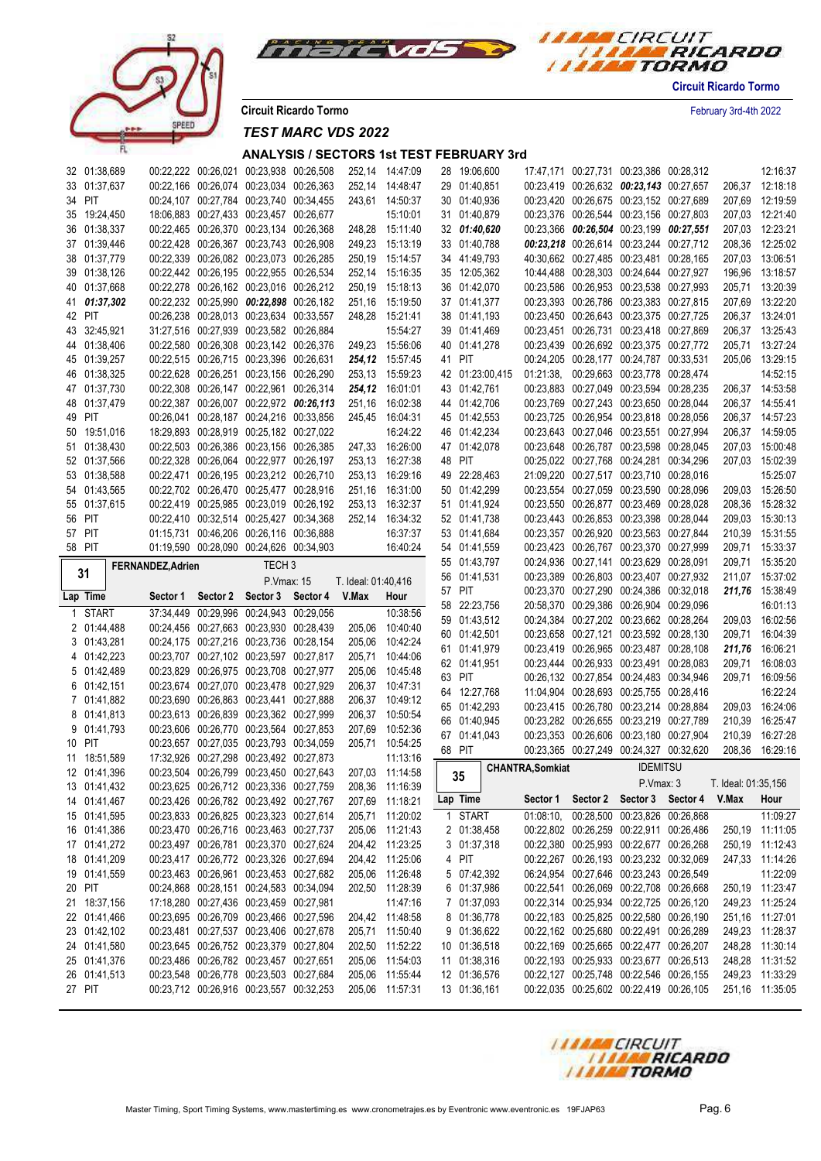



**Circuit Ricardo Tormo** February 3rd-4th 2022

*TEST MARC VDS 2022*

| 32 01:38,689           |                   | 00:22,222 00:26,021 00:23,938 00:26,508                                            |                   |                     | 252,14 14:47:09                    | 28 19:06,600                 |                         | 17:47,171 00:27,731 00:23,386 00:28,312                                            |                                         |                     | 12:16:37                           |
|------------------------|-------------------|------------------------------------------------------------------------------------|-------------------|---------------------|------------------------------------|------------------------------|-------------------------|------------------------------------------------------------------------------------|-----------------------------------------|---------------------|------------------------------------|
| 33 01:37,637           |                   | 00:22,166 00:26,074 00:23,034 00:26,363                                            |                   |                     | 252,14 14:48:47                    | 29 01:40,851                 |                         | 00:23,419 00:26,632 00:23,143 00:27,657                                            |                                         |                     | 206,37 12:18:18                    |
| 34 PIT                 |                   | 00:24,107 00:27,784 00:23,740 00:34,455                                            |                   |                     | 243,61 14:50:37                    | 30 01:40,936                 |                         | 00:23,420 00:26,675 00:23,152 00:27,689                                            |                                         |                     | 207,69 12:19:59                    |
| 35 19:24,450           |                   | 18:06,883 00:27,433 00:23,457 00:26,677                                            |                   |                     | 15:10:01                           | 31 01:40,879                 |                         | 00:23,376 00:26,544 00:23,156 00:27,803                                            |                                         |                     | 207,03 12:21:40                    |
| 36 01:38,337           |                   | 00:22,465 00:26,370 00:23,134 00:26,368                                            |                   |                     | 248,28 15:11:40                    | 32 01:40,620                 |                         | 00:23,366 00:26,504 00:23,199 00:27,551                                            |                                         |                     | 207,03 12:23:21                    |
| 37 01:39,446           |                   | 00:22,428 00:26,367 00:23,743 00:26,908                                            |                   |                     | 249,23 15:13:19                    | 33 01:40,788                 |                         | 00:23,218 00:26,614 00:23,244 00:27,712                                            |                                         | 208,36              | 12:25:02                           |
| 38 01:37,779           |                   | 00:22,339 00:26,082 00:23,073 00:26,285                                            |                   |                     | 250,19 15:14:57                    | 34 41:49,793                 |                         | 40:30,662 00:27,485 00:23,481 00:28,165                                            |                                         |                     | 207,03 13:06:51                    |
| 39 01:38,126           |                   | 00:22,442 00:26,195 00:22,955 00:26,534                                            |                   |                     | 252,14 15:16:35                    | 35 12:05,362                 |                         | 10:44,488 00:28,303 00:24,644 00:27,927                                            |                                         | 196,96              | 13:18:57                           |
| 40 01:37,668           |                   | 00:22,278 00:26,162 00:23,016 00:26,212                                            |                   |                     | 250,19 15:18:13                    | 36 01:42,070                 |                         | 00:23,586 00:26,953 00:23,538 00:27,993                                            |                                         | 205,71              | 13:20:39                           |
| 41 01:37,302           |                   | 00:22,232 00:25,990 00:22,898 00:26,182                                            |                   |                     | 251,16 15:19:50                    | 37 01:41,377                 |                         | 00:23,393 00:26,786 00:23,383 00:27,815                                            |                                         |                     | 207,69 13:22:20                    |
| 42 PIT                 |                   | 00:26,238 00:28,013 00:23,634 00:33,557                                            |                   |                     | 248,28 15:21:41                    | 38 01:41,193                 |                         | 00:23,450 00:26,643 00:23,375 00:27,725                                            |                                         |                     | 206,37 13:24:01                    |
| 43 32:45,921           |                   | 31:27,516 00:27,939 00:23,582 00:26,884                                            |                   |                     | 15:54:27                           | 39 01:41,469                 |                         | 00:23,451 00:26,731 00:23,418 00:27,869                                            |                                         |                     | 206,37 13:25:43                    |
| 44 01:38.406           |                   | 00:22,580 00:26,308 00:23,142 00:26,376                                            |                   |                     |                                    |                              |                         | 00:23,439 00:26,692 00:23,375 00:27,772                                            |                                         |                     | 205.71 13:27:24                    |
|                        |                   | 00:22,515 00:26,715 00:23,396 00:26,631                                            |                   |                     | 249,23 15:56:06                    | 40 01:41,278                 |                         |                                                                                    |                                         |                     |                                    |
| 45 01:39,257           |                   |                                                                                    |                   |                     | 254,12 15:57:45                    | 41 PIT                       |                         | 00:24,205 00:28,177 00:24,787 00:33,531                                            |                                         |                     | 205,06 13:29:15                    |
| 46 01:38,325           |                   | 00:22,628 00:26,251 00:23,156 00:26,290                                            |                   |                     | 253,13 15:59:23                    | 42 01:23:00,415              |                         | 01:21:38, 00:29,663 00:23,778 00:28,474                                            |                                         |                     | 14:52:15                           |
| 47 01:37,730           |                   | 00:22,308 00:26,147 00:22,961 00:26,314                                            |                   |                     | 254,12 16:01:01                    | 43 01:42,761                 |                         | 00:23,883 00:27,049 00:23,594 00:28,235                                            |                                         |                     | 206,37 14:53:58                    |
| 48 01:37,479           |                   | 00:22,387 00:26,007 00:22,972 00:26,113                                            |                   | 251,16              | 16:02:38                           | 44 01:42,706                 |                         | 00:23,769 00:27,243 00:23,650 00:28,044                                            |                                         |                     | 206,37 14:55:41                    |
| 49 PIT                 |                   | 00:26,041 00:28,187 00:24,216 00:33,856                                            |                   |                     | 245.45 16:04:31                    | 45 01:42,553                 |                         | 00:23,725 00:26,954 00:23,818 00:28,056                                            |                                         |                     | 206,37 14:57:23                    |
| 50 19:51,016           |                   | 18:29,893 00:28,919 00:25,182 00:27,022                                            |                   |                     | 16:24:22                           | 46 01:42,234                 |                         | 00:23,643 00:27,046 00:23,551 00:27,994                                            |                                         |                     | 206,37 14:59:05                    |
| 51 01:38,430           |                   | 00:22,503 00:26,386 00:23,156 00:26,385                                            |                   |                     | 247,33 16:26:00                    | 47 01:42,078                 |                         | 00:23,648 00:26,787 00:23,598 00:28,045                                            |                                         |                     | 207,03 15:00:48                    |
| 52 01:37,566           |                   | 00:22,328 00:26,064 00:22,977 00:26,197                                            |                   |                     | 253,13 16:27:38                    | 48 PIT                       |                         | 00:25,022 00:27,768 00:24,281 00:34,296                                            |                                         |                     | 207,03 15:02:39                    |
| 53 01:38,588           |                   | 00:22,471 00:26,195 00:23,212 00:26,710                                            |                   |                     | 253,13 16:29:16                    | 49 22:28,463                 |                         | 21:09,220 00:27,517 00:23,710 00:28,016                                            |                                         |                     | 15:25:07                           |
| 54 01:43,565           |                   | 00:22,702 00:26,470 00:25,477 00:28,916                                            |                   |                     | 251,16 16:31:00                    | 50 01:42,299                 |                         | 00:23,554 00:27,059 00:23,590 00:28,096                                            |                                         |                     | 209,03 15:26:50                    |
| 55 01:37,615           |                   | 00:22,419 00:25,985 00:23,019 00:26,192                                            |                   | 253,13              | 16:32:37                           | 51 01:41,924                 |                         | 00:23,550 00:26,877 00:23,469 00:28,028                                            |                                         |                     | 208,36 15:28:32                    |
| 56 PIT                 |                   | 00:22,410 00:32,514 00:25,427 00:34,368                                            |                   | 252,14              | 16:34:32                           | 52 01:41,738                 |                         | 00:23,443 00:26,853 00:23,398 00:28,044                                            |                                         |                     | 209,03 15:30:13                    |
| 57 PIT                 |                   | 01:15.731 00:46.206 00:26.116 00:36.888                                            |                   |                     | 16:37:37                           | 53 01:41,684                 |                         | 00:23,357 00:26,920 00:23,563 00:27,844                                            |                                         | 210,39              | 15:31:55                           |
| 58 PIT                 |                   | 01:19,590 00:28,090 00:24,626 00:34,903                                            |                   |                     | 16:40:24                           | 54 01:41,559                 |                         | 00:23,423 00:26,767 00:23,370 00:27,999                                            |                                         | 209,71              | 15:33:37                           |
|                        | FERNANDEZ, Adrien |                                                                                    | TECH <sub>3</sub> |                     |                                    | 55 01:43,797                 |                         | 00:24,936 00:27,141 00:23,629 00:28,091                                            |                                         | 209,71              | 15:35:20                           |
| 31                     |                   |                                                                                    |                   | T. Ideal: 01:40,416 |                                    | 56 01:41,531                 |                         |                                                                                    | 00:23,389 00:26,803 00:23,407 00:27,932 |                     | 211,07 15:37:02                    |
|                        |                   |                                                                                    |                   |                     |                                    |                              |                         |                                                                                    |                                         |                     |                                    |
|                        |                   |                                                                                    | P. Vmax: 15       |                     |                                    | 57 PIT                       |                         | 00:23,370 00:27,290 00:24,386 00:32,018                                            |                                         |                     | 211,76 15:38:49                    |
| Lap Time               |                   | Sector 1 Sector 2 Sector 3 Sector 4 V.Max                                          |                   |                     | Hour                               | 58 22:23,756                 |                         | 20:58,370 00:29,386 00:26,904 00:29,096                                            |                                         |                     | 16:01:13                           |
| 1 START                |                   | 37:34,449 00:29,996 00:24,943 00:29,056                                            |                   |                     | 10:38:56                           | 59 01:43,512                 |                         | 00:24,384 00:27,202 00:23,662 00:28,264                                            |                                         | 209,03              | 16:02:56                           |
| 2 01:44,488            |                   | 00:24,456 00:27,663 00:23,930 00:28,439                                            |                   | 205,06              | 10:40:40                           | 60 01:42,501                 |                         | 00:23,658 00:27,121 00:23,592 00:28,130                                            |                                         | 209,71              | 16:04:39                           |
| 3 01:43,281            |                   | 00:24,175 00:27,216 00:23,736 00:28,154                                            |                   | 205,06              | 10:42:24                           | 61 01:41,979                 |                         | 00:23,419 00:26,965 00:23,487 00:28,108                                            |                                         | 211,76              | 16:06:21                           |
| 4 01:42,223            |                   | 00:23,707 00:27,102 00:23,597 00:27,817                                            |                   | 205,71              | 10:44:06                           | 62 01:41,951                 |                         | 00:23,444 00:26,933 00:23,491 00:28,083                                            |                                         | 209,71              | 16:08:03                           |
| 5 01:42,489            |                   | 00:23,829 00:26,975 00:23,708 00:27,977                                            |                   | 205,06              | 10:45:48                           | 63 PIT                       |                         | 00:26,132 00:27,854 00:24,483 00:34,946                                            |                                         | 209,71              | 16:09:56                           |
| 6 01:42,151            |                   | 00:23,674 00:27,070 00:23,478 00:27,929                                            |                   | 206,37              | 10:47:31                           | 64 12:27,768                 |                         | 11:04,904 00:28,693 00:25,755 00:28,416                                            |                                         |                     | 16:22:24                           |
| 7 01:41,882            |                   | 00:23,690 00:26,863 00:23,441 00:27,888                                            |                   | 206,37              | 10:49:12                           |                              |                         |                                                                                    |                                         |                     |                                    |
| 8 01:41,813            |                   | 00:23,613 00:26,839 00:23,362 00:27,999                                            |                   | 206,37              | 10:50:54                           | 65 01:42,293                 |                         | 00:23,415 00:26,780 00:23,214 00:28,884                                            |                                         | 209,03              | 16:24:06                           |
| 9 01:41,793            |                   | 00:23,606 00:26,770 00:23,564 00:27,853                                            |                   | 207,69              | 10:52:36                           | 66 01:40,945                 |                         | 00:23,282 00:26,655 00:23,219 00:27,789                                            |                                         | 210,39              | 16:25:47                           |
| 10 PIT                 |                   | 00:23,657 00:27,035 00:23,793 00:34,059                                            |                   | 205,71              | 10:54:25                           | 67 01:41,043                 |                         | 00:23,353 00:26,606 00:23,180 00:27,904                                            |                                         | 210,39              | 16:27:28                           |
| 11 18:51,589           |                   | 17:32,926 00:27,298 00:23,492 00:27,873                                            |                   |                     | 11:13:16                           | 68 PIT                       |                         | 00:23,365 00:27,249 00:24,327 00:32,620                                            |                                         |                     | 208,36 16:29:16                    |
| 12 01:41,396           |                   | 00:23,504 00:26,799 00:23,450 00:27,643                                            |                   |                     | 207,03 11:14:58                    | 35                           | <b>CHANTRA, Somkiat</b> | <b>IDEMITSU</b>                                                                    |                                         |                     |                                    |
| 13 01:41,432           |                   | 00:23,625 00:26,712 00:23,336 00:27,759                                            |                   |                     | 208,36 11:16:39                    | $\sim$ $\sim$                |                         | P.Vmax: 3                                                                          |                                         | T. Ideal: 01:35,156 |                                    |
| 14 01:41,467           |                   | 00:23,426 00:26,782 00:23,492 00:27,767                                            |                   |                     | 207,69 11:18:21                    | Lap Time                     | Sector 1                | Sector 2 Sector 3 Sector 4 V.Max                                                   |                                         |                     | Hour                               |
| 15 01:41,595           |                   | 00:23,833 00:26,825 00:23,323 00:27,614                                            |                   |                     | 205,71 11:20:02                    | 1 START                      | 01:08:10.               | 00:28,500 00:23,826 00:26,868                                                      |                                         |                     | 11:09:27                           |
| 16 01:41,386           |                   | 00:23,470 00:26,716 00:23,463 00:27,737                                            |                   |                     | 205,06 11:21:43                    | 2 01:38,458                  |                         | 00:22,802 00:26,259 00:22,911 00:26,486                                            |                                         |                     | 250,19 11:11:05                    |
| 17 01:41,272           |                   | 00:23,497 00:26,781 00:23,370 00:27,624                                            |                   |                     | 204,42 11:23:25                    | 3 01:37,318                  |                         | 00:22,380 00:25,993 00:22,677 00:26,268                                            |                                         |                     | 250,19 11:12:43                    |
| 18 01:41,209           |                   | 00:23,417 00:26,772 00:23,326 00:27,694                                            |                   |                     | 204,42 11:25:06                    | 4 PIT                        |                         | 00:22,267 00:26,193 00:23,232 00:32,069                                            |                                         |                     | 247,33 11:14:26                    |
| 19 01:41,559           |                   | 00:23,463 00:26,961 00:23,453 00:27,682                                            |                   |                     | 205,06 11:26:48                    | 5 07:42,392                  |                         | 06:24,954 00:27,646 00:23,243 00:26,549                                            |                                         |                     | 11:22:09                           |
| 20 PIT                 |                   | 00:24,868 00:28,151 00:24,583 00:34,094                                            |                   |                     | 202,50 11:28:39                    | 6 01:37,986                  |                         | 00:22,541 00:26,069 00:22,708 00:26,668                                            |                                         |                     | 250,19 11:23:47                    |
| 21 18:37,156           |                   | 17:18,280 00:27,436 00:23,459 00:27,981                                            |                   |                     | 11:47:16                           | 7 01:37,093                  |                         | 00:22,314 00:25,934 00:22,725 00:26,120                                            |                                         |                     | 249,23 11:25:24                    |
| 22 01:41,466           |                   | 00:23,695 00:26,709 00:23,466 00:27,596                                            |                   |                     | 204,42 11:48:58                    | 8 01:36,778                  |                         | 00:22,183 00:25,825 00:22,580 00:26,190                                            |                                         |                     | 251,16 11:27:01                    |
| 23 01:42,102           |                   | 00:23,481 00:27,537 00:23,406 00:27,678                                            |                   |                     | 205,71 11:50:40                    | 9 01:36,622                  |                         | 00:22,162 00:25,680 00:22,491 00:26,289                                            |                                         |                     | 249.23 11:28:37                    |
|                        |                   |                                                                                    |                   |                     |                                    | 10 01:36,518                 |                         |                                                                                    |                                         |                     |                                    |
| 24 01:41,580           |                   | 00:23,645 00:26,752 00:23,379 00:27,804                                            |                   |                     | 202,50 11:52:22<br>205,06 11:54:03 |                              |                         | 00:22,169 00:25,665 00:22,477 00:26,207                                            |                                         |                     | 248,28 11:30:14                    |
| 25 01:41,376           |                   | 00:23,486 00:26,782 00:23,457 00:27,651                                            |                   |                     |                                    | 11 01:38,316                 |                         | 00:22,193 00:25,933 00:23,677 00:26,513                                            |                                         |                     | 248,28 11:31:52                    |
| 26 01:41,513<br>27 PIT |                   | 00:23,548 00:26,778 00:23,503 00:27,684<br>00:23,712 00:26,916 00:23,557 00:32,253 |                   |                     | 205,06 11:55:44<br>205,06 11:57:31 | 12 01:36,576<br>13 01:36,161 |                         | 00:22,127 00:25,748 00:22,546 00:26,155<br>00:22,035 00:25,602 00:22,419 00:26,105 |                                         |                     | 249,23 11:33:29<br>251,16 11:35:05 |

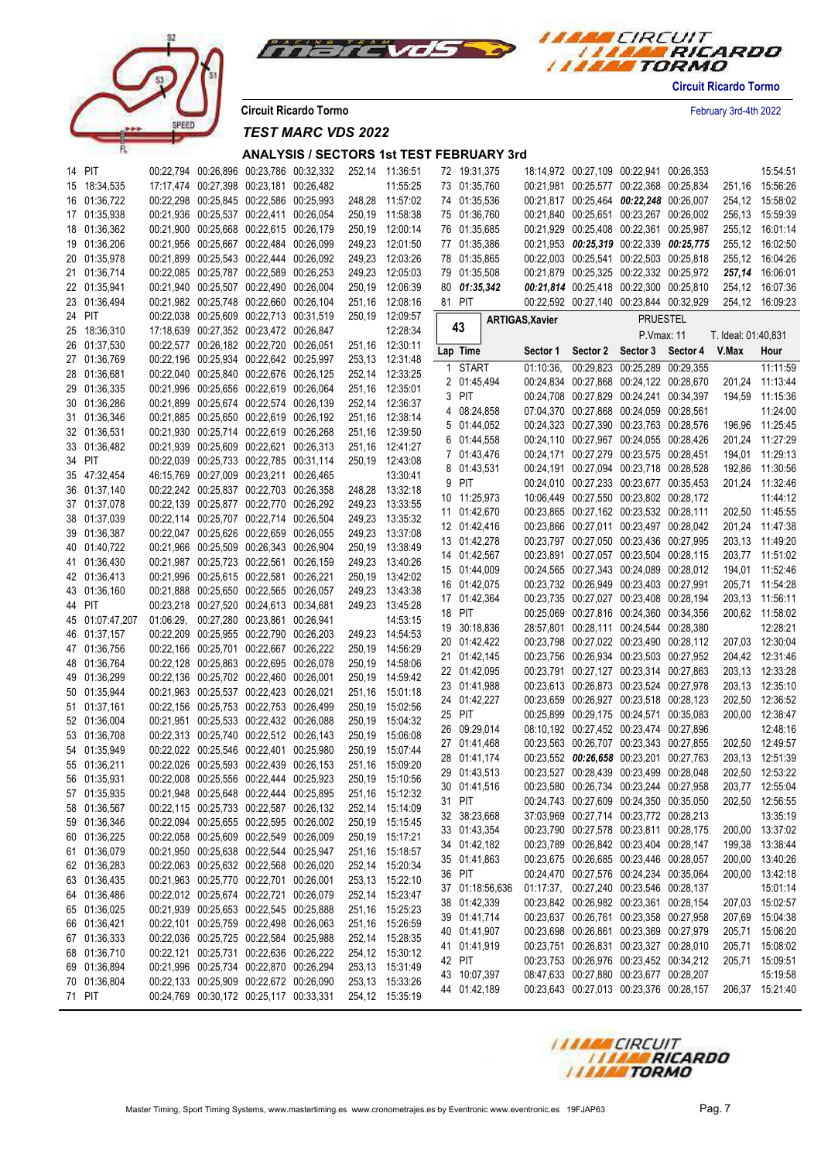



**Circuit Ricardo Tormo** February 3rd-4th 2022

*TEST MARC VDS 2022*

| 14 PIT          |  | 00:22,794 00:26,896 00:23,786 00:32,332 | 252,14 | 11:36:51        | 72 19:31,375 |                 |                 | 18:14,972 00:27,109 00:22,941 00:26,353 |                               |                     | 15:54:51        |
|-----------------|--|-----------------------------------------|--------|-----------------|--------------|-----------------|-----------------|-----------------------------------------|-------------------------------|---------------------|-----------------|
| 15 18:34,535    |  | 17:17,474 00:27,398 00:23,181 00:26,482 |        | 11:55:25        | 73 01:35,760 |                 |                 | 00:21,981 00:25,577 00:22,368 00:25,834 |                               |                     | 251,16 15:56:26 |
| 16 01:36,722    |  | 00:22,298 00:25,845 00:22,586 00:25,993 |        | 248,28 11:57:02 | 74 01:35,536 |                 |                 | 00:21,817 00:25,464 00:22,248 00:26,007 |                               |                     | 254,12 15:58:02 |
| 17 01:35,938    |  | 00:21,936 00:25,537 00:22,411 00:26,054 |        | 250,19 11:58:38 | 75 01:36,760 |                 |                 | 00:21,840 00:25,651 00:23,267 00:26,002 |                               |                     | 256,13 15:59:39 |
| 18 01:36,362    |  | 00:21,900 00:25,668 00:22,615 00:26,179 |        | 250,19 12:00:14 | 76 01:35,685 |                 |                 | 00:21,929 00:25,408 00:22,361 00:25,987 |                               |                     | 255,12 16:01:14 |
| 19 01:36,206    |  | 00:21,956 00:25,667 00:22,484 00:26,099 |        | 249,23 12:01:50 | 77 01:35,386 |                 |                 | 00:21,953 00:25,319 00:22,339 00:25,775 |                               |                     | 255,12 16:02:50 |
| 20 01:35,978    |  | 00:21,899 00:25,543 00:22,444 00:26,092 | 249,23 | 12:03:26        | 78 01:35,865 |                 |                 | 00:22,003 00:25,541 00:22,503 00:25,818 |                               |                     | 255,12 16:04:26 |
|                 |  |                                         |        |                 |              |                 |                 |                                         |                               |                     |                 |
| 21 01:36,714    |  | 00:22,085 00:25,787 00:22,589 00:26,253 | 249,23 | 12:05:03        | 79 01:35,508 |                 |                 | 00:21,879 00:25,325 00:22,332 00:25,972 |                               |                     | 257,14 16:06:01 |
| 22 01:35,941    |  | 00:21,940 00:25,507 00:22,490 00:26,004 |        | 250,19 12:06:39 | 80 01:35,342 |                 |                 | 00:21,814 00:25,418 00:22,300 00:25,810 |                               |                     | 254,12 16:07:36 |
| 23 01:36,494    |  | 00:21,982 00:25,748 00:22,660 00:26,104 | 251,16 | 12:08:16        | 81 PIT       |                 |                 | 00:22,592 00:27,140 00:23,844 00:32,929 |                               |                     | 254,12 16:09:23 |
| 24 PIT          |  | 00:22,038 00:25,609 00:22,713 00:31,519 |        | 250,19 12:09:57 |              |                 | ARTIGAS, Xavier |                                         | <b>PRUESTEL</b>               |                     |                 |
| 25 18:36,310    |  | 17:18,639 00:27,352 00:23,472 00:26,847 |        | 12:28:34        | 43           |                 |                 |                                         | P.Vmax: 11                    | T. Ideal: 01:40,831 |                 |
| 26 01:37,530    |  | 00:22,577 00:26,182 00:22,720 00:26,051 |        | 251,16 12:30:11 | Lap Time     |                 | Sector 1        |                                         | Sector 2 Sector 3 Sector 4    | V.Max               | Hour            |
| 27 01:36,769    |  | 00:22,196 00:25,934 00:22,642 00:25,997 |        | 253,13 12:31:48 | 1 START      |                 | 01:10:36        |                                         | 00:29,823 00:25,289 00:29,355 |                     | 11:11:59        |
| 28 01:36,681    |  | 00:22,040 00:25,840 00:22,676 00:26,125 |        | 252,14 12:33:25 | 2 01:45,494  |                 |                 | 00:24,834 00:27,868 00:24,122 00:28,670 |                               |                     |                 |
| 29 01:36,335    |  | 00:21,996 00:25,656 00:22,619 00:26,064 |        | 251,16 12:35:01 |              |                 |                 |                                         |                               |                     | 201,24 11:13:44 |
| 30 01:36,286    |  | 00:21,899 00:25,674 00:22,574 00:26,139 |        | 252,14 12:36:37 | 3 PIT        |                 |                 | 00:24,708 00:27,829 00:24,241 00:34,397 |                               |                     | 194,59 11:15:36 |
| 31 01:36,346    |  | 00:21,885 00:25,650 00:22,619 00:26,192 |        | 251,16 12:38:14 | 4 08:24,858  |                 |                 | 07:04,370 00:27,868 00:24,059 00:28,561 |                               |                     | 11:24:00        |
| 32 01:36,531    |  | 00:21,930 00:25,714 00:22,619 00:26,268 |        | 251,16 12:39:50 | 5 01:44,052  |                 |                 | 00:24,323 00:27,390 00:23,763 00:28,576 |                               |                     | 196,96 11:25:45 |
| 33 01:36,482    |  | 00:21,939 00:25,609 00:22,621 00:26,313 |        | 251,16 12:41:27 | 6 01:44,558  |                 |                 | 00:24,110 00:27,967 00:24,055 00:28,426 |                               |                     | 201,24 11:27:29 |
| 34 PIT          |  | 00:22,039 00:25,733 00:22,785 00:31,114 |        | 250,19 12:43:08 | 7 01:43,476  |                 |                 | 00:24,171 00:27,279 00:23,575 00:28,451 |                               |                     | 194,01 11:29:13 |
| 35 47:32,454    |  | 46:15,769 00:27,009 00:23,211 00:26,465 |        | 13:30:41        | 8 01:43,531  |                 |                 | 00:24,191 00:27,094 00:23,718 00:28,528 |                               |                     | 192,86 11:30:56 |
| 36 01:37,140    |  | 00:22,242 00:25,837 00:22,703 00:26,358 |        | 248,28 13:32:18 | 9 PIT        |                 |                 | 00:24,010 00:27,233 00:23,677 00:35,453 |                               |                     | 201,24 11:32:46 |
|                 |  | 00:22,139 00:25,877 00:22,770 00:26,292 |        |                 | 10 11:25,973 |                 |                 | 10:06,449 00:27,550 00:23,802 00:28,172 |                               |                     | 11:44:12        |
| 37 01:37,078    |  |                                         |        | 249,23 13:33:55 | 11 01:42,670 |                 |                 | 00:23,865 00:27,162 00:23,532 00:28,111 |                               |                     | 202,50 11:45:55 |
| 38 01:37,039    |  | 00:22,114 00:25,707 00:22,714 00:26,504 |        | 249,23 13:35:32 | 12 01:42,416 |                 |                 | 00:23,866 00:27,011 00:23,497 00:28,042 |                               |                     | 201,24 11:47:38 |
| 39 01:36,387    |  | 00:22,047 00:25,626 00:22,659 00:26,055 | 249,23 | 13:37:08        | 13 01:42,278 |                 |                 | 00:23,797 00:27,050 00:23,436 00:27,995 |                               |                     | 203,13 11:49:20 |
| 40 01:40,722    |  | 00:21,966 00:25,509 00:26,343 00:26,904 | 250,19 | 13:38:49        | 14 01:42,567 |                 |                 | 00:23,891 00:27,057 00:23,504 00:28,115 |                               |                     | 203,77 11:51:02 |
| 41 01:36,430    |  | 00:21,987 00:25,723 00:22,561 00:26,159 | 249,23 | 13:40:26        | 15 01:44,009 |                 |                 | 00:24,565 00:27,343 00:24,089 00:28,012 |                               |                     | 194,01 11:52:46 |
| 42 01:36,413    |  | 00:21,996 00:25,615 00:22,581 00:26,221 |        | 250,19 13:42:02 | 16 01:42,075 |                 |                 | 00:23,732 00:26,949 00:23,403 00:27,991 |                               |                     | 205,71 11:54:28 |
| 43 01:36,160    |  | 00:21,888 00:25,650 00:22,565 00:26,057 |        | 249,23 13:43:38 | 17 01:42,364 |                 |                 | 00:23,735 00:27,027 00:23,408 00:28,194 |                               |                     | 203,13 11:56:11 |
| 44 PIT          |  | 00:23,218 00:27,520 00:24,613 00:34,681 |        | 249,23 13:45:28 | 18 PIT       |                 |                 | 00:25,069 00:27,816 00:24,360 00:34,356 |                               |                     | 200,62 11:58:02 |
| 45 01:07:47,207 |  | 01:06:29, 00:27,280 00:23,861 00:26,941 |        | 14:53:15        |              |                 |                 |                                         |                               |                     |                 |
| 46 01:37,157    |  | 00:22,209 00:25,955 00:22,790 00:26,203 |        | 249,23 14.54:53 | 19 30:18,836 |                 |                 | 28:57,801 00:28,111 00:24,544 00:28,380 |                               |                     | 12:28:21        |
| 47 01:36,756    |  | 00:22,166 00:25,701 00:22,667 00:26,222 | 250,19 | 14:56:29        | 20 01:42,422 |                 |                 | 00:23,798 00:27,022 00:23,490 00:28,112 |                               |                     | 207,03 12:30:04 |
| 48 01:36,764    |  | 00:22,128 00:25,863 00:22,695 00:26,078 |        | 250,19 14:58:06 | 21 01:42,145 |                 |                 | 00:23,756 00:26,934 00:23,503 00:27,952 |                               |                     | 204,42 12:31:46 |
| 49 01:36,299    |  | 00:22,136 00:25,702 00:22,460 00:26,001 | 250,19 | 14:59:42        | 22 01:42,095 |                 |                 | 00:23,791 00:27,127 00:23,314 00:27,863 |                               |                     | 203,13 12:33:28 |
| 50 01:35,944    |  | 00:21,963 00:25,537 00:22,423 00:26,021 |        | 251,16 15:01:18 | 23 01:41,988 |                 |                 | 00:23,613 00:26,873 00:23,524 00:27,978 |                               |                     | 203,13 12:35:10 |
| 51 01:37,161    |  | 00:22,156 00:25,753 00:22,753 00:26,499 | 250,19 | 15:02:56        | 24 01:42,227 |                 |                 | 00:23,659 00:26,927 00:23,518 00:28,123 |                               |                     | 202,50 12:36:52 |
| 52 01:36,004    |  | 00:21.951 00:25.533 00:22.432 00:26.088 | 250,19 | 15:04:32        | 25 PIT       |                 |                 | 00:25,899 00:29,175 00:24,571 00:35,083 |                               |                     | 200,00 12:38:47 |
|                 |  | 00:22,313 00:25,740 00:22,512 00:26,143 |        |                 | 26 09:29,014 |                 |                 | 08:10,192 00:27,452 00:23,474 00:27,896 |                               |                     | 12:48:16        |
| 53 01:36,708    |  |                                         | 250,19 | 15:06:08        | 27 01:41,468 |                 |                 | 00:23,563 00:26,707 00:23,343 00:27,855 |                               |                     | 202,50 12:49:57 |
| 54 01:35,949    |  | 00:22,022 00:25,546 00:22,401 00:25,980 | 250,19 | 15:07:44        | 28 01:41,174 |                 |                 | 00:23,552 00:26,658 00:23,201 00:27,763 |                               |                     | 203,13 12:51:39 |
| 55 01:36,211    |  | 00:22,026 00:25,593 00:22,439 00:26,153 | 251,16 | 15:09:20        | 29 01:43,513 |                 |                 | 00:23,527 00:28,439 00:23,499 00:28,048 |                               |                     | 202,50 12:53:22 |
| 56 01:35,931    |  | 00:22,008 00:25,556 00:22,444 00:25,923 | 250.19 | 15:10:56        | 30 01:41,516 |                 |                 | 00:23,580 00:26,734 00:23,244 00:27,958 |                               |                     | 203,77 12:55:04 |
| 57 01:35,935    |  | 00:21,948 00:25,648 00:22,444 00:25,895 |        | 251,16 15:12:32 | 31 PIT       |                 |                 | 00:24,743 00:27,609 00:24,350 00:35,050 |                               |                     | 202,50 12:56:55 |
| 58 01:36,567    |  | 00:22,115 00:25,733 00:22,587 00:26,132 |        | 252,14 15:14:09 | 32 38:23,668 |                 |                 | 37:03,969 00:27,714 00:23,772 00:28,213 |                               |                     | 13:35:19        |
| 59 01:36,346    |  | 00:22,094 00:25,655 00:22,595 00:26,002 |        | 250,19 15:15:45 |              |                 |                 |                                         |                               |                     |                 |
| 60 01:36,225    |  | 00:22,058 00:25,609 00:22,549 00:26,009 |        | 250,19 15:17:21 | 33 01:43,354 |                 |                 | 00:23,790 00:27,578 00:23,811 00:28,175 |                               |                     | 200,00 13:37:02 |
| 61 01:36,079    |  | 00:21,950 00:25,638 00:22,544 00:25,947 |        | 251,16 15:18:57 | 34 01:42,182 |                 |                 | 00:23,789 00:26,842 00:23,404 00:28,147 |                               |                     | 199,38 13:38:44 |
| 62 01:36,283    |  | 00:22,063 00:25,632 00:22,568 00:26,020 |        | 252,14 15:20:34 | 35 01:41,863 |                 |                 | 00:23,675 00:26,685 00:23,446 00:28,057 |                               |                     | 200,00 13:40:26 |
| 63 01:36,435    |  | 00:21,963 00:25,770 00:22,701 00:26,001 |        | 253,13 15:22:10 | 36 PIT       |                 |                 | 00:24,470 00:27,576 00:24,234 00:35,064 |                               |                     | 200,00 13:42:18 |
| 64 01:36,486    |  | 00:22,012 00:25,674 00:22,721 00:26,079 |        | 252,14 15:23:47 |              | 37 01:18:56,636 |                 | 01:17:37, 00:27,240 00:23,546 00:28,137 |                               |                     | 15:01:14        |
| 65 01:36,025    |  | 00:21,939 00:25,653 00:22,545 00:25,888 |        | 251,16 15:25:23 | 38 01:42,339 |                 |                 | 00:23,842 00:26,982 00:23,361 00:28,154 |                               |                     | 207,03 15:02:57 |
| 66 01:36,421    |  | 00:22,101 00:25,759 00:22,498 00:26,063 |        | 251,16 15:26:59 | 39 01:41,714 |                 |                 | 00:23,637 00:26,761 00:23,358 00:27,958 |                               |                     | 207,69 15:04:38 |
|                 |  |                                         |        |                 | 40 01:41,907 |                 |                 | 00:23,698 00:26,861 00:23,369 00:27,979 |                               | 205,71              | 15:06:20        |
| 67 01:36,333    |  | 00:22,036 00:25,725 00:22,584 00:25,988 |        | 252,14 15:28:35 | 41 01:41,919 |                 |                 | 00:23,751 00:26,831 00:23,327 00:28,010 |                               | 205,71              | 15:08:02        |
| 68 01:36,710    |  | 00:22,121 00:25,731 00:22,636 00:26,222 |        | 254,12 15:30:12 | 42 PIT       |                 |                 | 00:23,753 00:26,976 00:23,452 00:34,212 |                               | 205,71              | 15:09:51        |
| 69 01:36,894    |  | 00:21,996 00:25,734 00:22,870 00:26,294 |        | 253,13 15:31:49 | 43 10:07,397 |                 |                 | 08:47,633 00:27,880 00:23,677 00:28,207 |                               |                     | 15:19:58        |
| 70 01:36,804    |  | 00:22,133 00:25,909 00:22,672 00:26,090 |        | 253,13 15:33:26 | 44 01:42,189 |                 |                 | 00:23,643 00:27,013 00:23,376 00:28,157 |                               |                     | 206,37 15:21:40 |
| 71 PIT          |  | 00:24,769 00:30,172 00:25,117 00:33,331 |        | 254,12 15:35:19 |              |                 |                 |                                         |                               |                     |                 |

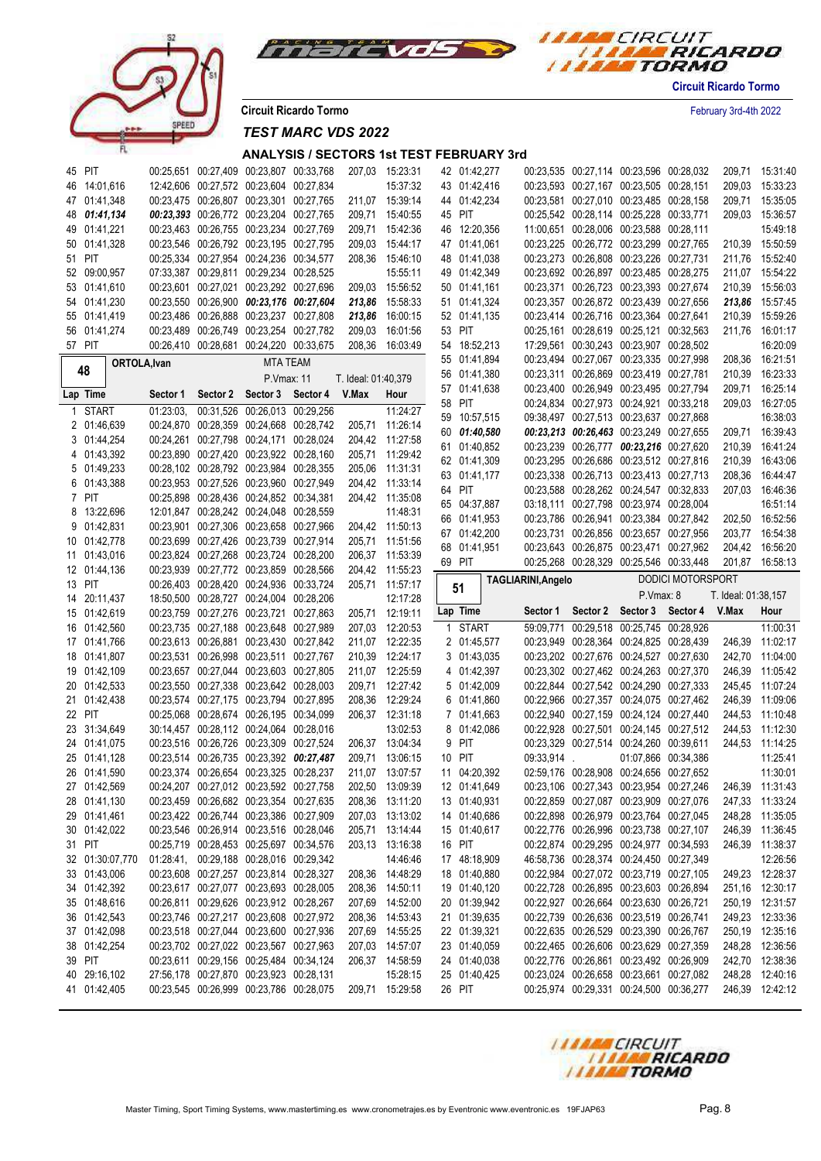



**Circuit Ricardo Tormo** February 3rd-4th 2022

*TEST MARC VDS 2022*

# **ANALYSIS / SECTORS 1st TEST FEBRUARY 3rd**

| 45 PIT                       |           |          | 00:25,651 00:27,409 00:23,807 00:33,768                                            |          |                     | 207.03 15:23:31             |    | 42 01:42,277           |                    |             |          | 00:23,535 00:27,114 00:23,596 00:28,032                                            |                          | 209,71              | 15:31:40                           |
|------------------------------|-----------|----------|------------------------------------------------------------------------------------|----------|---------------------|-----------------------------|----|------------------------|--------------------|-------------|----------|------------------------------------------------------------------------------------|--------------------------|---------------------|------------------------------------|
| 46 14:01.616                 |           |          | 12:42,606 00:27,572 00:23,604 00:27,834                                            |          |                     | 15:37:32                    |    | 43 01:42,416           |                    |             |          | 00:23,593 00:27,167 00:23,505 00:28,151                                            |                          | 209,03              | 15:33:23                           |
|                              |           |          | 00:23,475 00:26,807 00:23,301 00:27,765                                            |          |                     | 211.07 15:39:14             |    | 44 01:42,234           |                    |             |          | 00:23,581 00:27,010 00:23,485 00:28,158                                            |                          |                     |                                    |
| 47 01:41,348                 |           |          |                                                                                    |          |                     |                             |    |                        |                    |             |          |                                                                                    |                          | 209,71              | 15:35:05                           |
| 48 01:41,134                 |           |          | 00:23,393 00:26,772 00:23,204 00:27,765                                            |          |                     | 209,71 15:40:55             |    | 45 PIT                 |                    |             |          | 00:25,542 00:28,114 00:25,228 00:33,771                                            |                          | 209,03              | 15:36:57                           |
| 49 01:41,221                 |           |          | 00:23,463 00:26,755 00:23,234 00:27,769                                            |          |                     | 209,71 15:42:36             |    | 46 12:20,356           |                    |             |          | 11:00,651 00:28,006 00:23,588 00:28,111                                            |                          |                     | 15:49:18                           |
| 50 01:41,328                 |           |          | 00:23,546 00:26,792 00:23,195 00:27,795                                            |          |                     | 209,03 15:44:17             |    | 47 01:41,061           |                    |             |          | 00:23,225 00:26,772 00:23,299 00:27,765                                            |                          |                     | 210,39 15:50:59                    |
| 51 PIT                       |           |          | 00:25,334 00:27,954 00:24,236 00:34,577                                            |          |                     | 208,36 15:46:10             |    | 48 01:41,038           |                    |             |          | 00:23,273 00:26,808 00:23,226 00:27,731                                            |                          | 211,76              | 15:52:40                           |
| 52 09:00,957                 |           |          | 07:33,387 00:29,811 00:29,234 00:28,525                                            |          |                     | 15:55:11                    |    | 49 01:42,349           |                    |             |          | 00:23,692 00:26,897 00:23,485 00:28,275                                            |                          |                     | 211,07 15:54:22                    |
| 53 01:41,610                 |           |          | 00:23,601 00:27,021 00:23,292 00:27,696                                            |          |                     | 209.03 15:56:52             |    | 50 01:41,161           |                    |             |          | 00:23,371 00:26,723 00:23,393 00:27,674                                            |                          | 210,39              | 15:56:03                           |
| 54 01:41,230                 |           |          | 00:23,550 00:26,900 00:23,176 00:27,604                                            |          |                     | 213,86 15:58:33             |    | 51 01:41,324           |                    |             |          | 00:23,357 00:26,872 00:23,439 00:27,656                                            |                          |                     | 213,86 15:57:45                    |
| 55 01:41,419                 |           |          | 00:23,486 00:26,888 00:23,237 00:27,808                                            |          |                     | 213,86 16:00:15             |    | 52 01:41,135           |                    |             |          | 00:23,414 00:26,716 00:23,364 00:27,641                                            |                          | 210,39              | 15:59:26                           |
| 56 01:41,274                 |           |          | 00:23,489 00:26,749 00:23,254 00:27,782                                            |          |                     | 209,03 16:01:56             |    | 53 PIT                 |                    |             |          | 00:25,161 00:28,619 00:25,121 00:32,563                                            |                          | 211,76              | 16:01:17                           |
| 57 PIT                       |           |          | 00:26,410 00:28,681 00:24,220 00:33,675                                            |          | 208,36              | 16:03:49                    |    | 54 18:52,213           |                    |             |          | 17:29.561 00:30.243 00:23.907 00:28.502                                            |                          |                     | 16:20:09                           |
| ORTOLA, Ivan                 |           |          | <b>MTA TEAM</b>                                                                    |          |                     |                             |    | 55 01:41,894           |                    |             |          | 00:23,494 00:27,067 00:23,335 00:27,998                                            |                          |                     | 208,36 16:21:51                    |
| 48                           |           |          | P.Vmax: 11                                                                         |          | T. Ideal: 01:40,379 |                             |    | 56 01:41,380           |                    |             |          | 00:23,311 00:26,869 00:23,419 00:27,781                                            |                          | 210,39              | 16:23:33                           |
| Lap Time                     | Sector 1  | Sector 2 | Sector 3                                                                           | Sector 4 | V.Max               | Hour                        |    | 57 01:41,638           |                    |             |          | 00:23,400 00:26,949 00:23,495 00:27,794                                            |                          | 209,71              | 16:25:14                           |
|                              |           |          |                                                                                    |          |                     |                             | 58 | PIT                    |                    |             |          | 00:24,834 00:27,973 00:24,921 00:33,218                                            |                          | 209,03              | 16:27:05                           |
| 1 START                      | 01:23:03. |          | 00:31,526 00:26,013 00:29,256                                                      |          |                     | 11:24:27                    | 59 | 10:57,515              |                    |             |          | 09:38,497 00:27,513 00:23,637 00:27,868                                            |                          |                     | 16:38:03                           |
| 2 01:46,639                  |           |          | 00:24,870 00:28,359 00:24,668 00:28,742                                            |          |                     | 205,71 11:26:14             |    | 60 01:40,580           |                    |             |          | 00:23,213 00:26,463 00:23,249 00:27,655                                            |                          | 209,71              | 16:39:43                           |
| 3 01:44,254                  |           |          | 00:24,261 00:27,798 00:24,171 00:28,024                                            |          |                     | 204,42 11:27:58             |    | 61 01:40,852           |                    |             |          | 00:23,239 00:26,777 00:23,216 00:27,620                                            |                          | 210,39              | 16:41:24                           |
| 4 01:43.392                  |           |          | 00:23,890 00:27,420 00:23,922 00:28,160                                            |          |                     | 205,71 11:29:42             |    | 62 01:41,309           |                    |             |          | 00:23,295 00:26,686 00:23,512 00:27,816                                            |                          | 210,39              | 16:43:06                           |
| 5 01:49,233                  |           |          | 00:28,102 00:28,792 00:23,984 00:28,355                                            |          |                     | 205,06 11:31:31             |    | 63 01:41,177           |                    |             |          | 00:23,338 00:26,713 00:23,413 00:27,713                                            |                          | 208,36              | 16:44:47                           |
| 6 01:43.388                  |           |          | 00:23,953 00:27,526 00:23,960 00:27,949                                            |          |                     | 204,42 11:33:14             |    | 64 PIT                 |                    |             |          | 00:23,588 00:28,262 00:24,547 00:32,833                                            |                          | 207,03              | 16:46:36                           |
| 7 PIT                        |           |          | 00:25,898 00:28,436 00:24,852 00:34,381                                            |          |                     | 204,42 11:35:08             |    | 65 04:37,887           |                    |             |          | 03:18,111 00:27,798 00:23,974 00:28,004                                            |                          |                     | 16:51:14                           |
| 8 13:22,696                  |           |          | 12:01,847 00:28,242 00:24,048 00:28,559                                            |          |                     | 11:48:31                    |    | 66 01:41,953           |                    |             |          | 00:23,786 00:26,941 00:23,384 00:27,842                                            |                          |                     | 202,50 16:52:56                    |
| 9 01:42,831                  |           |          | 00:23,901 00:27,306 00:23,658 00:27,966                                            |          |                     | 204,42 11:50:13             |    | 67 01:42,200           |                    |             |          | 00:23,731 00:26,856 00:23,657 00:27,956                                            |                          | 203,77              | 16:54:38                           |
| 10 01:42,778                 |           |          | 00:23,699 00:27,426 00:23,739 00:27,914                                            |          |                     | 205,71 11:51:56             |    | 68 01:41,951           |                    |             |          | 00:23,643 00:26,875 00:23,471 00:27,962                                            |                          | 204,42              | 16:56:20                           |
| 11 01:43.016                 |           |          | 00:23,824 00:27,268 00:23,724 00:28,200                                            |          |                     | 206,37 11:53:39             |    | 69 PIT                 |                    |             |          | 00:25,268 00:28,329 00:25,546 00:33,448                                            |                          |                     | 201,87 16:58:13                    |
| 12 01:44,136                 |           |          | 00:23,939 00:27,772 00:23,859 00:28,566                                            |          |                     | 204,42 11:55:23             |    |                        |                    |             |          |                                                                                    |                          |                     |                                    |
|                              |           |          |                                                                                    |          |                     |                             |    |                        |                    |             |          |                                                                                    |                          |                     |                                    |
| 13 PIT                       |           |          | 00:26,403 00:28,420 00:24,936 00:33,724                                            |          |                     | 205,71 11:57:17             |    |                        | TAGLIARINI, Angelo |             |          |                                                                                    | <b>DODICI MOTORSPORT</b> |                     |                                    |
| 14 20:11,437                 |           |          | 18:50,500 00:28,727 00:24,004 00:28,206                                            |          |                     | 12:17:28                    |    | 51                     |                    |             |          | P.Vmax: 8                                                                          |                          | T. Ideal: 01:38,157 |                                    |
| 15 01:42,619                 |           |          | 00:23,759 00:27,276 00:23,721 00:27,863                                            |          |                     | 205,71 12:19:11             |    | Lap Time               |                    | Sector 1    | Sector 2 | Sector 3 Sector 4                                                                  |                          | V.Max               | Hour                               |
| 16 01:42,560                 |           |          | 00:23,735 00:27,188 00:23,648 00:27,989                                            |          |                     | 207,03 12:20:53             |    | 1 START                |                    | 59:09,771   |          | 00:29.518 00:25.745 00:28.926                                                      |                          |                     | 11:00:31                           |
| 17 01:41,766                 |           |          | 00:23,613 00:26,881 00:23,430 00:27,842                                            |          |                     | 211,07 12:22:35             |    | 2 01:45,577            |                    |             |          | 00:23,949 00:28,364 00:24,825 00:28,439                                            |                          | 246,39              | 11:02:17                           |
| 18 01:41,807                 |           |          | 00:23,531 00:26,998 00:23,511 00:27,767                                            |          |                     | 210,39 12:24:17             |    | 3 01:43,035            |                    |             |          | 00:23,202 00:27,676 00:24,527 00:27,630                                            |                          | 242,70              | 11:04:00                           |
| 19 01:42,109                 |           |          | 00:23,657 00:27,044 00:23,603 00:27,805                                            |          |                     | 211,07 12:25:59             |    | 4 01:42,397            |                    |             |          | 00:23,302 00:27,462 00:24,263 00:27,370                                            |                          | 246,39              | 11:05:42                           |
| 20 01:42,533                 |           |          | 00:23,550 00:27,338 00:23,642 00:28,003                                            |          |                     | 209,71 12:27:42             |    | 5 01:42,009            |                    |             |          | 00:22,844 00:27,542 00:24,290 00:27,333                                            |                          |                     | 245,45 11:07:24                    |
| 21 01:42,438                 |           |          | 00:23,574 00:27,175 00:23,794 00:27,895                                            |          |                     | 208,36 12:29:24             |    | 6 01:41,860            |                    |             |          | 00:22,966 00:27,357 00:24,075 00:27,462                                            |                          | 246,39              | 11:09:06                           |
| 22 PIT                       |           |          | 00:25,068 00:28,674 00:26,195 00:34,099                                            |          |                     | 206,37 12:31:18             |    | 7 01:41,663            |                    |             |          | 00:22,940 00:27,159 00:24,124 00:27,440                                            |                          |                     | 244,53 11:10:48                    |
| 23 31:34,649                 |           |          | 30:14,457 00:28,112 00:24,064 00:28,016                                            |          |                     | 13:02:53                    |    | 8 01:42,086            |                    |             |          | 00:22,928 00:27,501 00:24,145 00:27,512                                            |                          |                     | 244,53 11:12:30                    |
| 24 01:41,075                 |           |          |                                                                                    |          |                     |                             | 9  | PIT                    |                    |             |          |                                                                                    |                          |                     |                                    |
|                              |           |          | 00:23,516 00:26,726 00:23,309 00:27,524<br>00:23,514 00:26,735 00:23,392 00:27,487 |          |                     | 206,37 13:04:34             |    | 10 PIT                 |                    |             |          | 00:23,329 00:27,514 00:24,260 00:39,611                                            |                          |                     | 244,53 11:14:25                    |
| 25 01:41,128                 |           |          |                                                                                    |          |                     | 209,71 13:06:15             |    |                        |                    | 09:33,914 . |          | 01:07,866 00:34,386                                                                |                          |                     | 11:25:41                           |
| 26 01:41.590                 |           |          | 00:23,374 00:26,654 00:23,325 00:28,237                                            |          |                     | 211,07 13:07:57             |    | 11 04:20,392           |                    |             |          | 02:59,176 00:28,908 00:24,656 00:27,652                                            |                          |                     | 11:30:01                           |
| 27 01:42,569                 |           |          | 00:24,207 00:27,012 00:23,592 00:27,758                                            |          |                     | 202,50 13:09:39             |    | 12 01:41,649           |                    |             |          | 00:23,106 00:27,343 00:23,954 00:27,246                                            |                          |                     | 246,39 11:31:43                    |
| 28 01:41,130                 |           |          | 00:23,459 00:26,682 00:23,354 00:27,635                                            |          |                     | 208,36 13:11:20             |    | 13 01:40,931           |                    |             |          | 00:22,859 00:27,087 00:23,909 00:27,076                                            |                          |                     | 247,33 11:33:24                    |
| 29 01:41,461                 |           |          | 00:23,422 00:26,744 00:23,386 00:27,909                                            |          |                     | 207,03 13:13:02             |    | 14 01:40,686           |                    |             |          | 00:22,898 00:26,979 00:23,764 00:27,045                                            |                          |                     | 248,28 11:35:05                    |
| 30 01:42,022                 |           |          | 00:23,546 00:26,914 00:23,516 00:28,046                                            |          |                     | 205,71 13:14:44             |    | 15 01:40,617           |                    |             |          | 00:22,776 00:26,996 00:23,738 00:27,107                                            |                          |                     | 246,39 11:36:45                    |
| 31 PIT                       |           |          | 00:25,719 00:28,453 00:25,697 00:34,576                                            |          |                     | 203,13 13:16:38             |    | 16 PIT                 |                    |             |          | 00:22,874 00:29,295 00:24,977 00:34,593                                            |                          |                     | 246,39 11:38:37                    |
| 32 01:30:07,770              |           |          | 01:28:41, 00:29,188 00:28,016 00:29,342                                            |          |                     | 14:46:46                    |    | 17 48:18,909           |                    |             |          | 46:58,736 00:28,374 00:24,450 00:27,349                                            |                          |                     | 12:26:56                           |
| 33 01:43,006                 |           |          | 00:23,608 00:27,257 00:23,814 00:28,327                                            |          |                     | 208,36 14:48:29             |    | 18 01:40,880           |                    |             |          | 00:22,984 00:27,072 00:23,719 00:27,105                                            |                          |                     | 249,23 12:28:37                    |
| 34 01:42,392                 |           |          | 00:23,617 00:27,077 00:23,693 00:28,005                                            |          |                     | 208,36 14:50:11             |    | 19 01:40,120           |                    |             |          | 00:22,728 00:26,895 00:23,603 00:26,894                                            |                          |                     | 251,16 12:30:17                    |
| 35 01:48,616                 |           |          | 00:26,811 00:29,626 00:23,912 00:28,267                                            |          |                     | 207,69 14:52:00             |    | 20 01:39,942           |                    |             |          | 00:22,927 00:26,664 00:23,630 00:26,721                                            |                          |                     | 250,19 12:31:57                    |
| 36 01:42,543                 |           |          | 00:23,746 00:27,217 00:23,608 00:27,972                                            |          |                     | 208,36 14:53:43             |    | 21 01:39,635           |                    |             |          | 00:22,739 00:26,636 00:23,519 00:26,741                                            |                          |                     | 249,23 12:33:36                    |
| 37 01:42,098                 |           |          | 00:23,518 00:27,044 00:23,600 00:27,936                                            |          |                     | 207,69 14:55:25             |    | 22 01:39,321           |                    |             |          | 00:22,635 00:26,529 00:23,390 00:26,767                                            |                          |                     | 250,19 12:35:16                    |
| 38 01:42,254                 |           |          | 00:23,702 00:27,022 00:23,567 00:27,963                                            |          |                     | 207,03 14:57:07             |    | 23 01:40,059           |                    |             |          | 00:22,465 00:26,606 00:23,629 00:27,359                                            |                          |                     | 248,28 12:36:56                    |
| 39 PIT                       |           |          | 00:23,611 00:29,156 00:25,484 00:34,124                                            |          |                     | 206,37 14:58:59             |    | 24 01:40,038           |                    |             |          | 00:22,776 00:26,861 00:23,492 00:26,909                                            |                          |                     | 242,70 12:38:36                    |
| 40 29:16,102<br>41 01:42,405 |           |          | 27:56,178 00:27,870 00:23,923 00:28,131<br>00:23,545 00:26,999 00:23,786 00:28,075 |          |                     | 15:28:15<br>209,71 15:29:58 |    | 25 01:40,425<br>26 PIT |                    |             |          | 00:23,024 00:26,658 00:23,661 00:27,082<br>00:25,974 00:29,331 00:24,500 00:36,277 |                          |                     | 248,28 12:40:16<br>246,39 12:42:12 |



**Circuit Ricardo Tormo**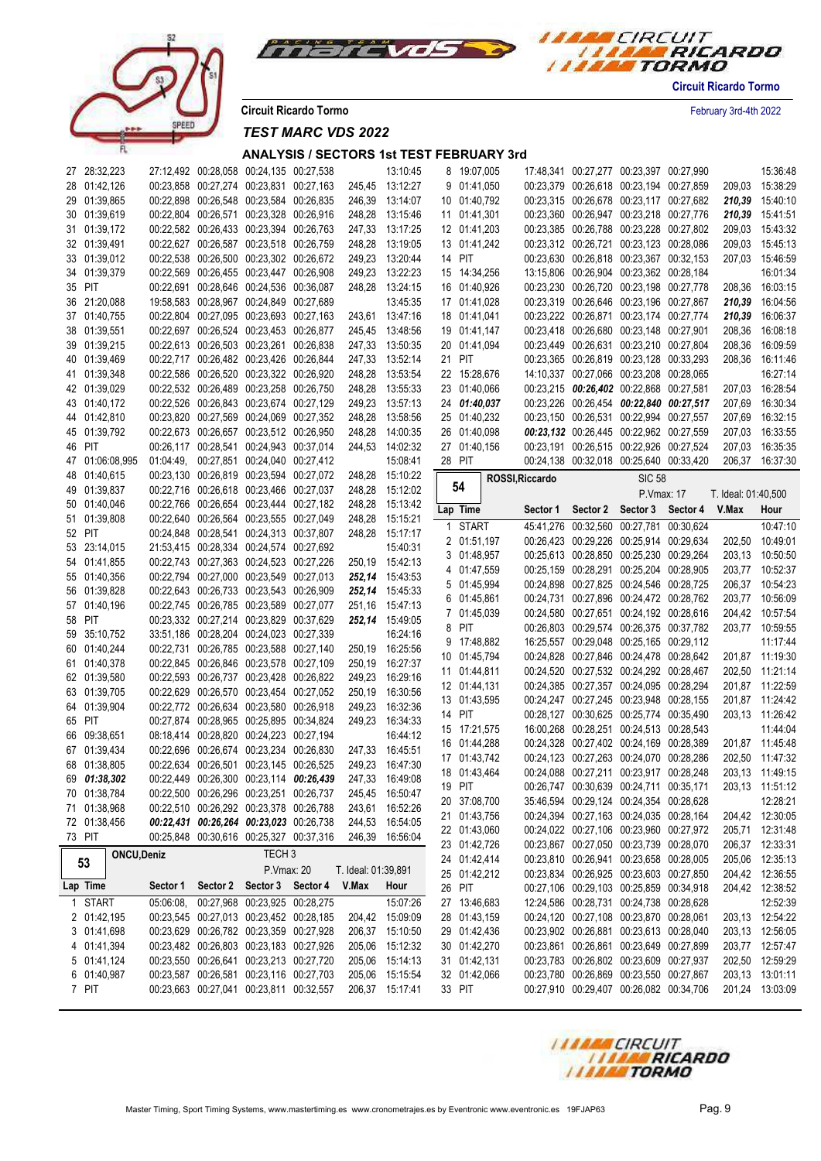

peer

*TEST MARC VDS 2022*

| 27 28:32,223             |           | 27:12,492 00:28,058 00:24,135 00:27,538                                            |                     | 13:10:45        | 8 19:07,005                  |                 | 17:48,341 00:27,277 00:23,397 00:27,990                                            |                     | 15:36:48        |
|--------------------------|-----------|------------------------------------------------------------------------------------|---------------------|-----------------|------------------------------|-----------------|------------------------------------------------------------------------------------|---------------------|-----------------|
| 28 01:42,126             |           | 00:23,858 00:27,274 00:23,831 00:27,163                                            |                     | 245,45 13:12:27 | 9 01:41,050                  |                 | 00:23,379 00:26,618 00:23,194 00:27,859                                            | 209,03              | 15:38:29        |
| 29 01:39,865             |           | 00:22,898 00:26,548 00:23,584 00:26,835                                            |                     | 246,39 13:14:07 | 10 01:40,792                 |                 | 00:23,315 00:26,678 00:23,117 00:27,682                                            |                     | 210,39 15:40:10 |
| 30 01:39,619             |           | 00:22,804 00:26,571 00:23,328 00:26,916                                            |                     | 248,28 13:15:46 | 11 01:41,301                 |                 | 00:23,360 00:26,947 00:23,218 00:27,776                                            |                     | 210,39 15:41:51 |
| 31 01:39,172             |           | 00:22,582 00:26,433 00:23,394 00:26,763                                            |                     | 247,33 13:17:25 | 12 01:41,203                 |                 | 00:23,385 00:26,788 00:23,228 00:27,802                                            |                     | 209,03 15:43:32 |
| 32 01:39,491             |           | 00:22,627 00:26,587 00:23,518 00:26,759                                            |                     | 248,28 13:19:05 | 13 01:41,242                 |                 | 00:23,312 00:26,721 00:23,123 00:28,086                                            | 209,03              | 15:45:13        |
| 33 01:39,012             |           | 00:22,538 00:26,500 00:23,302 00:26,672                                            |                     | 249,23 13:20:44 | 14 PIT                       |                 | 00:23,630 00:26,818 00:23,367 00:32,153                                            |                     | 207,03 15:46:59 |
| 34 01:39,379             |           | 00:22,569 00:26,455 00:23,447 00:26,908                                            |                     | 249,23 13:22:23 | 15 14:34,256                 |                 | 13:15,806 00:26,904 00:23,362 00:28,184                                            |                     | 16:01:34        |
| 35 PIT                   |           | 00:22,691 00:28,646 00:24,536 00:36,087                                            |                     | 248,28 13:24:15 | 16 01:40,926                 |                 | 00:23,230 00:26,720 00:23,198 00:27,778                                            |                     | 16:03:15        |
|                          |           |                                                                                    |                     |                 |                              |                 |                                                                                    | 208,36              |                 |
| 36 21:20,088             |           | 19:58,583 00:28,967 00:24,849 00:27,689                                            |                     | 13:45:35        | 17 01:41,028                 |                 | 00:23,319 00:26,646 00:23,196 00:27,867                                            | 210,39              | 16:04:56        |
| 37 01:40,755             |           | 00:22,804 00:27,095 00:23,693 00:27,163                                            |                     | 243,61 13:47:16 | 18 01:41,041                 |                 | 00:23,222 00:26,871 00:23,174 00:27,774                                            | 210,39              | 16:06:37        |
| 38 01:39,551             |           | 00:22,697 00:26,524 00:23,453 00:26,877                                            |                     | 245,45 13:48:56 | 19 01:41,147                 |                 | 00:23,418 00:26,680 00:23,148 00:27,901                                            | 208,36              | 16:08:18        |
| 39 01:39,215             |           | 00:22,613 00:26,503 00:23,261 00:26,838                                            |                     | 247,33 13:50:35 | 20 01:41,094                 |                 | 00:23,449 00:26,631 00:23,210 00:27,804                                            | 208,36              | 16:09:59        |
| 40 01:39,469             |           | 00:22,717 00:26,482 00:23,426 00:26,844                                            |                     | 247,33 13:52:14 | 21 PIT                       |                 | 00:23,365 00:26,819 00:23,128 00:33,293                                            | 208,36              | 16:11:46        |
| 41 01:39,348             |           | 00:22,586 00:26,520 00:23,322 00:26,920                                            |                     | 248,28 13:53:54 | 22 15:28,676                 |                 | 14:10,337 00:27,066 00:23,208 00:28,065                                            |                     | 16:27:14        |
| 42 01:39,029             |           | 00:22,532 00:26,489 00:23,258 00:26,750                                            | 248,28              | 13:55:33        | 23 01:40,066                 |                 | 00:23,215 00:26,402 00:22,868 00:27,581                                            |                     | 207,03 16:28:54 |
| 43 01:40,172             |           | 00:22,526 00:26,843 00:23,674 00:27,129                                            | 249,23              | 13:57:13        | 24 01:40,037                 |                 | 00:23,226 00:26,454 00:22,840 00:27,517                                            | 207,69              | 16:30:34        |
| 44 01:42,810             |           | 00:23,820 00:27,569 00:24,069 00:27,352                                            | 248,28              | 13:58:56        | 25 01:40,232                 |                 | 00:23,150 00:26,531 00:22,994 00:27,557                                            | 207,69              | 16:32:15        |
| 45 01:39,792             |           | 00:22,673 00:26,657 00:23,512 00:26,950                                            |                     | 248,28 14:00:35 | 26 01:40,098                 |                 | 00:23,132 00:26,445 00:22,962 00:27,559                                            | 207,03              | 16:33:55        |
| 46 PIT                   |           | 00:26,117 00:28,541 00:24,943 00:37,014                                            |                     | 244.53 14:02:32 | 27 01:40,156                 |                 | 00:23,191 00:26,515 00:22,926 00:27,524                                            | 207,03              | 16:35:35        |
| 47 01:06:08.995          |           | 01:04:49, 00:27,851 00:24,040 00:27,412                                            |                     | 15:08:41        | 28 PIT                       |                 | 00:24,138 00:32,018 00:25,640 00:33,420                                            |                     | 206,37 16:37:30 |
| 48 01:40,615             |           | 00:23,130 00:26,819 00:23,594 00:27,072                                            |                     | 248,28 15:10:22 |                              | ROSSI, Riccardo | <b>SIC 58</b>                                                                      |                     |                 |
| 49 01:39,837             |           | 00:22,716 00:26,618 00:23,466 00:27,037                                            |                     | 248,28 15:12:02 | 54                           |                 |                                                                                    |                     |                 |
| 50 01:40,046             |           | 00:22,766 00:26,654 00:23,444 00:27,182                                            |                     | 248,28 15:13:42 |                              |                 | P.Vmax: 17                                                                         | T. Ideal: 01:40,500 |                 |
| 51 01:39,808             |           | 00:22,640 00:26,564 00:23,555 00:27,049                                            |                     | 248,28 15:15:21 | Lap Time                     |                 | Sector 1 Sector 2 Sector 3 Sector 4 V.Max                                          |                     | Hour            |
| 52 PIT                   |           | 00:24,848 00:28,541 00:24,313 00:37,807                                            |                     | 248,28 15:17:17 | 1 START                      |                 | 45:41,276 00:32,560 00:27,781 00:30,624                                            |                     | 10:47:10        |
| 53 23:14,015             |           | 21:53,415 00:28,334 00:24,574 00:27,692                                            |                     | 15:40:31        | 2 01:51,197                  |                 | 00:26,423 00:29,226 00:25,914 00:29,634                                            | 202,50              | 10:49:01        |
|                          |           | 00:22,743 00:27,363 00:24,523 00:27,226                                            |                     | 250,19 15:42:13 | 3 01:48,957                  |                 | 00:25,613 00:28,850 00:25,230 00:29,264                                            |                     | 203,13 10:50:50 |
| 54 01:41,855             |           |                                                                                    |                     |                 | 4 01:47,559                  |                 | 00:25,159 00:28,291 00:25,204 00:28,905                                            |                     | 203,77 10:52:37 |
| 55 01:40,356             |           | 00:22,794 00:27,000 00:23,549 00:27,013                                            |                     | 252,14 15:43:53 | 5 01:45,994                  |                 | 00:24,898 00:27,825 00:24,546 00:28,725                                            |                     | 206,37 10:54:23 |
| 56 01:39,828             |           | 00:22,643 00:26,733 00:23,543 00:26,909                                            |                     | 252,14 15:45:33 | 6 01:45,861                  |                 | 00:24,731 00:27,896 00:24,472 00:28,762                                            |                     | 203,77 10:56:09 |
| 57 01:40,196             |           | 00:22,745 00:26,785 00:23,589 00:27,077                                            |                     | 251,16 15:47:13 | 7 01:45,039                  |                 | 00:24,580 00:27,651 00:24,192 00:28,616                                            |                     | 204,42 10:57:54 |
| 58 PIT                   |           | 00:23,332 00:27,214 00:23,829 00:37,629                                            |                     | 252,14 15:49:05 | 8 PIT                        |                 | 00:26,803 00:29,574 00:26,375 00:37,782                                            |                     | 203,77 10:59:55 |
| 59 35:10,752             |           | 33:51,186 00:28,204 00:24,023 00:27,339                                            |                     | 16:24:16        | 9 17:48,882                  |                 | 16:25,557 00:29,048 00:25,165 00:29,112                                            |                     | 11:17:44        |
| 60 01:40,244             |           | 00:22,731 00:26,785 00:23,588 00:27,140                                            |                     | 250,19 16:25:56 | 10 01:45,794                 |                 | 00:24,828 00:27,846 00:24,478 00:28,642                                            |                     | 201,87 11:19:30 |
| 61 01:40,378             |           | 00:22,845 00:26,846 00:23,578 00:27,109                                            |                     | 250,19 16:27:37 | 11 01:44,811                 |                 | 00:24,520 00:27,532 00:24,292 00:28,467                                            |                     | 202,50 11:21:14 |
| 62 01:39,580             |           | 00:22,593 00:26,737 00:23,428 00:26,822                                            |                     | 249,23 16:29:16 |                              |                 | 00:24,385 00:27,357 00:24,095 00:28,294                                            |                     | 201,87 11:22:59 |
| 63 01:39,705             |           | 00:22,629 00:26,570 00:23,454 00:27,052                                            |                     | 250,19 16:30:56 | 12 01:44,131                 |                 |                                                                                    |                     |                 |
| 64 01:39,904             |           | 00:22,772 00:26,634 00:23,580 00:26,918                                            | 249,23              | 16:32:36        | 13 01:43,595                 |                 | 00:24,247 00:27,245 00:23,948 00:28,155                                            |                     | 201,87 11:24:42 |
| 65 PIT                   |           | 00:27,874 00:28,965 00:25,895 00:34,824                                            |                     | 249,23 16:34:33 | 14 PIT                       |                 | 00:28,127 00:30,625 00:25,774 00:35,490                                            |                     | 203,13 11:26:42 |
| 66 09:38,651             |           | 08:18,414 00:28,820 00:24,223 00:27,194                                            |                     | 16:44:12        | 15 17:21,575                 |                 | 16:00,268 00:28,251 00:24,513 00:28,543                                            |                     | 11:44:04        |
| 67 01:39,434             |           | 00:22,696 00:26,674 00:23,234 00:26,830                                            |                     | 247,33 16:45:51 | 16 01:44,288                 |                 | 00:24,328 00:27,402 00:24,169 00:28,389                                            |                     | 201,87 11:45:48 |
| 68 01:38,805             |           | 00:22,634 00:26,501 00:23,145 00:26,525                                            | 249,23              | 16:47:30        | 17 01:43,742                 |                 | 00:24,123 00:27,263 00:24,070 00:28,286                                            |                     | 202,50 11:47:32 |
| 69 01:38,302             |           | 00:22,449 00:26,300 00:23,114 00:26,439                                            |                     | 247,33 16:49:08 | 18 01:43,464                 |                 | 00:24,088 00:27,211 00:23,917 00:28,248                                            |                     | 203,13 11:49:15 |
| 70 01:38,784             |           | 00:22,500 00:26,296 00:23,251 00:26,737                                            |                     | 245,45 16:50:47 | 19 PIT                       |                 | 00:26,747 00:30,639 00:24,711 00:35,171                                            |                     | 203,13 11:51:12 |
| 71 01:38,968             |           | 00:22,510 00:26,292 00:23,378 00:26,788                                            |                     | 243,61 16:52:26 | 20 37:08,700                 |                 | 35:46,594 00:29,124 00:24,354 00:28,628                                            |                     | 12:28:21        |
|                          |           | 00:22,431 00:26,264 00:23,023 00:26,738                                            |                     |                 | 21 01:43,756                 |                 | 00:24,394 00:27,163 00:24,035 00:28,164                                            |                     | 204,42 12:30:05 |
| 72 01:38,456             |           |                                                                                    |                     | 244,53 16:54:05 | 22 01:43,060                 |                 | 00:24,022 00:27,106 00:23,960 00:27,972                                            |                     | 205,71 12:31:48 |
| 73 PIT                   |           | 00:25,848 00:30,616 00:25,327 00:37,316                                            |                     | 246,39 16:56:04 | 23 01:42,726                 |                 | 00:23,867 00:27,050 00:23,739 00:28,070                                            |                     | 206,37 12:33:31 |
| <b>ONCU, Deniz</b><br>53 |           | TECH <sub>3</sub>                                                                  |                     |                 | 24 01:42,414                 |                 | 00:23,810 00:26,941 00:23,658 00:28,005                                            |                     | 205,06 12:35:13 |
|                          |           | P.Vmax: 20                                                                         | T. Ideal: 01:39,891 |                 | 25 01:42,212                 |                 | 00:23,834 00:26,925 00:23,603 00:27,850                                            |                     | 204,42 12:36:55 |
| Lap Time                 | Sector 1  | Sector 2 Sector 3 Sector 4                                                         | V.Max               | Hour            | 26 PIT                       |                 | 00:27,106 00:29,103 00:25,859 00:34,918                                            |                     | 204,42 12:38:52 |
| 1 START                  | 05:06:08, | 00:27,968 00:23,925 00:28,275                                                      |                     | 15:07:26        | 27 13:46,683                 |                 | 12:24,586 00:28,731 00:24,738 00:28,628                                            |                     | 12:52:39        |
| 2 01:42,195              |           | 00:23,545 00:27,013 00:23,452 00:28,185                                            |                     | 204,42 15:09:09 | 28 01:43,159                 |                 | 00:24,120 00:27,108 00:23,870 00:28,061                                            |                     | 203,13 12:54:22 |
| 3 01:41,698              |           | 00:23,629 00:26,782 00:23,359 00:27,928                                            |                     | 206,37 15:10:50 | 29 01:42,436                 |                 | 00:23,902 00:26,881 00:23,613 00:28,040                                            |                     | 203,13 12:56:05 |
|                          |           |                                                                                    |                     | 205,06 15:12:32 |                              |                 |                                                                                    |                     |                 |
| 4 01:41,394              |           | 00:23,482 00:26,803 00:23,183 00:27,926<br>00:23,550 00:26,641 00:23,213 00:27,720 |                     | 205,06 15:14:13 | 30 01:42,270<br>31 01:42,131 |                 | 00:23,861 00:26,861 00:23,649 00:27,899<br>00:23,783 00:26,802 00:23,609 00:27,937 |                     | 203,77 12:57:47 |
|                          |           |                                                                                    |                     |                 |                              |                 |                                                                                    |                     | 202,50 12:59:29 |
| 5 01:41,124              |           |                                                                                    |                     |                 |                              |                 |                                                                                    |                     |                 |
| 6 01:40,987              |           | 00:23,587 00:26,581 00:23,116 00:27,703                                            |                     | 205,06 15:15:54 | 32 01:42,066                 |                 | 00:23,780 00:26,869 00:23,550 00:27,867                                            |                     | 203,13 13:01:11 |
| 7 PIT                    |           | 00:23,663 00:27,041 00:23,811 00:32,557                                            |                     | 206,37 15:17:41 | 33 PIT                       |                 | 00:27,910 00:29,407 00:26,082 00:34,706                                            |                     | 201,24 13:03:09 |

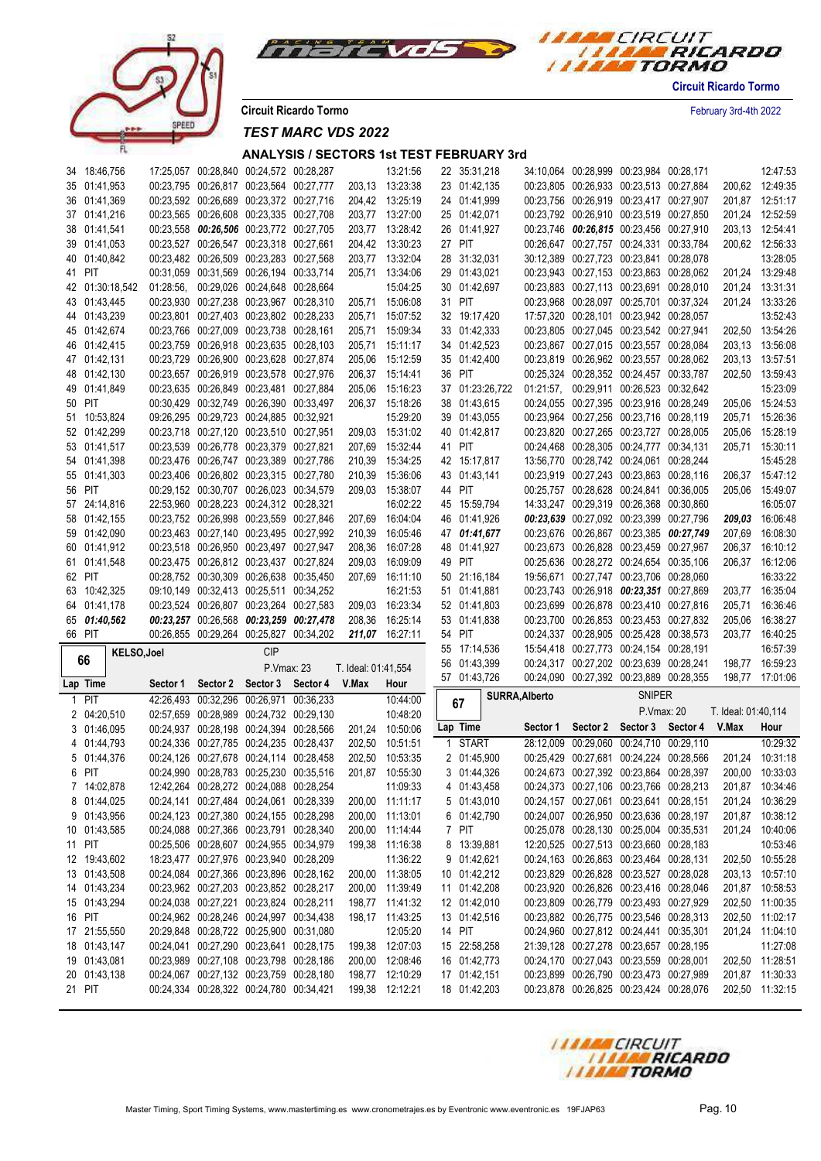



**Circuit Ricardo Tormo** February 3rd-4th 2022

*TEST MARC VDS 2022*

| 34 18:46,756           |           | 17:25,057 00:28,840 00:24,572 00:28,287                                            |             |                     | 13:21:56                           | 22 35:31,218                 |                | 34:10,064 00:28,999 00:23,984 00:28,171                                            |               |                                         |                     | 12:47:53                           |
|------------------------|-----------|------------------------------------------------------------------------------------|-------------|---------------------|------------------------------------|------------------------------|----------------|------------------------------------------------------------------------------------|---------------|-----------------------------------------|---------------------|------------------------------------|
| 35 01:41,953           |           | 00:23,795 00:26,817 00:23,564 00:27,777                                            |             |                     | 203,13 13:23:38                    | 23 01:42,135                 |                | 00:23,805 00:26,933 00:23,513 00:27,884                                            |               |                                         |                     | 200,62 12:49:35                    |
| 36 01:41,369           |           | 00:23,592 00:26,689 00:23,372 00:27,716                                            |             |                     | 204,42 13:25:19                    | 24 01:41,999                 |                | 00:23,756 00:26,919 00:23,417 00:27,907                                            |               |                                         |                     | 201,87 12:51:17                    |
| 37 01:41.216           |           | 00:23,565 00:26,608 00:23,335 00:27,708                                            |             |                     | 203,77 13:27:00                    | 25 01:42,071                 |                | 00:23,792 00:26,910 00:23,519 00:27,850                                            |               |                                         |                     | 201,24 12:52:59                    |
| 38 01:41,541           |           | 00:23,558 00:26,506 00:23,772 00:27,705                                            |             |                     | 203,77 13:28:42                    | 26 01:41,927                 |                | 00:23,746 00:26,815 00:23,456 00:27,910                                            |               |                                         |                     | 203,13 12:54:41                    |
| 39 01:41,053           |           | 00:23,527 00:26,547 00:23,318 00:27,661                                            |             |                     | 204,42 13:30:23                    | 27 PIT                       |                | 00:26,647 00:27,757 00:24,331 00:33,784                                            |               |                                         |                     | 200.62 12:56:33                    |
| 40 01:40,842           |           | 00:23,482 00:26,509 00:23,283 00:27,568                                            |             |                     | 203,77 13:32:04                    | 28 31:32,031                 |                | 30:12,389 00:27,723 00:23,841 00:28,078                                            |               |                                         |                     | 13:28:05                           |
| 41 PIT                 |           | 00:31,059 00:31,569 00:26,194 00:33,714                                            |             | 205,71              | 13:34:06                           | 29 01:43,021                 |                | 00:23,943 00:27,153 00:23,863 00:28,062                                            |               |                                         |                     | 201,24 13:29:48                    |
| 42 01:30:18,542        |           | 01:28:56, 00:29,026 00:24,648 00:28,664                                            |             |                     | 15:04:25                           | 30 01:42,697                 |                | 00:23,883 00:27,113 00:23,691 00:28,010                                            |               |                                         |                     | 201,24 13:31:31                    |
| 43 01:43,445           |           | 00:23,930 00:27,238 00:23,967 00:28,310                                            |             |                     | 205,71 15:06:08                    | 31 PIT                       |                | 00:23,968 00:28,097 00:25,701 00:37,324                                            |               |                                         |                     | 201,24 13:33:26                    |
| 44 01:43,239           |           | 00:23,801 00:27,403 00:23,802 00:28,233                                            |             | 205,71              | 15:07:52                           | 32 19:17,420                 |                | 17:57,320 00:28,101 00:23,942 00:28,057                                            |               |                                         |                     | 13:52:43                           |
| 45 01:42,674           |           | 00:23,766 00:27,009 00:23,738 00:28,161                                            |             | 205,71              | 15:09:34                           | 33 01:42,333                 |                | 00:23,805 00:27,045 00:23,542 00:27,941                                            |               |                                         |                     | 202.50 13:54:26                    |
| 46 01:42.415           |           | 00:23,759 00:26,918 00:23,635 00:28,103                                            |             | 205,71              | 15:11:17                           | 34 01:42,523                 |                | 00:23,867 00:27,015 00:23,557 00:28,084                                            |               |                                         |                     | 203,13 13:56:08                    |
| 47 01:42,131           |           | 00:23,729 00:26,900 00:23,628 00:27,874                                            |             | 205,06              | 15:12:59                           | 35 01:42,400                 |                | 00:23,819 00:26,962 00:23,557 00:28,062                                            |               |                                         |                     | 203,13 13:57:51                    |
| 48 01:42,130           |           | 00:23,657 00:26,919 00:23,578 00:27,976                                            |             |                     | 206,37 15:14:41                    | 36 PIT                       |                | 00:25,324 00:28,352 00:24,457 00:33,787                                            |               |                                         |                     | 202,50 13:59:43                    |
| 49 01:41,849           |           | 00:23,635 00:26,849 00:23,481 00:27,884                                            |             | 205,06              | 15:16:23                           | 37 01:23:26,722              |                | 01:21:57, 00:29,911 00:26,523 00:32,642                                            |               |                                         |                     | 15:23:09                           |
| 50 PIT                 |           | 00:30,429 00:32,749 00:26,390 00:33,497                                            |             |                     | 206,37 15:18:26                    | 38 01:43,615                 |                | 00:24,055 00:27,395 00:23,916 00:28,249                                            |               |                                         | 205,06              | 15:24:53                           |
| 51 10:53,824           |           | 09:26,295 00:29,723 00:24,885 00:32,921                                            |             |                     | 15:29:20                           | 39 01:43,055                 |                | 00:23,964 00:27,256 00:23,716 00:28,119                                            |               |                                         | 205,71              | 15:26:36                           |
| 52 01:42,299           |           | 00:23,718 00:27,120 00:23,510 00:27,951                                            |             |                     | 209,03 15:31:02                    | 40 01:42,817                 |                | 00:23,820 00:27,265 00:23,727 00:28,005                                            |               |                                         | 205,06              | 15:28:19                           |
| 53 01:41,517           |           | 00:23,539 00:26,778 00:23,379 00:27,821                                            |             | 207,69              | 15:32:44                           | 41 PIT                       |                | 00:24,468 00:28,305 00:24,777 00:34,131                                            |               |                                         | 205,71              | 15:30:11                           |
| 54 01:41,398           |           | 00:23,476 00:26,747 00:23,389 00:27,786                                            |             | 210,39              | 15:34:25                           | 42 15:17,817                 |                | 13:56,770 00:28,742 00:24,061 00:28,244                                            |               |                                         |                     | 15:45:28                           |
| 55 01:41,303           |           | 00:23,406 00:26,802 00:23,315 00:27,780                                            |             | 210,39              | 15:36:06                           | 43 01:43,141                 |                | 00:23,919 00:27,243 00:23,863 00:28,116                                            |               |                                         |                     | 206,37 15:47:12                    |
| 56 PIT                 |           | 00:29,152 00:30,707 00:26,023 00:34,579                                            |             | 209,03              | 15:38:07                           | 44 PIT                       |                | 00:25.757 00:28.628 00:24.841 00:36.005                                            |               |                                         | 205,06              | 15:49:07                           |
| 57 24:14,816           |           | 22:53,960 00:28,223 00:24,312 00:28,321                                            |             |                     | 16:02:22                           | 45 15:59,794                 |                | 14:33,247 00:29,319 00:26,368 00:30,860                                            |               |                                         |                     | 16:05:07                           |
| 58 01:42,155           |           | 00:23,752 00:26,998 00:23,559 00:27,846                                            |             | 207,69              | 16:04:04                           | 46 01:41,926                 |                | 00:23,639 00:27,092 00:23,399 00:27,796                                            |               |                                         |                     | 209,03 16:06:48                    |
| 59 01:42,090           |           | 00:23,463 00:27,140 00:23,495 00:27,992                                            |             | 210,39              | 16:05:46                           | 47 01:41,677                 |                | 00:23,676 00:26,867 00:23,385 00:27,749                                            |               |                                         | 207,69              | 16:08:30                           |
| 60 01:41,912           |           | 00:23,518 00:26,950 00:23,497 00:27,947                                            |             | 208,36              | 16:07:28                           | 48 01:41,927                 |                | 00:23,673 00:26,828 00:23,459 00:27,967                                            |               |                                         | 206,37              | 16:10:12                           |
| 61 01:41,548           |           | 00:23,475 00:26,812 00:23,437 00:27,824                                            |             | 209,03              | 16:09:09                           | 49 PIT                       |                | 00:25,636 00:28,272 00:24,654 00:35,106                                            |               |                                         |                     | 206,37 16:12:06                    |
|                        |           |                                                                                    |             |                     |                                    |                              |                |                                                                                    |               |                                         |                     |                                    |
| 62 PIT                 |           | 00:28,752 00:30,309 00:26,638 00:35,450                                            |             | 207,69              | 16:11:10                           | 50 21:16,184                 |                |                                                                                    |               | 19:56,671 00:27,747 00:23,706 00:28,060 |                     | 16:33:22                           |
| 63 10:42,325           |           | 09:10,149 00:32,413 00:25,511 00:34,252                                            |             |                     | 16:21:53                           | 51 01:41,881                 |                | 00:23,743 00:26,918 00:23,351 00:27,869                                            |               |                                         |                     | 203,77 16:35:04                    |
| 64 01:41,178           |           | 00:23,524 00:26,807 00:23,264 00:27,583                                            |             | 209,03              | 16:23:34                           | 52 01:41,803                 |                | 00:23,699 00:26,878 00:23,410 00:27,816                                            |               |                                         | 205,71              | 16:36:46                           |
| 65 01:40,562           |           | 00:23,257 00:26,568 00:23,259 00:27,478                                            |             |                     | 208,36 16:25:14                    | 53 01:41,838                 |                | 00:23,700 00:26,853 00:23,453 00:27,832                                            |               |                                         | 205,06              | 16:38:27                           |
| 66 PIT                 |           | 00:26,855 00:29,264 00:25,827 00:34,202                                            |             |                     | 211,07 16:27:11                    | 54 PIT                       |                | 00:24,337 00:28,905 00:25,428 00:38,573                                            |               |                                         | 203,77              | 16:40:25                           |
|                        |           |                                                                                    | <b>CIP</b>  |                     |                                    | 55 17:14,536                 |                | 15:54,418 00:27,773 00:24,154 00:28,191                                            |               |                                         |                     | 16:57:39                           |
| KELSO, Joel<br>66      |           |                                                                                    |             |                     |                                    | 56 01:43,399                 |                | 00:24,317 00:27,202 00:23,639 00:28,241                                            |               |                                         |                     | 198,77 16:59:23                    |
|                        |           |                                                                                    | P. Vmax: 23 | T. Ideal: 01:41,554 |                                    | 57 01:43,726                 |                | 00:24,090 00:27,392 00:23,889 00:28,355                                            |               |                                         | 198,77              | 17:01:06                           |
| Lap Time               | Sector 1  | Sector 2 Sector 3 Sector 4 V.Max                                                   |             |                     | Hour                               |                              | SURRA, Alberto |                                                                                    | <b>SNIPER</b> |                                         |                     |                                    |
| 1 PIT                  | 42:26,493 | 00:32,296 00:26,971 00:36,233                                                      |             |                     | 10:44:00                           | 67                           |                |                                                                                    | P.Vmax: 20    |                                         | T. Ideal: 01:40,114 |                                    |
| 2 04:20,510            |           | 02:57,659 00:28,989 00:24,732 00:29,130                                            |             |                     | 10:48:20                           | Lap Time                     | Sector 1       |                                                                                    |               | Sector 2 Sector 3 Sector 4 V.Max        |                     | Hour                               |
| 3 01:46,095            |           | 00:24,937 00:28,198 00:24,394 00:28,566                                            |             |                     | 201,24 10:50:06                    |                              |                |                                                                                    |               |                                         |                     |                                    |
| 4 01:44,793            |           | 00:24,336 00:27,785 00:24,235 00:28,437                                            |             | 202,50              | 10:51:51                           | 1 START                      |                | 28:12,009 00:29,060 00:24,710 00:29,110                                            |               |                                         |                     | 10:29:32                           |
| 5 01:44.376            |           | 00:24,126 00:27,678 00:24,114 00:28,458                                            |             | 202.50              | 10:53:35                           | 2 01:45,900                  |                | 00:25,429 00:27,681 00:24,224 00:28,566                                            |               |                                         |                     | 201,24 10:31:18                    |
| 6 PIT                  |           | 00:24,990 00:28,783 00:25,230 00:35,516                                            |             |                     | 201.87 10:55:30                    | 3 01:44,326                  |                | 00:24,673 00:27,392 00:23,864 00:28,397                                            |               |                                         |                     | 200.00 10:33:03                    |
| 7 14:02,878            |           | 12:42,264 00:28,272 00:24,088 00:28,254                                            |             |                     | 11:09:33                           | 4 01:43,458                  |                | 00:24,373 00:27,106 00:23,766 00:28,213                                            |               |                                         |                     | 201,87 10:34:46                    |
| 8 01:44,025            |           | 00:24,141 00:27,484 00:24,061 00:28,339                                            |             |                     | 200,00 11:11:17                    | 5 01:43,010                  |                | 00:24,157 00:27,061 00:23,641 00:28,151                                            |               |                                         |                     | 201,24 10:36:29                    |
| 9 01:43,956            |           | 00:24,123 00:27,380 00:24,155 00:28,298                                            |             |                     | 200,00 11:13:01                    | 6 01:42,790                  |                | 00:24,007 00:26,950 00:23,636 00:28,197                                            |               |                                         |                     | 201,87 10:38:12                    |
| 10 01:43,585           |           | 00:24,088 00:27,366 00:23,791 00:28,340                                            |             |                     | 200,00 11:14:44                    | 7 PIT                        |                | 00:25,078 00:28,130 00:25,004 00:35,531                                            |               |                                         |                     | 201,24 10:40:06                    |
| 11 PIT                 |           | 00:25,506 00:28,607 00:24,955 00:34,979                                            |             |                     | 199,38 11:16:38                    | 8 13:39,881                  |                | 12:20,525 00:27,513 00:23,660 00:28,183                                            |               |                                         |                     | 10:53:46                           |
| 12 19:43,602           |           | 18:23,477 00:27,976 00:23,940 00:28,209                                            |             |                     | 11:36:22                           | 9 01:42,621                  |                | 00:24,163 00:26,863 00:23,464 00:28,131                                            |               |                                         |                     | 202,50 10:55:28                    |
| 13 01:43,508           |           | 00:24,084 00:27,366 00:23,896 00:28,162                                            |             |                     | 200,00 11:38:05                    | 10 01:42,212                 |                | 00:23,829 00:26,828 00:23,527 00:28,028                                            |               |                                         |                     | 203,13 10:57:10                    |
| 14 01:43,234           |           | 00:23,962 00:27,203 00:23,852 00:28,217                                            |             |                     | 200,00 11:39:49                    | 11 01:42,208                 |                | 00:23,920 00:26,826 00:23,416 00:28,046                                            |               |                                         |                     | 201,87 10:58:53                    |
| 15 01:43,294           |           | 00:24,038 00:27,221 00:23,824 00:28,211                                            |             |                     | 198,77 11:41:32                    | 12 01:42,010                 |                | 00:23,809 00:26,779 00:23,493 00:27,929                                            |               |                                         |                     | 202,50 11:00:35                    |
| 16 PIT                 |           | 00:24,962 00:28,246 00:24,997 00:34,438                                            |             |                     | 198,17 11:43:25                    | 13 01:42,516                 |                | 00:23,882 00:26,775 00:23,546 00:28,313                                            |               |                                         |                     | 202,50 11:02:17                    |
| 17 21:55,550           |           | 20:29.848 00:28.722 00:25.900 00:31.080                                            |             |                     | 12:05:20                           | 14 PIT                       |                | 00:24,960 00:27,812 00:24,441 00:35,301                                            |               |                                         |                     | 201,24 11:04:10                    |
| 18 01:43,147           |           | 00:24,041 00:27,290 00:23,641 00:28,175                                            |             |                     | 199,38 12:07:03                    | 15 22:58,258                 |                | 21:39,128 00:27,278 00:23,657 00:28,195                                            |               |                                         |                     | 11:27:08                           |
| 19 01:43,081           |           | 00:23,989 00:27,108 00:23,798 00:28,186                                            |             |                     | 200,00 12:08:46                    | 16 01:42,773                 |                | 00:24,170 00:27,043 00:23,559 00:28,001                                            |               |                                         |                     | 202,50 11:28:51                    |
| 20 01:43,138<br>21 PIT |           | 00:24,067 00:27,132 00:23,759 00:28,180<br>00:24,334 00:28,322 00:24,780 00:34,421 |             |                     | 198,77 12:10:29<br>199,38 12:12:21 | 17 01:42,151<br>18 01:42,203 |                | 00:23,899 00:26,790 00:23,473 00:27,989<br>00:23,878 00:26,825 00:23,424 00:28,076 |               |                                         |                     | 201,87 11:30:33<br>202,50 11:32:15 |

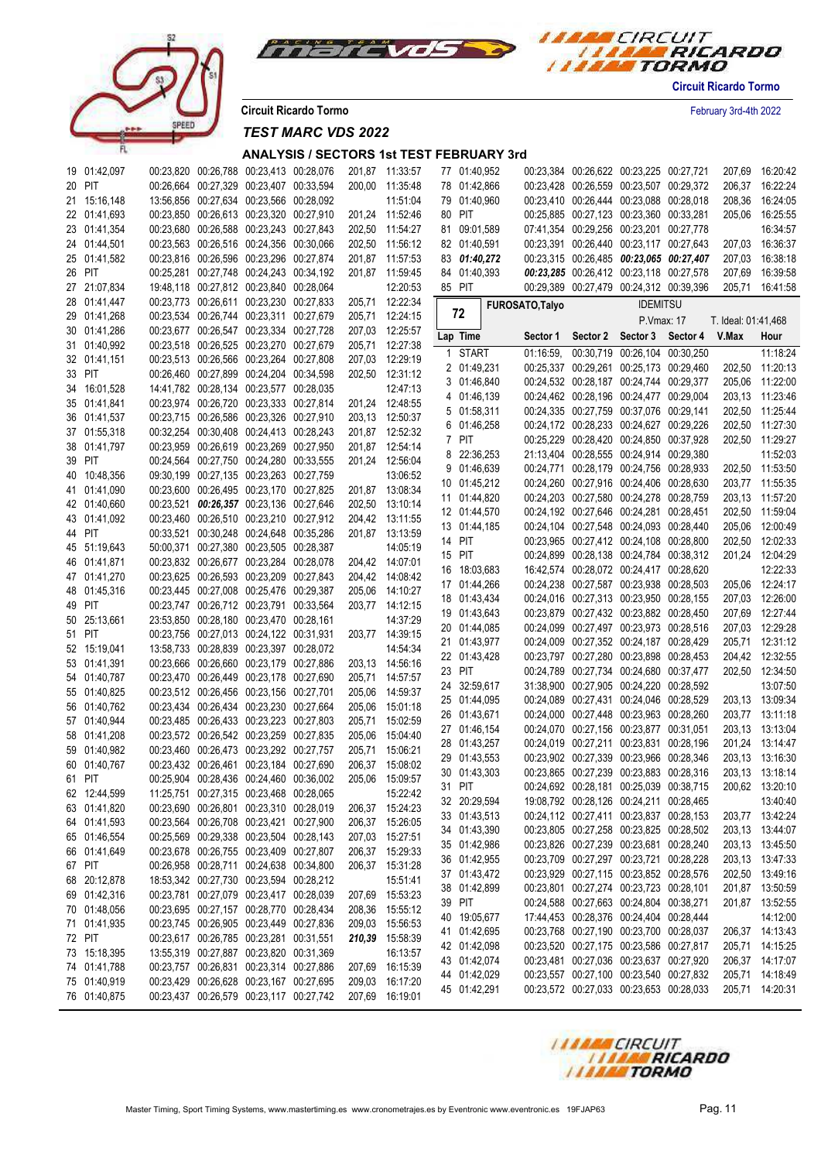



**Circuit Ricardo Tormo** February 3rd-4th 2022

*TEST MARC VDS 2022*

| 19 01:42,097 |  | 00:23,820 00:26,788 00:23,413 00:28,076 |                                         |        | 201,87 11:33:57 | 77 01:40,952 |                 | 00:23,384 00:26,622 00:23,225 00:27,721 | 207,69              | 16:20:42        |
|--------------|--|-----------------------------------------|-----------------------------------------|--------|-----------------|--------------|-----------------|-----------------------------------------|---------------------|-----------------|
| 20 PIT       |  | 00:26,664 00:27,329 00:23,407 00:33,594 |                                         |        | 200,00 11:35:48 | 78 01:42,866 |                 | 00:23,428 00:26,559 00:23,507 00:29,372 | 206,37              | 16:22:24        |
| 21 15:16,148 |  | 13:56,856 00:27,634 00:23,566 00:28,092 |                                         |        | 11:51:04        | 79 01:40,960 |                 | 00:23,410 00:26,444 00:23,088 00:28,018 | 208,36              | 16:24:05        |
| 22 01:41,693 |  | 00:23,850 00:26,613 00:23,320 00:27,910 |                                         |        | 201,24 11:52:46 | 80 PIT       |                 | 00:25,885 00:27,123 00:23,360 00:33,281 | 205,06              | 16:25:55        |
| 23 01:41,354 |  | 00:23,680 00:26,588 00:23,243 00:27,843 |                                         |        | 202,50 11:54:27 | 81 09:01,589 |                 | 07:41,354 00:29,256 00:23,201 00:27,778 |                     | 16:34:57        |
| 24 01:44,501 |  | 00:23,563 00:26,516 00:24,356 00:30,066 |                                         |        | 202,50 11:56:12 | 82 01:40,591 |                 | 00:23,391 00:26,440 00:23,117 00:27,643 |                     | 207,03 16:36:37 |
| 25 01:41,582 |  | 00:23,816 00:26,596 00:23,296 00:27,874 |                                         |        | 201,87 11:57:53 | 83 01:40,272 |                 | 00:23,315 00:26,485 00:23,065 00:27,407 | 207,03              | 16:38:18        |
| 26 PIT       |  | 00:25,281 00:27,748 00:24,243 00:34,192 |                                         |        | 201,87 11:59:45 | 84 01:40,393 |                 | 00:23,285 00:26,412 00:23,118 00:27,578 | 207,69              | 16:39:58        |
| 27 21:07,834 |  | 19:48,118 00:27,812 00:23,840 00:28,064 |                                         |        | 12:20:53        | 85 PIT       |                 | 00:29,389 00:27,479 00:24,312 00:39,396 |                     | 205,71 16:41:58 |
| 28 01:41,447 |  | 00:23,773 00:26,611 00:23,230 00:27,833 |                                         |        | 205,71 12:22:34 | 72           | FUROSATO, Talyo | <b>IDEMITSU</b>                         |                     |                 |
| 29 01:41,268 |  | 00:23,534 00:26,744 00:23,311 00:27,679 |                                         |        | 205,71 12:24:15 |              |                 | P.Vmax: 17                              | T. Ideal: 01:41,468 |                 |
| 30 01:41,286 |  | 00:23,677 00:26,547 00:23,334 00:27,728 |                                         |        | 207.03 12:25:57 | Lap Time     |                 | Sector 1 Sector 2 Sector 3 Sector 4     | V.Max               | Hour            |
| 31 01:40,992 |  | 00:23,518 00:26,525 00:23,270 00:27,679 |                                         | 205,71 | 12:27:38        | 1 START      | $01:16:59$ ,    | 00:30,719 00:26,104 00:30,250           |                     | 11:18:24        |
| 32 01:41,151 |  | 00:23,513 00:26,566 00:23,264 00:27,808 |                                         |        | 207,03 12:29:19 | 2 01:49,231  |                 | 00:25,337 00:29,261 00:25,173 00:29,460 |                     | 202,50 11:20:13 |
| 33 PIT       |  | 00:26,460 00:27,899 00:24,204 00:34,598 |                                         |        | 202,50 12:31:12 | 3 01:46,840  |                 | 00:24,532 00:28,187 00:24,744 00:29,377 | 205,06              | 11:22:00        |
| 34 16:01,528 |  | 14:41,782 00:28,134 00:23,577 00:28,035 |                                         |        | 12:47:13        | 4 01:46,139  |                 | 00:24,462 00:28,196 00:24,477 00:29,004 | 203,13              | 11:23:46        |
| 35 01:41,841 |  | 00:23,974 00:26,720 00:23,333 00:27,814 |                                         |        | 201,24 12:48:55 | 5 01:58,311  |                 | 00:24,335 00:27,759 00:37,076 00:29,141 | 202,50              | 11:25:44        |
| 36 01:41,537 |  | 00:23,715 00:26,586 00:23,326 00:27,910 |                                         |        | 203,13 12:50:37 | 6 01:46,258  |                 | 00:24,172 00:28,233 00:24,627 00:29,226 | 202,50              | 11:27:30        |
| 37 01:55,318 |  | 00:32,254 00:30,408 00:24,413 00:28,243 |                                         |        | 201,87 12:52:32 | 7 PIT        |                 | 00:25,229 00:28,420 00:24,850 00:37,928 | 202,50              | 11:29:27        |
| 38 01:41.797 |  | 00:23,959 00:26,619 00:23,269 00:27,950 |                                         |        | 201,87 12:54:14 | 8 22:36,253  |                 | 21:13,404 00:28,555 00:24,914 00:29,380 |                     | 11:52:03        |
| 39 PIT       |  | 00:24,564 00:27,750 00:24,280 00:33,555 |                                         |        | 201,24 12:56:04 | 9 01:46,639  |                 | 00:24,771 00:28,179 00:24,756 00:28,933 |                     | 202,50 11:53:50 |
| 40 10:48,356 |  | 09:30,199 00:27,135 00:23,263 00:27,759 |                                         |        | 13:06:52        | 10 01:45,212 |                 | 00:24,260 00:27,916 00:24,406 00:28,630 |                     | 203,77 11:55:35 |
| 41 01:41,090 |  | 00:23,600 00:26,495 00:23,170 00:27,825 |                                         |        | 201,87 13:08:34 | 11 01:44,820 |                 | 00:24,203 00:27,580 00:24,278 00:28,759 |                     | 203,13 11:57:20 |
| 42 01:40,660 |  | 00:23,521 00:26,357 00:23,136 00:27,646 |                                         |        | 202,50 13:10:14 | 12 01:44,570 |                 | 00:24,192 00:27,646 00:24,281 00:28,451 | 202,50              | 11:59:04        |
| 43 01:41,092 |  | 00:23,460 00:26,510 00:23,210 00:27,912 |                                         |        | 204,42 13:11:55 | 13 01:44,185 |                 | 00:24,104 00:27,548 00:24,093 00:28,440 | 205,06              | 12:00:49        |
| 44 PIT       |  | 00:33,521 00:30,248 00:24,648 00:35,286 |                                         |        | 201,87 13:13:59 | 14 PIT       |                 | 00:23,965 00:27,412 00:24,108 00:28,800 |                     | 202,50 12:02:33 |
| 45 51:19,643 |  | 50:00,371 00:27,380 00:23,505 00:28,387 |                                         |        | 14:05:19        | 15 PIT       |                 | 00:24,899 00:28,138 00:24,784 00:38,312 |                     | 201,24 12:04:29 |
| 46 01:41,871 |  | 00:23,832 00:26,677 00:23,284 00:28,078 |                                         |        | 204,42 14:07:01 | 16 18:03,683 |                 | 16:42,574 00:28,072 00:24,417 00:28,620 |                     | 12:22:33        |
| 47 01:41,270 |  | 00:23,625 00:26,593 00:23,209 00:27,843 |                                         |        | 204,42 14:08:42 | 17 01:44,266 |                 | 00:24,238 00:27,587 00:23,938 00:28,503 |                     | 205,06 12:24:17 |
| 48 01:45,316 |  | 00:23,445 00:27,008 00:25,476 00:29,387 |                                         |        | 205,06 14:10:27 | 18 01:43,434 |                 | 00:24,016 00:27,313 00:23,950 00:28,155 |                     | 207,03 12:26:00 |
| 49 PIT       |  | 00:23,747 00:26,712 00:23,791 00:33,564 |                                         |        | 203,77 14:12:15 | 19 01:43,643 |                 | 00:23,879 00:27,432 00:23,882 00:28,450 |                     | 207,69 12:27:44 |
| 50 25:13,661 |  | 23:53,850 00:28,180 00:23,470 00:28,161 |                                         |        | 14:37:29        | 20 01:44,085 |                 | 00:24,099 00:27,497 00:23,973 00:28,516 |                     | 207,03 12:29:28 |
| 51 PIT       |  | 00:23,756 00:27,013 00:24,122 00:31,931 |                                         |        | 203,77 14:39:15 | 21 01:43,977 |                 | 00:24,009 00:27,352 00:24,187 00:28,429 |                     | 205,71 12:31:12 |
| 52 15:19,041 |  | 13:58,733 00:28,839 00:23,397 00:28,072 |                                         |        | 14:54:34        | 22 01:43,428 |                 | 00:23,797 00:27,280 00:23,898 00:28,453 |                     | 204,42 12:32:55 |
| 53 01:41,391 |  | 00:23,666 00:26,660 00:23,179 00:27,886 |                                         |        | 203,13 14:56:16 | 23 PIT       |                 | 00:24,789 00:27,734 00:24,680 00:37,477 |                     | 202,50 12:34:50 |
| 54 01:40,787 |  | 00:23,470 00:26,449 00:23,178 00:27,690 |                                         | 205,71 | 14:57:57        | 24 32:59,617 |                 | 31:38,900 00:27,905 00:24,220 00:28,592 |                     | 13:07:50        |
| 55 01:40,825 |  | 00:23,512 00:26,456 00:23,156 00:27,701 |                                         | 205,06 | 14:59:37        | 25 01:44,095 |                 | 00:24,089 00:27,431 00:24,046 00:28,529 |                     | 203,13 13:09:34 |
| 56 01:40,762 |  | 00:23,434 00:26,434 00:23,230 00:27,664 |                                         | 205,06 | 15:01:18        | 26 01:43,671 |                 | 00:24,000 00:27,448 00:23,963 00:28,260 |                     | 203,77 13:11:18 |
| 57 01:40,944 |  | 00:23,485 00:26,433 00:23,223 00:27,803 |                                         | 205,71 | 15:02:59        | 27 01:46,154 |                 | 00:24.070 00:27.156 00:23.877 00:31.051 |                     | 203,13 13:13:04 |
| 58 01:41,208 |  | 00:23,572 00:26,542 00:23,259 00:27,835 |                                         | 205,06 | 15:04:40        | 28 01:43,257 |                 | 00:24,019 00:27,211 00:23,831 00:28,196 |                     | 201,24 13:14:47 |
| 59 01:40,982 |  | 00:23,460 00:26,473 00:23,292 00:27,757 |                                         | 205,71 | 15:06:21        | 29 01:43,553 |                 | 00:23,902 00:27,339 00:23,966 00:28,346 |                     | 203,13 13:16:30 |
| 60 01:40,767 |  | 00:23,432 00:26,461 00:23,184 00:27,690 |                                         | 206,37 | 15:08:02        | 30 01:43,303 |                 | 00:23,865 00:27,239 00:23,883 00:28,316 |                     | 203.13 13:18:14 |
| 61 PIT       |  | 00:25,904 00:28,436 00:24,460 00:36,002 |                                         |        | 205,06 15:09:57 | 31 PIT       |                 | 00:24,692 00:28,181 00:25,039 00:38,715 |                     | 200,62 13:20:10 |
| 62 12:44,599 |  | 11:25,751 00:27,315 00:23,468 00:28,065 |                                         |        | 15:22:42        | 32 20:29,594 |                 | 19:08,792 00:28,126 00:24,211 00:28,465 |                     | 13:40:40        |
| 63 01:41,820 |  | 00:23,690 00:26,801 00:23,310 00:28,019 |                                         |        | 206,37 15:24:23 | 33 01:43,513 |                 | 00:24,112 00:27,411 00:23,837 00:28,153 |                     | 203,77 13:42:24 |
| 64 01:41,593 |  | 00:23,564 00:26,708 00:23,421 00:27,900 |                                         |        | 206,37 15:26:05 | 34 01:43,390 |                 | 00:23,805 00:27,258 00:23,825 00:28,502 |                     | 203,13 13:44:07 |
| 65 01:46,554 |  | 00:25,569 00:29,338 00:23,504 00:28,143 |                                         |        | 207,03 15:27:51 | 35 01:42,986 |                 | 00:23,826 00:27,239 00:23,681 00:28,240 |                     | 203,13 13:45:50 |
| 66 01:41,649 |  | 00:23,678 00:26,755 00:23,409 00:27,807 |                                         |        | 206,37 15:29:33 | 36 01:42,955 |                 | 00:23,709 00:27,297 00:23,721 00:28,228 |                     | 203,13 13:47:33 |
| 67 PIT       |  | 00:26,958 00:28,711 00:24,638 00:34,800 |                                         |        | 206,37 15:31:28 | 37 01:43,472 |                 | 00:23,929 00:27,115 00:23,852 00:28,576 |                     | 202,50 13:49:16 |
| 68 20:12,878 |  | 18:53,342 00:27,730 00:23,594 00:28,212 |                                         |        | 15:51:41        | 38 01:42,899 |                 | 00:23,801 00:27,274 00:23,723 00:28,101 |                     | 201,87 13:50:59 |
| 69 01:42,316 |  | 00:23,781 00:27,079 00:23,417 00:28,039 |                                         |        | 207,69 15:53:23 | 39 PIT       |                 | 00:24,588 00:27,663 00:24,804 00:38,271 |                     | 201,87 13:52:55 |
| 70 01:48,056 |  | 00:23,695 00:27,157 00:28,770 00:28,434 |                                         |        | 208,36 15:55:12 | 40 19:05,677 |                 | 17:44,453 00:28,376 00:24,404 00:28,444 |                     | 14:12:00        |
| 71 01:41,935 |  | 00:23,745 00:26,905 00:23,449 00:27,836 |                                         |        | 209,03 15:56:53 | 41 01:42,695 |                 | 00:23,768 00:27,190 00:23,700 00:28,037 |                     | 206,37 14:13:43 |
| 72 PIT       |  | 00:23,617 00:26,785 00:23,281 00:31,551 |                                         |        | 210,39 15:58:39 | 42 01:42,098 |                 | 00:23,520 00:27,175 00:23,586 00:27,817 |                     | 205,71 14:15:25 |
| 73 15:18,395 |  | 13:55,319 00:27,887 00:23,820 00:31,369 |                                         |        | 16:13:57        | 43 01:42,074 |                 | 00:23,481 00:27,036 00:23,637 00:27,920 |                     | 206,37 14:17:07 |
| 74 01:41,788 |  | 00:23,757 00:26,831 00:23,314 00:27,886 |                                         |        | 207,69 16:15:39 | 44 01:42,029 |                 | 00:23,557 00:27,100 00:23,540 00:27,832 |                     | 205,71 14:18:49 |
| 75 01:40,919 |  | 00:23,429 00:26,628 00:23,167 00:27,695 |                                         |        | 209,03 16:17:20 | 45 01:42,291 |                 | 00:23,572 00:27,033 00:23,653 00:28,033 |                     | 205,71 14:20:31 |
| 76 01:40,875 |  |                                         | 00:23,437 00:26,579 00:23,117 00:27,742 |        | 207,69 16:19:01 |              |                 |                                         |                     |                 |

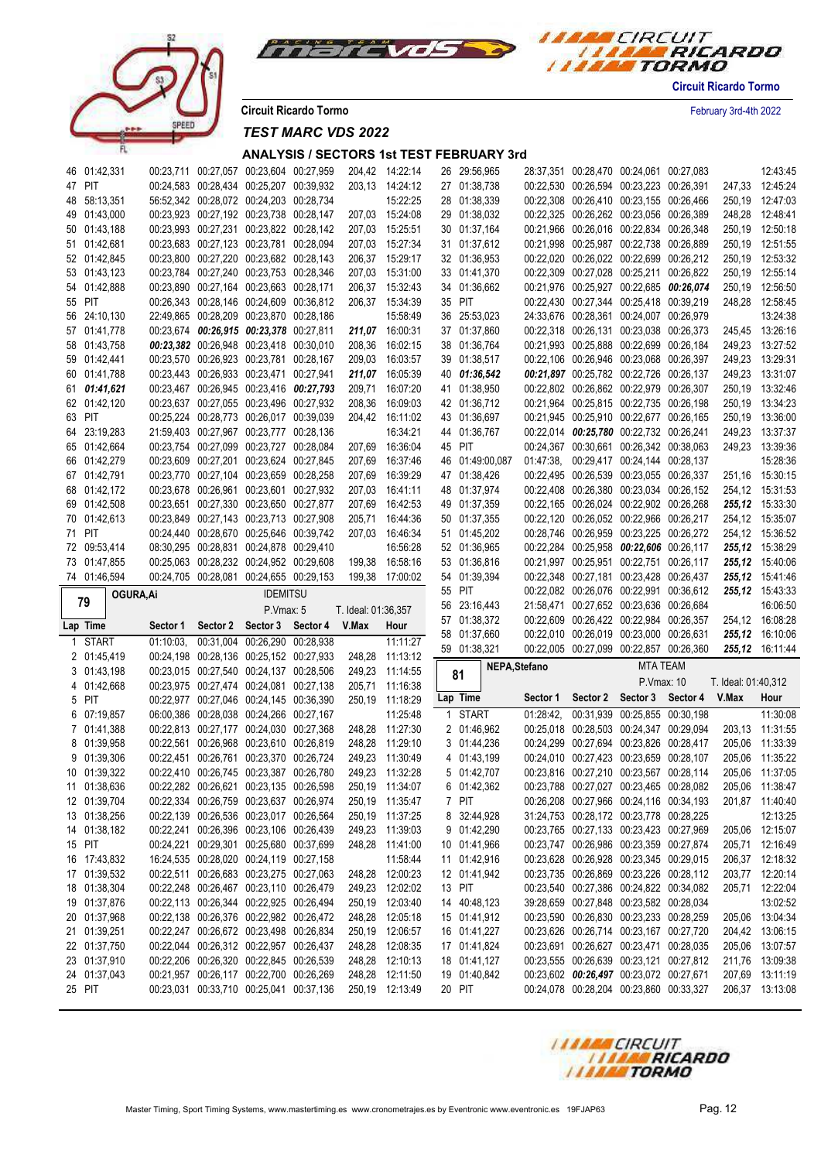



**Circuit Ricardo Tormo** February 3rd-4th 2022

*TEST MARC VDS 2022*

| 46 01:42,331                 |           | 00:23,711 00:27,057 00:23,604 00:27,959                                            |                   |                     | 204,42 14:22:14                    |        | 26 29:56,965                 |               | 28:37,351  00:28,470  00:24,061  00:27,083                                         |                                  |                     | 12:43:45                           |
|------------------------------|-----------|------------------------------------------------------------------------------------|-------------------|---------------------|------------------------------------|--------|------------------------------|---------------|------------------------------------------------------------------------------------|----------------------------------|---------------------|------------------------------------|
| 47 PIT                       |           | 00:24,583 00:28,434 00:25,207 00:39,932                                            |                   |                     | 203.13 14:24:12                    |        | 27 01:38,738                 |               | 00:22,530 00:26,594 00:23,223 00:26,391                                            |                                  |                     | 247,33 12:45:24                    |
| 48 58:13,351                 |           | 56:52,342 00:28,072 00:24,203 00:28,734                                            |                   |                     | 15:22:25                           |        | 28 01:38,339                 |               | 00:22,308 00:26,410 00:23,155 00:26,466                                            |                                  |                     | 250,19 12:47:03                    |
| 49 01:43,000                 |           | 00:23,923 00:27,192 00:23,738 00:28,147                                            |                   |                     | 207.03 15:24:08                    |        | 29 01:38,032                 |               | 00:22,325 00:26,262 00:23,056 00:26,389                                            |                                  |                     | 248,28 12:48:41                    |
| 50 01:43,188                 |           | 00:23,993 00:27,231 00:23,822 00:28,142                                            |                   |                     | 207.03 15:25:51                    |        | 30 01:37,164                 |               | 00:21,966 00:26,016 00:22,834 00:26,348                                            |                                  |                     | 250,19 12:50:18                    |
| 51 01:42,681                 |           | 00:23,683 00:27,123 00:23,781 00:28,094                                            |                   |                     | 207,03 15:27:34                    |        | 31 01:37,612                 |               | 00:21,998 00:25,987 00:22,738 00:26,889                                            |                                  |                     | 250,19 12:51:55                    |
| 52 01:42,845                 |           | 00:23,800 00:27,220 00:23,682 00:28,143                                            |                   |                     | 206,37 15:29:17                    |        | 32 01:36,953                 |               | 00:22,020 00:26,022 00:22,699 00:26,212                                            |                                  |                     | 250,19 12:53:32                    |
| 53 01:43,123                 |           | 00:23,784 00:27,240 00:23,753 00:28,346                                            |                   |                     | 207.03 15:31:00                    |        | 33 01:41,370                 |               | 00:22,309 00:27,028 00:25,211 00:26,822                                            |                                  |                     | 250,19 12:55:14                    |
| 54 01:42,888                 |           | 00:23,890 00:27,164 00:23,663 00:28,171                                            |                   |                     | 206,37 15:32:43                    |        | 34 01:36,662                 |               | 00:21,976 00:25,927 00:22,685 00:26,074                                            |                                  |                     | 250,19 12:56:50                    |
| 55 PIT                       |           | 00:26,343 00:28,146 00:24,609 00:36,812                                            |                   |                     | 206,37 15:34:39                    | 35 PIT |                              |               | 00:22,430 00:27,344 00:25,418 00:39,219                                            |                                  |                     | 248,28 12:58:45                    |
| 56 24:10,130                 |           | 22:49,865 00:28,209 00:23,870 00:28,186                                            |                   |                     | 15:58:49                           |        | 36 25:53,023                 |               | 24:33,676 00:28,361 00:24,007 00:26,979                                            |                                  |                     | 13:24:38                           |
| 57 01:41,778                 |           | 00:23,674 00:26,915 00:23,378 00:27,811                                            |                   |                     | 211,07 16:00:31                    |        | 37 01:37,860                 |               | 00:22,318 00:26,131 00:23,038 00:26,373                                            |                                  |                     | 245.45 13:26:16                    |
| 58 01:43,758                 |           | 00:23,382 00:26,948 00:23,418 00:30,010                                            |                   | 208,36              | 16:02:15                           |        | 38 01:36,764                 |               | 00:21,993 00:25,888 00:22,699 00:26,184                                            |                                  |                     | 249,23 13:27:52                    |
| 59 01:42,441                 |           | 00:23,570 00:26,923 00:23,781 00:28,167                                            |                   |                     | 209,03 16:03:57                    |        | 39 01:38,517                 |               | 00:22,106 00:26,946 00:23,068 00:26,397                                            |                                  |                     | 249,23 13:29:31                    |
| 60 01:41,788                 |           | 00:23,443 00:26,933 00:23,471 00:27,941                                            |                   |                     | 211,07 16:05:39                    |        | 40 01:36,542                 |               | 00:21,897 00:25,782 00:22,726 00:26,137                                            |                                  |                     | 249,23 13:31:07                    |
| 61 01:41,621                 |           | 00:23,467 00:26,945 00:23,416 00:27,793                                            |                   | 209,71              | 16:07:20                           |        | 41 01:38,950                 |               | 00:22,802 00:26,862 00:22,979 00:26,307                                            |                                  |                     | 250,19 13:32:46                    |
| 62 01:42,120                 |           | 00:23,637 00:27,055 00:23,496 00:27,932                                            |                   | 208,36              | 16:09:03                           |        | 42 01:36,712                 |               | 00:21,964 00:25,815 00:22,735 00:26,198                                            |                                  |                     | 250,19 13:34:23                    |
| 63 PIT                       |           | 00:25,224 00:28,773 00:26,017 00:39,039<br>21:59,403 00:27,967 00:23,777 00:28,136 |                   |                     | 204,42 16:11:02<br>16:34:21        |        | 43 01:36,697<br>44 01:36,767 |               | 00:21,945 00:25,910 00:22,677 00:26,165<br>00:22,014 00:25,780 00:22,732 00:26,241 |                                  |                     | 250,19 13:36:00<br>249,23 13:37:37 |
| 64 23:19,283                 |           | 00:23,754 00:27,099 00:23,727 00:28,084                                            |                   |                     |                                    |        |                              |               |                                                                                    |                                  |                     | 249.23 13:39:36                    |
| 65 01:42,664<br>66 01:42,279 |           | 00:23,609 00:27,201 00:23,624 00:27,845                                            |                   | 207,69              | 207.69 16:36:04<br>16:37:46        | 45 PIT | 46 01:49:00,087              |               | 00:24,367 00:30,661 00:26,342 00:38,063<br>01:47:38, 00:29,417 00:24,144 00:28,137 |                                  |                     | 15:28:36                           |
| 67 01:42,791                 |           | 00:23,770 00:27,104 00:23,659 00:28,258                                            |                   | 207,69              | 16:39:29                           |        | 47 01:38,426                 |               | 00:22,495 00:26,539 00:23,055 00:26,337                                            |                                  |                     | 251.16 15:30:15                    |
| 68 01:42,172                 |           | 00:23,678 00:26,961 00:23,601 00:27,932                                            |                   | 207,03              | 16:41:11                           |        | 48 01:37,974                 |               | 00:22,408 00:26,380 00:23,034 00:26,152                                            |                                  |                     | 254,12 15:31:53                    |
| 69 01:42,508                 |           | 00:23,651 00:27,330 00:23,650 00:27,877                                            |                   | 207,69              | 16:42:53                           |        | 49 01:37,359                 |               | 00:22,165 00:26,024 00:22,902 00:26,268                                            |                                  |                     | 255,12 15:33:30                    |
| 70 01:42,613                 |           | 00:23,849 00:27,143 00:23,713 00:27,908                                            |                   | 205,71              | 16:44:36                           |        | 50 01:37,355                 |               | 00:22,120 00:26,052 00:22,966 00:26,217                                            |                                  |                     | 254,12 15:35:07                    |
| 71 PIT                       |           | 00:24,440 00:28,670 00:25,646 00:39,742                                            |                   | 207,03              | 16:46:34                           |        | 51 01:45,202                 |               | 00:28,746 00:26,959 00:23,225 00:26,272                                            |                                  |                     | 254,12 15:36:52                    |
| 72 09:53,414                 |           | 08:30,295 00:28,831 00:24,878 00:29,410                                            |                   |                     | 16:56:28                           |        | 52 01:36,965                 |               | 00:22,284 00:25,958 00:22,606 00:26,117                                            |                                  |                     | 255,12 15:38:29                    |
| 73 01:47,855                 |           | 00:25.063 00:28.232 00:24.952 00:29.608                                            |                   |                     | 199,38 16:58:16                    |        | 53 01:36,816                 |               | 00:21,997 00:25,951 00:22,751 00:26,117                                            |                                  |                     | <b>255,12</b> 15:40:06             |
|                              |           |                                                                                    |                   |                     |                                    |        |                              |               |                                                                                    |                                  |                     |                                    |
|                              |           |                                                                                    |                   |                     |                                    |        |                              |               |                                                                                    |                                  |                     |                                    |
| 74 01:46,594                 |           | 00:24,705 00:28,081 00:24,655 00:29,153                                            |                   |                     | 199,38 17:00:02                    | 55 PIT | 54 01:39,394                 |               | 00:22,348 00:27,181 00:23,428 00:26,437                                            |                                  |                     | <b>255,12</b> 15:41:46             |
| 79                           | OGURA, Ai |                                                                                    | <b>IDEMITSU</b>   |                     |                                    |        | 56 23:16,443                 |               | 00:22,082 00:26,076 00:22,991 00:36,612<br>21:58,471 00:27,652 00:23,636 00:26,684 |                                  |                     | 255,12 15:43:33<br>16:06:50        |
|                              |           |                                                                                    | P.Vmax: 5         | T. Ideal: 01:36,357 |                                    |        | 57 01:38,372                 |               | 00:22,609 00:26,422 00:22,984 00:26,357                                            |                                  |                     | 254,12 16:08:28                    |
| Lap Time                     | Sector 1  | Sector 2                                                                           | Sector 3 Sector 4 | V.Max               | Hour                               |        | 58 01:37,660                 |               | 00:22,010 00:26,019 00:23,000 00:26,631                                            |                                  |                     | <b>255,12</b> 16:10:06             |
| 1 START                      | 01:10:03  | 00:31,004 00:26,290 00:28,938                                                      |                   |                     | 11:11:27                           |        | 59 01:38,321                 |               | 00:22,005 00:27,099 00:22,857 00:26,360                                            |                                  |                     | 255,12 16:11:44                    |
| 2 01:45,419                  |           | 00:24,198 00:28,136 00:25,152 00:27,933                                            |                   | 248,28              | 11:13:12                           |        |                              | NEPA, Stefano |                                                                                    | <b>MTA TEAM</b>                  |                     |                                    |
| 3 01:43,198                  |           | 00:23,015 00:27,540 00:24,137 00:28,506                                            |                   |                     | 249,23 11:14:55                    |        | 81                           |               |                                                                                    |                                  |                     |                                    |
| 4 01:42,668                  |           | 00:23,975 00:27,474 00:24,081 00:27,138                                            |                   |                     | 205,71 11:16:38                    |        |                              | Sector 1      |                                                                                    | P.Vmax: 10                       | T. Ideal: 01:40,312 |                                    |
| 5 PIT                        |           | 00:22,977 00:27,046 00:24,145 00:36,390                                            |                   |                     | 250,19 11:18:29                    |        | Lap Time                     |               |                                                                                    | Sector 2 Sector 3 Sector 4 V.Max |                     | Hour                               |
| 6 07:19,857                  |           | 06:00,386 00:28,038 00:24,266 00:27,167                                            |                   |                     | 11:25:48                           |        | 1 START                      | 01:28:42,     |                                                                                    | 00:31,939 00:25,855 00:30,198    |                     | 11:30:08                           |
| 7 01:41,388                  |           | 00:22,813 00:27,177 00:24,030 00:27,368                                            |                   |                     | 248,28 11:27:30                    |        | 2 01:46,962                  |               | 00:25,018 00:28,503 00:24,347 00:29,094                                            |                                  | 203,13              | 11:31:55                           |
| 8 01:39,958                  |           | 00:22,561 00:26,968 00:23,610 00:26,819                                            |                   |                     | 248,28 11:29:10                    |        | 3 01:44,236                  |               | 00:24.299 00:27.694 00:23.826 00:28.417                                            |                                  | 205,06              | 11:33:39                           |
| 9 01:39,306<br>10 01:39,322  |           | 00:22,451 00:26,761 00:23,370 00:26,724<br>00:22,410 00:26,745 00:23,387 00:26,780 |                   | 249,23              | 11:30:49<br>249,23 11:32:28        |        | 4 01:43,199<br>5 01:42,707   |               | 00:24,010 00:27,423 00:23,659 00:28,107                                            |                                  | 205,06              | 11:35:22<br>205,06 11:37:05        |
|                              |           |                                                                                    |                   |                     |                                    |        |                              |               | 00:23,816 00:27,210 00:23,567 00:28,114                                            |                                  |                     |                                    |
| 11 01:38,636<br>12 01:39,704 |           | 00:22,282 00:26,621 00:23,135 00:26,598                                            |                   |                     | 250,19 11:34:07                    |        | 6 01:42,362<br>7 PIT         |               | 00:23,788 00:27,027 00:23,465 00:28,082                                            |                                  |                     | 205,06 11:38:47                    |
|                              |           | 00:22,334 00:26,759 00:23,637 00:26,974                                            |                   |                     | 250,19 11:35:47<br>250,19 11:37:25 |        |                              |               | 00:26,208 00:27,966 00:24,116 00:34,193                                            |                                  |                     | 201,87 11:40:40<br>12:13:25        |
| 13 01:38,256<br>14 01:38,182 |           | 00:22,139 00:26,536 00:23,017 00:26,564<br>00:22,241 00:26,396 00:23,106 00:26,439 |                   |                     | 249,23 11:39:03                    |        | 8 32:44,928<br>9 01:42,290   |               | 31:24,753 00:28,172 00:23,778 00:28,225<br>00:23,765 00:27,133 00:23,423 00:27,969 |                                  |                     | 205,06 12:15:07                    |
| 15 PIT                       |           | 00:24.221 00:29.301 00:25.680 00:37.699                                            |                   |                     | 248,28 11:41:00                    |        |                              |               | 00:23.747 00:26.986 00:23.359 00:27.874                                            |                                  |                     | 205,71 12:16:49                    |
| 16 17:43,832                 |           | 16:24,535 00:28,020 00:24,119 00:27,158                                            |                   |                     | 11:58:44                           |        | 10 01:41,966<br>11 01:42,916 |               | 00:23,628 00:26,928 00:23,345 00:29,015                                            |                                  |                     | 206,37 12:18:32                    |
| 17 01:39,532                 |           | 00:22,511 00:26,683 00:23,275 00:27,063                                            |                   | 248,28              | 12:00:23                           |        | 12 01:41,942                 |               | 00:23,735 00:26,869 00:23,226 00:28,112                                            |                                  |                     | 203,77 12:20:14                    |
| 18 01:38,304                 |           | 00:22,248 00:26,467 00:23,110 00:26,479                                            |                   |                     | 249,23 12:02:02                    |        | 13 PIT                       |               | 00:23,540 00:27,386 00:24,822 00:34,082                                            |                                  |                     | 205,71 12:22:04                    |
| 19 01:37,876                 |           | 00:22,113 00:26,344 00:22,925 00:26,494                                            |                   |                     | 250,19 12:03:40                    |        | 14 40:48,123                 |               | 39:28,659 00:27,848 00:23,582 00:28,034                                            |                                  |                     | 13:02:52                           |
| 20 01:37,968                 |           | 00:22,138 00:26,376 00:22,982 00:26,472                                            |                   |                     | 248,28 12:05:18                    |        | 15 01:41,912                 |               | 00:23,590 00:26,830 00:23,233 00:28,259                                            |                                  |                     | 205,06 13:04:34                    |
| 21 01:39,251                 |           | 00:22,247 00:26,672 00:23,498 00:26,834                                            |                   |                     | 250,19 12:06:57                    |        | 16 01:41,227                 |               | 00:23,626 00:26,714 00:23,167 00:27,720                                            |                                  |                     | 204,42 13:06:15                    |
| 22 01:37,750                 |           | 00:22,044 00:26,312 00:22,957 00:26,437                                            |                   |                     | 248,28 12:08:35                    |        | 17 01:41,824                 |               | 00:23,691 00:26,627 00:23,471 00:28,035                                            |                                  |                     | 205,06 13:07:57                    |
| 23 01:37,910                 |           | 00:22,206 00:26,320 00:22,845 00:26,539                                            |                   |                     | 248,28 12:10:13                    |        | 18 01:41,127                 |               | 00:23,555 00:26,639 00:23,121 00:27,812                                            |                                  |                     | 211,76 13:09:38                    |
| 24 01:37,043                 |           | 00:21,957 00:26,117 00:22,700 00:26,269                                            |                   |                     | 248,28 12:11:50                    |        | 19 01:40,842                 |               | 00:23,602 00:26,497 00:23,072 00:27,671                                            |                                  |                     | 207,69 13:11:19                    |
| 25 PIT                       |           | 00:23,031 00:33,710 00:25,041 00:37,136                                            |                   |                     | 250,19 12:13:49                    | 20 PIT |                              |               | 00:24,078 00:28,204 00:23,860 00:33,327                                            |                                  |                     | 206,37 13:13:08                    |

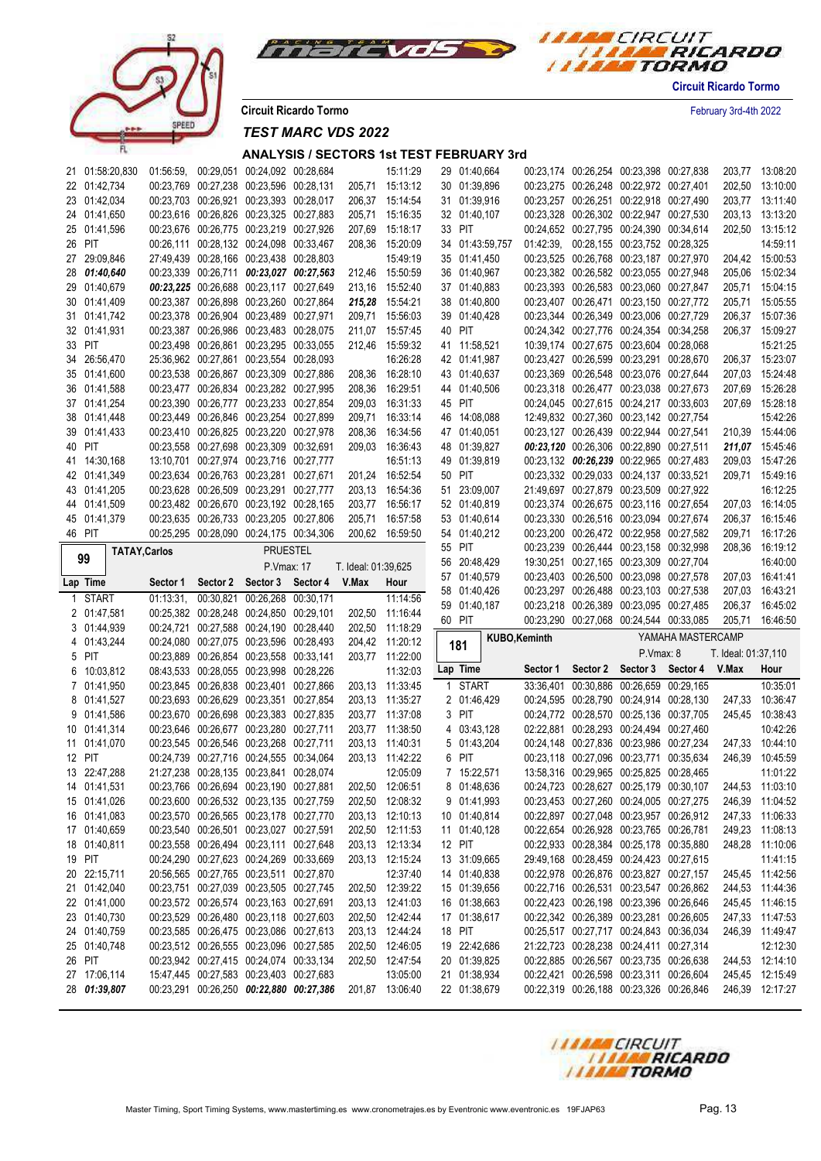



**Circuit Ricardo Tormo** February 3rd-4th 2022

*TEST MARC VDS 2022*

| 21 01:58:20,830      |           |                                  | 01:56:59, 00:29,051 00:24,092 00:28,684 |                     | 15:11:29        | 29 01:40,664    |                      | 00:23,174 00:26,254 00:23,398 00:27,838                                            |                                                         |                     | 203,77 13:08:20             |
|----------------------|-----------|----------------------------------|-----------------------------------------|---------------------|-----------------|-----------------|----------------------|------------------------------------------------------------------------------------|---------------------------------------------------------|---------------------|-----------------------------|
| 22 01:42,734         |           |                                  | 00:23,769 00:27,238 00:23,596 00:28,131 |                     | 205,71 15:13:12 | 30 01:39,896    |                      | 00:23,275 00:26,248 00:22,972 00:27,401                                            |                                                         |                     | 202,50 13:10:00             |
| 23 01:42,034         |           |                                  | 00:23,703 00:26,921 00:23,393 00:28,017 |                     | 206,37 15:14:54 | 31 01:39,916    |                      | 00:23,257 00:26,251 00:22,918 00:27,490                                            |                                                         |                     | 203,77 13:11:40             |
| 24 01:41,650         |           |                                  | 00:23,616 00:26,826 00:23,325 00:27,883 | 205,71              | 15:16:35        | 32 01:40,107    |                      | 00:23,328 00:26,302 00:22,947 00:27,530                                            |                                                         |                     | 203,13 13:13:20             |
| 25 01:41,596         |           |                                  | 00:23,676 00:26,775 00:23,219 00:27,926 | 207,69              | 15:18:17        | 33 PIT          |                      | 00:24,652 00:27,795 00:24,390 00:34,614                                            |                                                         |                     | 202,50 13:15:12             |
| 26 PIT               |           |                                  | 00:26,111 00:28,132 00:24,098 00:33,467 |                     | 208,36 15:20:09 | 34 01:43:59,757 |                      | 01:42:39, 00:28,155 00:23,752 00:28,325                                            |                                                         |                     | 14:59:11                    |
| 27 29:09,846         |           |                                  | 27:49.439 00:28.166 00:23.438 00:28.803 |                     | 15:49:19        | 35 01:41,450    |                      | 00:23,525 00:26,768 00:23,187 00:27,970                                            |                                                         |                     | 204,42 15:00:53             |
| 28 01:40,640         |           |                                  | 00:23,339 00:26,711 00:23,027 00:27,563 |                     | 212,46 15:50:59 | 36 01:40,967    |                      | 00:23,382 00:26,582 00:23,055 00:27,948                                            |                                                         |                     | 205,06 15:02:34             |
| 29 01:40,679         |           |                                  | 00:23,225 00:26,688 00:23,117 00:27,649 | 213,16              | 15:52:40        | 37 01:40,883    |                      | 00:23,393 00:26,583 00:23,060 00:27,847                                            |                                                         | 205,71              | 15:04:15                    |
| 30 01:41,409         |           |                                  | 00:23,387 00:26,898 00:23,260 00:27,864 |                     | 215,28 15:54:21 | 38 01:40,800    |                      | 00:23,407 00:26,471 00:23,150 00:27,772                                            |                                                         | 205,71              | 15:05:55                    |
| 31 01:41,742         |           |                                  | 00:23,378 00:26,904 00:23,489 00:27,971 | 209,71              | 15:56:03        | 39 01:40,428    |                      | 00:23,344 00:26,349 00:23,006 00:27,729                                            |                                                         |                     | 206,37 15:07:36             |
| 32 01:41,931         |           |                                  | 00:23,387 00:26,986 00:23,483 00:28,075 |                     | 211,07 15:57:45 | 40 PIT          |                      | 00:24,342 00:27,776 00:24,354 00:34,258                                            |                                                         |                     | 206,37 15:09:27             |
| 33 PIT               |           |                                  | 00:23,498 00:26,861 00:23,295 00:33,055 | 212,46              | 15:59:32        | 41 11:58,521    |                      | 10:39,174 00:27,675 00:23,604 00:28,068                                            |                                                         |                     | 15:21:25                    |
| 34 26:56,470         |           |                                  | 25:36,962 00:27,861 00:23,554 00:28,093 |                     | 16:26:28        | 42 01:41,987    |                      | 00:23,427 00:26,599 00:23,291 00:28,670                                            |                                                         |                     | 206,37 15:23:07             |
| 35 01:41,600         |           |                                  | 00:23,538 00:26,867 00:23,309 00:27,886 |                     | 208,36 16:28:10 | 43 01:40,637    |                      | 00:23,369 00:26,548 00:23,076 00:27,644                                            |                                                         |                     | 207,03 15:24:48             |
| 36 01:41,588         |           |                                  | 00:23,477 00:26,834 00:23,282 00:27,995 |                     | 208,36 16:29:51 | 44 01:40,506    |                      | 00:23,318 00:26,477 00:23,038 00:27,673                                            |                                                         |                     | 207,69 15:26:28             |
| 37 01:41,254         |           |                                  | 00:23,390 00:26,777 00:23,233 00:27,854 | 209,03              | 16:31:33        | 45 PIT          |                      | 00:24,045 00:27,615 00:24,217 00:33,603                                            |                                                         |                     | 207,69 15:28:18             |
| 38 01:41,448         |           |                                  | 00:23,449 00:26,846 00:23,254 00:27,899 | 209,71              | 16:33:14        | 46 14:08,088    |                      | 12:49,832 00:27,360 00:23,142 00:27,754                                            |                                                         |                     | 15:42:26                    |
|                      |           |                                  | 00:23,410 00:26,825 00:23,220 00:27,978 |                     | 16:34:56        | 47 01:40,051    |                      | 00:23,127 00:26,439 00:22,944 00:27,541                                            |                                                         |                     | 210,39 15:44:06             |
| 39 01:41,433         |           |                                  |                                         | 208,36              |                 |                 |                      |                                                                                    |                                                         |                     |                             |
| 40 PIT               |           |                                  | 00:23,558 00:27,698 00:23,309 00:32,691 | 209,03              | 16:36:43        | 48 01:39,827    |                      | 00:23,120 00:26,306 00:22,890 00:27,511                                            |                                                         |                     | 211,07 15:45:46             |
| 41 14:30,168         |           |                                  | 13:10,701 00:27,974 00:23,716 00:27,777 |                     | 16:51:13        | 49 01:39,819    |                      | 00:23,132 00:26,239 00:22,965 00:27,483                                            |                                                         |                     | 209,03 15:47:26             |
| 42 01:41,349         |           |                                  | 00:23,634 00:26,763 00:23,281 00:27,671 |                     | 201.24 16:52:54 | 50 PIT          |                      | 00:23,332 00:29,033 00:24,137 00:33,521                                            |                                                         |                     | 209,71 15:49:16             |
| 43 01:41,205         |           |                                  | 00:23,628 00:26,509 00:23,291 00:27,777 |                     | 203,13 16:54:36 | 51 23:09,007    |                      | 21:49.697 00:27.879 00:23.509 00:27.922                                            |                                                         |                     | 16:12:25                    |
| 44 01:41,509         |           |                                  | 00:23,482 00:26,670 00:23,192 00:28,165 |                     | 203,77 16:56:17 | 52 01:40,819    |                      | 00:23,374 00:26,675 00:23,116 00:27,654                                            |                                                         | 207,03              | 16:14:05                    |
| 45 01:41,379         |           |                                  | 00:23,635 00:26,733 00:23,205 00:27,806 | 205,71              | 16:57:58        | 53 01:40,614    |                      | 00:23,330 00:26,516 00:23,094 00:27,674                                            |                                                         | 206,37              | 16:15:46                    |
| 46 PIT               |           |                                  | 00:25.295 00:28.090 00:24.175 00:34.306 |                     | 200,62 16:59:50 | 54 01:40,212    |                      | 00:23,200 00:26,472 00:22,958 00:27,582                                            |                                                         | 209,71              | 16:17:26                    |
| <b>TATAY, Carlos</b> |           |                                  | <b>PRUESTEL</b>                         |                     |                 | 55 PIT          |                      | 00:23,239 00:26,444 00:23,158 00:32,998                                            |                                                         | 208,36              | 16:19:12                    |
| 99                   |           |                                  | P.Vmax: 17                              | T. Ideal: 01:39,625 |                 | 56 20:48,429    |                      | 19:30,251 00:27,165 00:23,309 00:27,704                                            |                                                         |                     | 16:40:00                    |
|                      |           |                                  |                                         |                     |                 | 57 01:40,579    |                      | 00:23,403 00:26,500 00:23,098 00:27,578                                            |                                                         |                     | 207,03 16:41:41             |
|                      |           |                                  |                                         |                     |                 |                 |                      |                                                                                    |                                                         |                     |                             |
| Lap Time             | Sector 1  | Sector 2 Sector 3 Sector 4 V.Max |                                         |                     | Hour            | 58 01:40,426    |                      | 00:23,297 00:26,488 00:23,103 00:27,538                                            |                                                         | 207,03              | 16:43:21                    |
| 1 START              | 01:13:31, |                                  | 00:30,821 00:26,268 00:30,171           |                     | 11:14:56        | 59 01:40,187    |                      | 00:23,218 00:26,389 00:23,095 00:27,485                                            |                                                         | 206,37              | 16:45:02                    |
| 2 01:47,581          |           |                                  | 00:25,382 00:28,248 00:24,850 00:29,101 |                     | 202,50 11:16:44 | 60 PIT          |                      | 00:23,290 00:27,068 00:24,544 00:33,085                                            |                                                         | 205,71              | 16:46:50                    |
| 3 01:44,939          |           |                                  | 00:24,721 00:27,588 00:24,190 00:28,440 |                     | 202,50 11:18:29 |                 |                      |                                                                                    | YAMAHA MASTERCAMP                                       |                     |                             |
| 4 01:43,244          |           |                                  | 00:24,080 00:27,075 00:23,596 00:28,493 |                     | 204,42 11:20:12 | 181             | <b>KUBO, Keminth</b> |                                                                                    |                                                         |                     |                             |
| 5 PIT                |           |                                  | 00:23,889 00:26,854 00:23,558 00:33,141 |                     | 203,77 11:22:00 |                 |                      | P.Vmax: 8                                                                          |                                                         | T. Ideal: 01:37,110 |                             |
| 6 10:03,812          |           |                                  | 08:43,533 00:28,055 00:23,998 00:28,226 |                     | 11:32:03        | Lap Time        | Sector 1             |                                                                                    | Sector 2 Sector 3 Sector 4 V.Max                        |                     | Hour                        |
| 7 01:41,950          |           |                                  | 00:23,845 00:26,838 00:23,401 00:27,866 |                     | 203,13 11:33:45 | 1 START         |                      | 33:36,401 00:30,886 00:26,659 00:29,165                                            |                                                         |                     | 10:35:01                    |
| 8 01:41,527          |           |                                  | 00:23,693 00:26,629 00:23,351 00:27,854 |                     | 203,13 11:35:27 | 2 01:46,429     |                      | 00:24,595 00:28,790 00:24,914 00:28,130                                            |                                                         | 247,33              | 10:36:47                    |
| 9 01:41,586          |           |                                  | 00:23,670 00:26,698 00:23,383 00:27,835 |                     | 203,77 11:37:08 | 3 PIT           |                      | 00:24,772 00:28,570 00:25,136 00:37,705                                            |                                                         |                     | 245,45 10:38:43             |
| 10 01:41,314         |           |                                  | 00:23,646 00:26,677 00:23,280 00:27,711 |                     | 203,77 11:38:50 | 4 03:43,128     |                      | 02:22.881 00:28.293 00:24.494 00:27.460                                            |                                                         |                     | 10:42:26                    |
| 11 01:41,070         |           |                                  | 00:23,545 00:26,546 00:23,268 00:27,711 |                     | 203,13 11:40:31 | 5 01:43,204     |                      |                                                                                    | 00:24,148 00:27,836 00:23,986 00:27,234                 |                     | 247,33 10:44:10             |
| 12 PIT               |           |                                  | 00:24,739 00:27,716 00:24,555 00:34,064 |                     | 203.13 11:42:22 | 6 PIT           |                      | 00:23,118 00:27,096 00:23,771 00:35,634                                            |                                                         | 246,39              | 10:45:59                    |
| 13 22:47,288         |           |                                  | 21:27,238 00:28,135 00:23,841 00:28,074 |                     | 12:05:09        | 7 15:22,571     |                      | 13:58,316 00:29,965 00:25,825 00:28,465                                            |                                                         |                     | 11:01:22                    |
| 14 01:41,531         |           |                                  | 00:23,766 00:26,694 00:23,190 00:27,881 |                     | 202,50 12:06:51 | 8 01:48,636     |                      |                                                                                    | 00:24,723 00:28,627 00:25,179 00:30,107 244,53 11:03:10 |                     |                             |
| 15 01:41,026         |           |                                  | 00:23,600 00:26,532 00:23,135 00:27,759 |                     | 202,50 12:08:32 | 9 01:41,993     |                      | 00:23,453 00:27,260 00:24,005 00:27,275                                            |                                                         |                     | 246,39 11:04:52             |
| 16 01:41,083         |           |                                  | 00:23,570 00:26,565 00:23,178 00:27,770 |                     | 203,13 12:10:13 | 10 01:40,814    |                      | 00:22,897 00:27,048 00:23,957 00:26,912                                            |                                                         |                     | 247,33 11:06:33             |
| 17 01:40,659         |           |                                  | 00:23,540 00:26,501 00:23,027 00:27,591 |                     | 202,50 12:11:53 | 11 01:40,128    |                      | 00:22,654 00:26,928 00:23,765 00:26,781                                            |                                                         |                     | 249,23 11:08:13             |
| 18 01:40,811         |           |                                  | 00:23,558 00:26,494 00:23,111 00:27,648 |                     | 203,13 12:13:34 | 12 PIT          |                      | 00:22,933 00:28,384 00:25,178 00:35,880                                            |                                                         |                     |                             |
| 19 PIT               |           |                                  |                                         |                     | 203.13 12:15:24 |                 |                      |                                                                                    |                                                         |                     | 248,28 11:10:06             |
|                      |           |                                  | 00:24,290 00:27,623 00:24,269 00:33,669 |                     |                 | 13 31:09,665    |                      | 29:49,168 00:28,459 00:24,423 00:27,615<br>00:22,978 00:26,876 00:23,827 00:27,157 |                                                         |                     | 11:41:15<br>245,45 11:42:56 |
| 20 22:15,711         |           |                                  | 20:56,565 00:27,765 00:23,511 00:27,870 |                     | 12:37:40        | 14 01:40,838    |                      |                                                                                    |                                                         |                     |                             |
| 21 01:42,040         |           |                                  | 00:23,751 00:27,039 00:23,505 00:27,745 |                     | 202,50 12:39:22 | 15 01:39,656    |                      | 00:22,716 00:26,531 00:23,547 00:26,862                                            |                                                         |                     | 244,53 11:44:36             |
| 22 01:41,000         |           |                                  | 00:23,572 00:26,574 00:23,163 00:27,691 |                     | 203,13 12:41:03 | 16 01:38,663    |                      | 00:22,423 00:26,198 00:23,396 00:26,646                                            |                                                         |                     | 245,45 11:46:15             |
| 23 01:40,730         |           |                                  | 00:23,529 00:26,480 00:23,118 00:27,603 |                     | 202,50 12:42:44 | 17 01:38,617    |                      | 00:22,342 00:26,389 00:23,281 00:26,605                                            |                                                         |                     | 247,33 11:47:53             |
| 24 01:40,759         |           |                                  | 00:23,585 00:26,475 00:23,086 00:27,613 |                     | 203,13 12:44:24 | 18 PIT          |                      | 00:25,517 00:27,717 00:24,843 00:36,034                                            |                                                         |                     | 246,39 11:49:47             |
| 25 01:40,748         |           |                                  | 00:23,512 00:26,555 00:23,096 00:27,585 |                     | 202,50 12:46:05 | 19 22:42,686    |                      | 21:22,723 00:28,238 00:24,411 00:27,314                                            |                                                         |                     | 12:12:30                    |
| 26 PIT               |           |                                  | 00:23,942 00:27,415 00:24,074 00:33,134 |                     | 202,50 12:47:54 | 20 01:39,825    |                      | 00:22,885 00:26,567 00:23,735 00:26,638                                            |                                                         |                     | 244,53 12:14:10             |
| 27 17:06,114         |           |                                  | 15:47,445 00:27,583 00:23,403 00:27,683 |                     | 13:05:00        | 21 01:38,934    |                      | 00:22,421 00:26,598 00:23,311 00:26,604                                            |                                                         |                     | 245,45 12:15:49             |
| 28 01:39,807         |           |                                  | 00:23,291 00:26,250 00:22,880 00:27,386 |                     | 201,87 13:06:40 | 22 01:38,679    |                      | 00:22,319 00:26,188 00:23,326 00:26,846                                            |                                                         |                     | 246,39 12:17:27             |

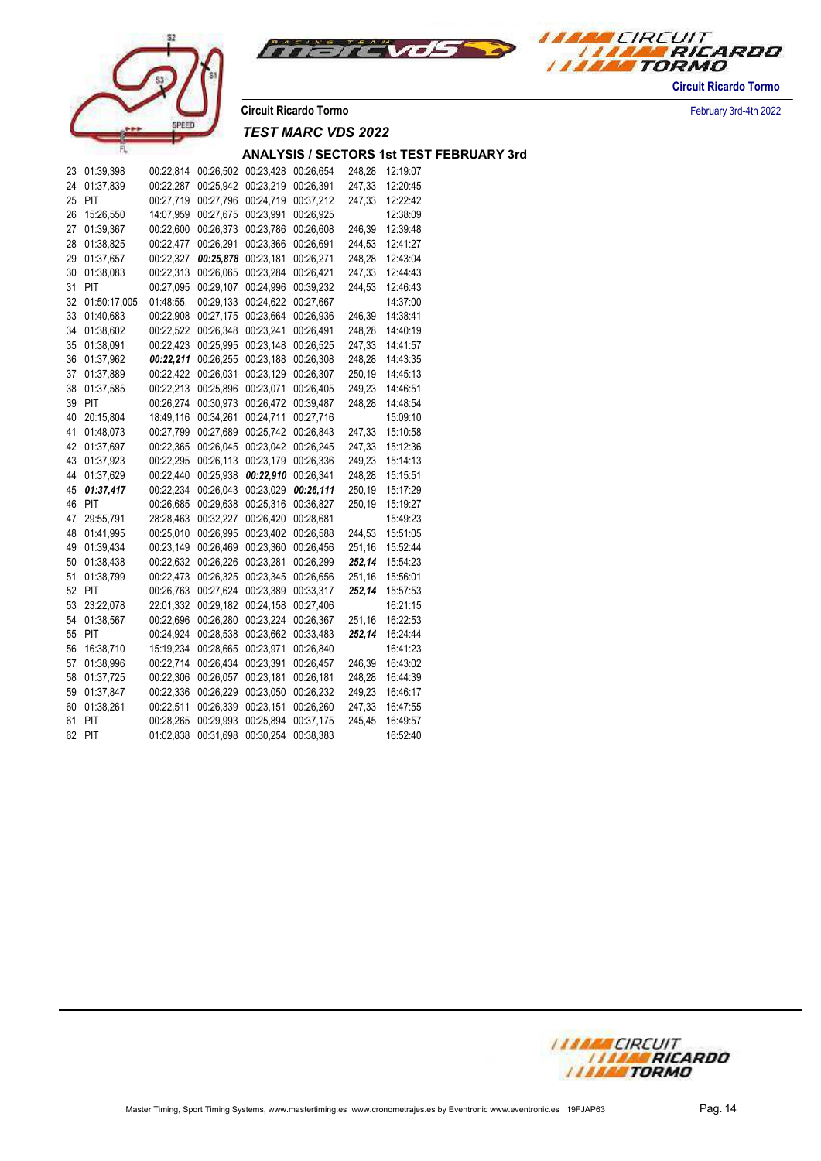



**Circuit Ricardo Tormo** February 3rd-4th 2022

# *TEST MARC VDS 2022*

| 23 | 01:39,398    | 00:22,814 | 00:26,502 | 00:23,428 | 00:26,654 | 248,28 | 12:19:07 |
|----|--------------|-----------|-----------|-----------|-----------|--------|----------|
| 24 | 01:37,839    | 00:22,287 | 00:25,942 | 00:23,219 | 00:26,391 | 247,33 | 12:20:45 |
| 25 | PIT          | 00:27,719 | 00:27,796 | 00:24,719 | 00:37,212 | 247,33 | 12:22:42 |
| 26 | 15:26,550    | 14:07,959 | 00:27,675 | 00:23,991 | 00:26,925 |        | 12:38:09 |
| 27 | 01:39,367    | 00:22,600 | 00:26,373 | 00:23,786 | 00:26,608 | 246,39 | 12:39:48 |
| 28 | 01:38,825    | 00:22,477 | 00:26,291 | 00:23,366 | 00:26,691 | 244,53 | 12:41:27 |
| 29 | 01:37,657    | 00:22,327 | 00:25,878 | 00:23,181 | 00:26,271 | 248,28 | 12:43:04 |
| 30 | 01:38,083    | 00:22,313 | 00:26,065 | 00:23,284 | 00:26,421 | 247,33 | 12:44:43 |
| 31 | PIT          | 00:27.095 | 00:29,107 | 00:24.996 | 00:39,232 | 244,53 | 12:46:43 |
| 32 | 01:50:17,005 | 01:48:55, | 00:29,133 | 00:24.622 | 00:27,667 |        | 14:37:00 |
| 33 | 01:40,683    | 00:22,908 | 00:27,175 | 00:23,664 | 00:26,936 | 246,39 | 14:38:41 |
| 34 | 01:38,602    | 00:22,522 | 00:26,348 | 00:23,241 | 00:26,491 | 248,28 | 14:40:19 |
| 35 | 01:38,091    | 00:22,423 | 00:25,995 | 00:23,148 | 00:26,525 | 247,33 | 14:41:57 |
| 36 | 01:37,962    | 00:22,211 | 00:26,255 | 00:23,188 | 00:26,308 | 248,28 | 14:43:35 |
| 37 | 01:37,889    | 00:22,422 | 00:26,031 | 00:23,129 | 00:26,307 | 250,19 | 14:45:13 |
| 38 | 01:37,585    | 00:22,213 | 00:25,896 | 00:23,071 | 00:26,405 | 249,23 | 14:46:51 |
| 39 | PIT          | 00:26,274 | 00:30,973 | 00:26,472 | 00:39,487 | 248,28 | 14:48:54 |
| 40 | 20:15,804    | 18:49,116 | 00:34,261 | 00:24,711 | 00:27,716 |        | 15:09:10 |
| 41 | 01:48,073    | 00:27,799 | 00:27,689 | 00:25,742 | 00:26,843 | 247,33 | 15:10:58 |
| 42 | 01:37.697    | 00:22,365 | 00:26,045 | 00:23,042 | 00:26,245 | 247,33 | 15:12:36 |
| 43 | 01:37,923    | 00:22,295 | 00:26,113 | 00:23,179 | 00:26,336 | 249,23 | 15:14:13 |
| 44 | 01:37,629    | 00:22,440 | 00:25,938 | 00:22,910 | 00:26,341 | 248,28 | 15:15:51 |
| 45 | 01:37,417    | 00:22,234 | 00:26,043 | 00:23,029 | 00:26,111 | 250,19 | 15:17:29 |
| 46 | PIT          | 00:26,685 | 00:29,638 | 00:25,316 | 00:36,827 | 250,19 | 15:19:27 |
| 47 | 29:55,791    | 28:28,463 | 00:32,227 | 00:26,420 | 00:28,681 |        | 15:49:23 |
| 48 | 01:41,995    | 00:25,010 | 00:26,995 | 00:23,402 | 00:26,588 | 244,53 | 15:51:05 |
| 49 | 01:39,434    | 00:23,149 | 00:26,469 | 00:23,360 | 00:26,456 | 251,16 | 15:52:44 |
| 50 | 01:38,438    | 00:22,632 | 00:26,226 | 00:23,281 | 00:26,299 | 252,14 | 15:54:23 |
| 51 | 01:38,799    | 00:22,473 | 00:26,325 | 00:23,345 | 00:26,656 | 251,16 | 15:56:01 |
| 52 | PIT          | 00:26,763 | 00:27,624 | 00:23,389 | 00:33,317 | 252,14 | 15:57:53 |
| 53 | 23:22,078    | 22:01,332 | 00:29,182 | 00:24,158 | 00:27,406 |        | 16:21:15 |
| 54 | 01:38,567    | 00:22,696 | 00:26,280 | 00:23,224 | 00:26,367 | 251,16 | 16:22:53 |
| 55 | PIT          | 00:24,924 | 00:28,538 | 00:23,662 | 00:33,483 | 252,14 | 16:24:44 |
| 56 | 16:38,710    | 15:19,234 | 00:28,665 | 00:23,971 | 00:26,840 |        | 16:41:23 |
| 57 | 01:38,996    | 00:22,714 | 00:26,434 | 00:23,391 | 00:26,457 | 246,39 | 16:43:02 |
| 58 | 01:37,725    | 00:22,306 | 00:26,057 | 00:23,181 | 00:26,181 | 248,28 | 16:44:39 |
| 59 | 01:37,847    | 00:22,336 | 00:26,229 | 00:23,050 | 00:26,232 | 249,23 | 16:46:17 |
| 60 | 01:38,261    | 00:22,511 | 00:26,339 | 00:23,151 | 00:26,260 | 247,33 | 16:47:55 |
| 61 | PIT          | 00:28,265 | 00:29,993 | 00:25,894 | 00:37,175 | 245,45 | 16:49:57 |
| 62 | PIT          | 01:02,838 | 00:31,698 | 00:30,254 | 00:38,383 |        | 16:52:40 |

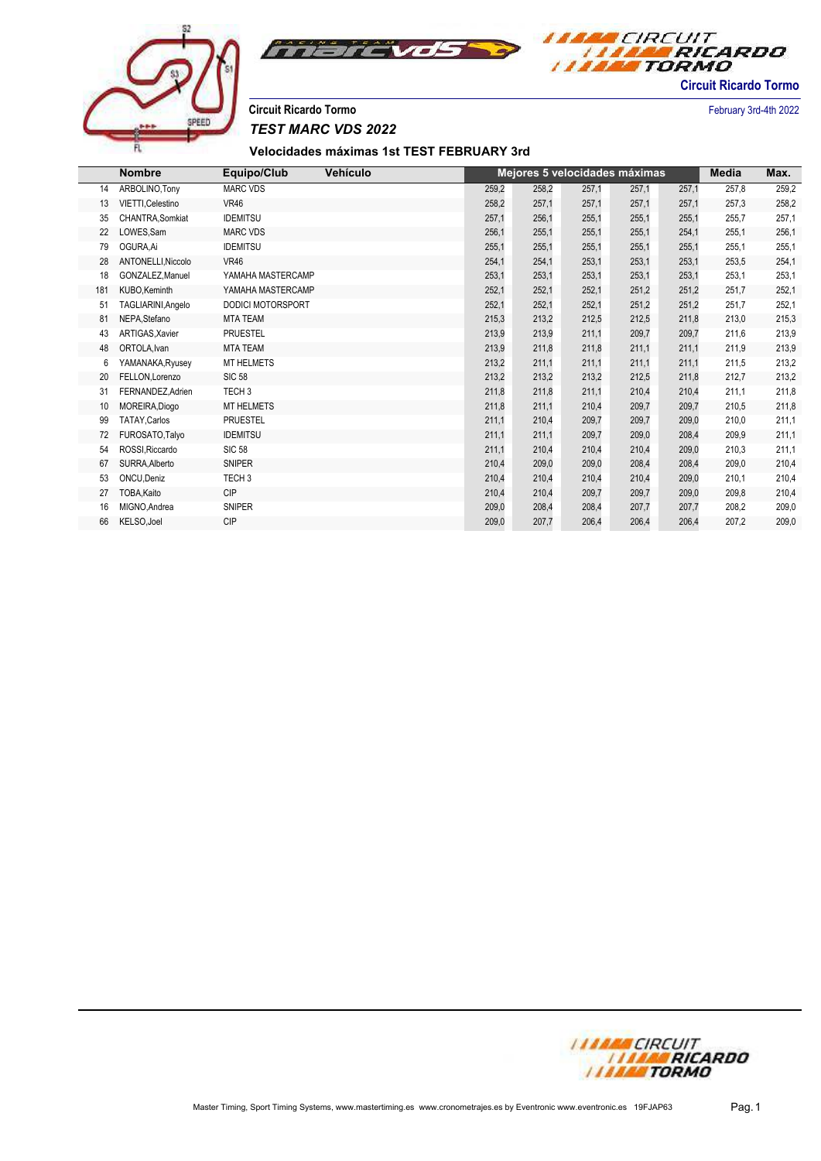

**Velocidades máximas 1st TEST FEBRUARY 3rd**

|     | <b>Nombre</b>      | Equipo/Club              | Vehículo |       |       |       | Mejores 5 velocidades máximas |       | Media | Max.  |
|-----|--------------------|--------------------------|----------|-------|-------|-------|-------------------------------|-------|-------|-------|
| 14  | ARBOLINO, Tony     | <b>MARC VDS</b>          |          | 259,2 | 258,2 | 257,1 | 257,1                         | 257,1 | 257,8 | 259,2 |
| 13  | VIETTI.Celestino   | <b>VR46</b>              |          | 258,2 | 257,1 | 257,1 | 257,1                         | 257,1 | 257,3 | 258,2 |
| 35  | CHANTRA, Somkiat   | <b>IDEMITSU</b>          |          | 257,1 | 256,1 | 255,1 | 255,1                         | 255,1 | 255,7 | 257,1 |
| 22  | LOWES, Sam         | <b>MARC VDS</b>          |          | 256,1 | 255,1 | 255,1 | 255,1                         | 254,1 | 255,1 | 256,1 |
| 79  | OGURA.Ai           | <b>IDEMITSU</b>          |          | 255,1 | 255,1 | 255,1 | 255,1                         | 255,1 | 255,1 | 255,1 |
| 28  | ANTONELLI, Niccolo | <b>VR46</b>              |          | 254,1 | 254,1 | 253,1 | 253,1                         | 253,1 | 253,5 | 254,1 |
| 18  | GONZALEZ, Manuel   | YAMAHA MASTERCAMP        |          | 253,1 | 253,1 | 253,1 | 253,1                         | 253,1 | 253,1 | 253,1 |
| 181 | KUBO, Keminth      | YAMAHA MASTERCAMP        |          | 252,1 | 252,1 | 252,1 | 251,2                         | 251,2 | 251,7 | 252,1 |
| 51  | TAGLIARINI, Angelo | <b>DODICI MOTORSPORT</b> |          | 252,1 | 252,1 | 252,1 | 251,2                         | 251,2 | 251,7 | 252,1 |
| 81  | NEPA, Stefano      | <b>MTA TEAM</b>          |          | 215,3 | 213,2 | 212,5 | 212,5                         | 211,8 | 213,0 | 215,3 |
| 43  | ARTIGAS, Xavier    | <b>PRUESTEL</b>          |          | 213,9 | 213,9 | 211,1 | 209,7                         | 209,7 | 211,6 | 213,9 |
| 48  | ORTOLA.Ivan        | <b>MTA TEAM</b>          |          | 213,9 | 211,8 | 211,8 | 211,1                         | 211,1 | 211,9 | 213,9 |
| 6   | YAMANAKA, Ryusey   | <b>MT HELMETS</b>        |          | 213,2 | 211,1 | 211,1 | 211,1                         | 211,1 | 211,5 | 213,2 |
| 20  | FELLON, Lorenzo    | <b>SIC 58</b>            |          | 213,2 | 213,2 | 213,2 | 212,5                         | 211,8 | 212,7 | 213,2 |
| 31  | FERNANDEZ, Adrien  | TECH <sub>3</sub>        |          | 211,8 | 211,8 | 211,1 | 210,4                         | 210,4 | 211,1 | 211,8 |
| 10  | MOREIRA, Diogo     | <b>MT HELMETS</b>        |          | 211,8 | 211,1 | 210,4 | 209,7                         | 209,7 | 210,5 | 211,8 |
| 99  | TATAY, Carlos      | <b>PRUESTEL</b>          |          | 211,1 | 210,4 | 209,7 | 209,7                         | 209,0 | 210,0 | 211,1 |
| 72  | FUROSATO, Talyo    | <b>IDEMITSU</b>          |          | 211,1 | 211,1 | 209,7 | 209,0                         | 208,4 | 209,9 | 211,1 |
| 54  | ROSSI, Riccardo    | <b>SIC 58</b>            |          | 211,1 | 210,4 | 210,4 | 210,4                         | 209,0 | 210,3 | 211,1 |
| 67  | SURRA, Alberto     | <b>SNIPER</b>            |          | 210,4 | 209,0 | 209,0 | 208,4                         | 208,4 | 209,0 | 210,4 |
| 53  | ONCU, Deniz        | TECH <sub>3</sub>        |          | 210,4 | 210,4 | 210,4 | 210,4                         | 209,0 | 210,1 | 210,4 |
| 27  | TOBA, Kaito        | <b>CIP</b>               |          | 210,4 | 210,4 | 209,7 | 209,7                         | 209,0 | 209,8 | 210,4 |
| 16  | MIGNO.Andrea       | <b>SNIPER</b>            |          | 209,0 | 208,4 | 208,4 | 207,7                         | 207,7 | 208,2 | 209,0 |
| 66  | KELSO, Joel        | <b>CIP</b>               |          | 209,0 | 207.7 | 206,4 | 206.4                         | 206,4 | 207,2 | 209,0 |